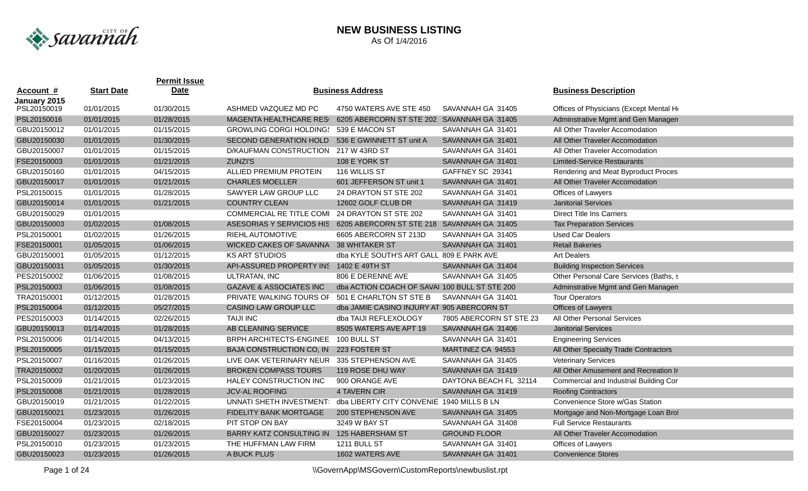

|              |                   | <b>Permit Issue</b> |                                                                      |                                               |                         |                                         |
|--------------|-------------------|---------------------|----------------------------------------------------------------------|-----------------------------------------------|-------------------------|-----------------------------------------|
| Account #    | <b>Start Date</b> | <b>Date</b>         |                                                                      | <b>Business Address</b>                       |                         | <b>Business Description</b>             |
| January 2015 |                   |                     |                                                                      |                                               |                         |                                         |
| PSL20150019  | 01/01/2015        | 01/30/2015          | ASHMED VAZQUEZ MD PC                                                 | 4750 WATERS AVE STE 450                       | SAVANNAH GA 31405       | Offices of Physicians (Except Mental He |
| PSL20150016  | 01/01/2015        | 01/28/2015          | <b>MAGENTA HEALTHCARE RES</b>                                        | 6205 ABERCORN ST STE 202 SAVANNAH GA 31405    |                         | Adminstrative Mgmt and Gen Managen      |
| GBU20150012  | 01/01/2015        | 01/15/2015          | <b>GROWLING CORGI HOLDINGS</b>                                       | 539 E MACON ST                                | SAVANNAH GA 31401       | All Other Traveler Accomodation         |
| GBU20150030  | 01/01/2015        | 01/30/2015          | <b>SECOND GENERATION HOLD</b>                                        | 536 E GWINNETT ST unit A                      | SAVANNAH GA 31401       | All Other Traveler Accomodation         |
| GBU20150007  | 01/01/2015        | 01/15/2015          | <b>D/KAUFMAN CONSTRUCTION</b>                                        | 217 W 43RD ST                                 | SAVANNAH GA 31401       | All Other Traveler Accomodation         |
| FSE20150003  | 01/01/2015        | 01/21/2015          | <b>ZUNZI'S</b>                                                       | 108 E YORK ST                                 | SAVANNAH GA 31401       | <b>Limited-Service Restaurants</b>      |
| GBU20150160  | 01/01/2015        | 04/15/2015          | <b>ALLIED PREMIUM PROTEIN</b>                                        | 116 WILLIS ST                                 | GAFFNEY SC 29341        | Rendering and Meat Byproduct Proces     |
| GBU20150017  | 01/01/2015        | 01/21/2015          | <b>CHARLES MOELLER</b>                                               | 601 JEFFERSON ST unit 1                       | SAVANNAH GA 31401       | All Other Traveler Accomodation         |
| PSL20150015  | 01/01/2015        | 01/28/2015          | SAWYER LAW GROUP LLC                                                 | 24 DRAYTON ST STE 202                         | SAVANNAH GA 31401       | Offices of Lawyers                      |
| GBU20150014  | 01/01/2015        | 01/21/2015          | <b>COUNTRY CLEAN</b>                                                 | 12602 GOLF CLUB DR                            | SAVANNAH GA 31419       | <b>Janitorial Services</b>              |
| GBU20150029  | 01/01/2015        |                     | COMMERCIAL RE TITLE COMI 24 DRAYTON ST STE 202                       |                                               | SAVANNAH GA 31401       | <b>Direct Title Ins Carriers</b>        |
| GBU20150003  | 01/02/2015        | 01/08/2015          | ASESORIAS Y SERVICIOS HIS 6205 ABERCORN ST STE 218 SAVANNAH GA 31405 |                                               |                         | <b>Tax Preparation Services</b>         |
| PSL20150001  | 01/02/2015        | 01/26/2015          | <b>RIEHL AUTOMOTIVE</b>                                              | 6605 ABERCORN ST 213D                         | SAVANNAH GA 31405       | <b>Used Car Dealers</b>                 |
| FSE20150001  | 01/05/2015        | 01/06/2015          | WICKED CAKES OF SAVANNA 38 WHITAKER ST                               |                                               | SAVANNAH GA 31401       | <b>Retail Bakeries</b>                  |
| GBU20150001  | 01/05/2015        | 01/12/2015          | <b>KS ART STUDIOS</b>                                                | dba KYLE SOUTH'S ART GALL 809 E PARK AVE      |                         | <b>Art Dealers</b>                      |
| GBU20150031  | 01/05/2015        | 01/30/2015          | API-ASSURED PROPERTY INS 1402 E 49TH ST                              |                                               | SAVANNAH GA 31404       | <b>Building Inspection Services</b>     |
| PES20150002  | 01/06/2015        | 01/08/2015          | <b>ULTRATAN, INC</b>                                                 | 806 E DERENNE AVE                             | SAVANNAH GA 31405       | Other Personal Care Services (Baths, s  |
| PSL20150003  | 01/06/2015        | 01/08/2015          | <b>GAZAVE &amp; ASSOCIATES INC</b>                                   | dba ACTION COACH OF SAVAI 100 BULL ST STE 200 |                         | Adminstrative Mgmt and Gen Managen      |
| TRA20150001  | 01/12/2015        | 01/28/2015          | PRIVATE WALKING TOURS OF                                             | 501 E CHARLTON ST STE B                       | SAVANNAH GA 31401       | <b>Tour Operators</b>                   |
| PSL20150004  | 01/12/2015        | 05/27/2015          | <b>CASINO LAW GROUP LLC</b>                                          | dba JAMIE CASINO INJURY AT 905 ABERCORN ST    |                         | Offices of Lawyers                      |
| PES20150003  | 01/14/2015        | 02/26/2015          | <b>TAIJI INC</b>                                                     | dba TAIJI REFLEXOLOGY                         | 7805 ABERCORN ST STE 23 | All Other Personal Services             |
| GBU20150013  | 01/14/2015        | 01/28/2015          | AB CLEANING SERVICE                                                  | 8505 WATERS AVE APT 19                        | SAVANNAH GA 31406       | <b>Janitorial Services</b>              |
| PSL20150006  | 01/14/2015        | 04/13/2015          | BRPH ARCHITECTS-ENGINEE                                              | 100 BULL ST                                   | SAVANNAH GA 31401       | <b>Engineering Services</b>             |
| PSL20150005  | 01/15/2015        | 01/15/2015          | BAJA CONSTRUCTION CO, IN 223 FOSTER ST                               |                                               | MARTINEZ CA 94553       | All Other Specialty Trade Contractors   |
| PSL20150007  | 01/16/2015        | 01/26/2015          | LIVE OAK VETERINARY NEUR 335 STEPHENSON AVE                          |                                               | SAVANNAH GA 31405       | <b>Veterinary Services</b>              |
| TRA20150002  | 01/20/2015        | 01/26/2015          | <b>BROKEN COMPASS TOURS</b>                                          | 119 ROSE DHU WAY                              | SAVANNAH GA 31419       | All Other Amusement and Recreation Ir   |
| PSL20150009  | 01/21/2015        | 01/23/2015          | HALEY CONSTRUCTION INC                                               | 900 ORANGE AVE                                | DAYTONA BEACH FL 32114  | Commercial and Industrial Building Cor  |
| PSL20150008  | 01/21/2015        | 01/28/2015          | <b>JCV-AL ROOFING</b>                                                | 4 TAVERN CIR                                  | SAVANNAH GA 31419       | <b>Roofing Contractors</b>              |
| GBU20150019  | 01/21/2015        | 01/22/2015          | UNNATI SHETH INVESTMENT: dba LIBERTY CITY CONVENIE 1940 MILLS B LN   |                                               |                         | Convenience Store w/Gas Station         |
| GBU20150021  | 01/23/2015        | 01/26/2015          | <b>FIDELITY BANK MORTGAGE</b>                                        | 200 STEPHENSON AVE                            | SAVANNAH GA 31405       | Mortgage and Non-Mortgage Loan Brol     |
| FSE20150004  | 01/23/2015        | 02/18/2015          | PIT STOP ON BAY                                                      | 3249 W BAY ST                                 | SAVANNAH GA 31408       | <b>Full Service Restaurants</b>         |
| GBU20150027  | 01/23/2015        | 01/26/2015          | BARRY KATZ CONSULTING IN 125 HABERSHAM ST                            |                                               | <b>GROUND FLOOR</b>     | All Other Traveler Accomodation         |
| PSL20150010  | 01/23/2015        | 01/23/2015          | THE HUFFMAN LAW FIRM                                                 | 1211 BULL ST                                  | SAVANNAH GA 31401       | Offices of Lawyers                      |
| GBU20150023  | 01/23/2015        | 01/26/2015          | A BUCK PLUS                                                          | 1602 WATERS AVE                               | SAVANNAH GA 31401       | <b>Convenience Stores</b>               |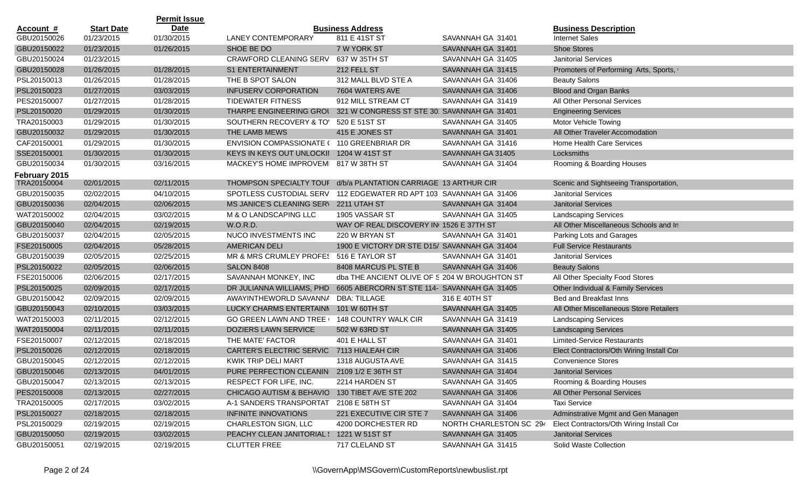|                  |                   | <b>Permit Issue</b> |                                                                 |                                               |                         |                                          |
|------------------|-------------------|---------------------|-----------------------------------------------------------------|-----------------------------------------------|-------------------------|------------------------------------------|
| <u>Account #</u> | <b>Start Date</b> | <b>Date</b>         |                                                                 | <b>Business Address</b>                       |                         | <b>Business Description</b>              |
| GBU20150026      | 01/23/2015        | 01/30/2015          | <b>LANEY CONTEMPORARY</b>                                       | 811 E 41ST ST                                 | SAVANNAH GA 31401       | <b>Internet Sales</b>                    |
| GBU20150022      | 01/23/2015        | 01/26/2015          | SHOE BE DO                                                      | 7 W YORK ST                                   | SAVANNAH GA 31401       | <b>Shoe Stores</b>                       |
| GBU20150024      | 01/23/2015        |                     | <b>CRAWFORD CLEANING SERV</b>                                   | 637 W 35TH ST                                 | SAVANNAH GA 31405       | <b>Janitorial Services</b>               |
| GBU20150028      | 01/26/2015        | 01/28/2015          | <b>S1 ENTERTAINMENT</b>                                         | 212 FELL ST                                   | SAVANNAH GA 31415       | Promoters of Performing Arts, Sports,    |
| PSL20150013      | 01/26/2015        | 01/28/2015          | THE B SPOT SALON                                                | 312 MALL BLVD STE A                           | SAVANNAH GA 31406       | <b>Beauty Salons</b>                     |
| PSL20150023      | 01/27/2015        | 03/03/2015          | <b>INFUSERV CORPORATION</b>                                     | 7604 WATERS AVE                               | SAVANNAH GA 31406       | <b>Blood and Organ Banks</b>             |
| PES20150007      | 01/27/2015        | 01/28/2015          | <b>TIDEWATER FITNESS</b>                                        | 912 MILL STREAM CT                            | SAVANNAH GA 31419       | All Other Personal Services              |
| PSL20150020      | 01/29/2015        | 01/30/2015          | THARPE ENGINEERING GROU                                         | 321 W CONGRESS ST STE 30' SAVANNAH GA 31401   |                         | <b>Engineering Services</b>              |
| TRA20150003      | 01/29/2015        | 01/30/2015          | SOUTHERN RECOVERY & TO'                                         | 520 E 51ST ST                                 | SAVANNAH GA 31405       | Motor Vehicle Towing                     |
| GBU20150032      | 01/29/2015        | 01/30/2015          | THE LAMB MEWS                                                   | 415 E JONES ST                                | SAVANNAH GA 31401       | All Other Traveler Accomodation          |
| CAF20150001      | 01/29/2015        | 01/30/2015          | <b>ENVISION COMPASSIONATE (</b>                                 | 110 GREENBRIAR DR                             | SAVANNAH GA 31416       | Home Health Care Services                |
| SSE20150001      | 01/30/2015        | 01/30/2015          | KEYS IN KEYS OUT UNLOCKII 1204 W 41ST ST                        |                                               | SAVANNAH GA 31405       | Locksmiths                               |
| GBU20150034      | 01/30/2015        | 03/16/2015          | MACKEY'S HOME IMPROVEM 817 W 38TH ST                            |                                               | SAVANNAH GA 31404       | Rooming & Boarding Houses                |
| February 2015    |                   |                     |                                                                 |                                               |                         |                                          |
| TRA20150004      | 02/01/2015        | 02/11/2015          | THOMPSON SPECIALTY TOUF d/b/a PLANTATION CARRIAGE 13 ARTHUR CIR |                                               |                         | Scenic and Sightseeing Transportation,   |
| GBU20150035      | 02/02/2015        | 04/10/2015          | SPOTLESS CUSTODIAL SERV                                         | 112 EDGEWATER RD APT 103 SAVANNAH GA 31406    |                         | <b>Janitorial Services</b>               |
| GBU20150036      | 02/04/2015        | 02/06/2015          | MS JANICE'S CLEANING SER\ 2211 UTAH ST                          |                                               | SAVANNAH GA 31404       | <b>Janitorial Services</b>               |
| WAT20150002      | 02/04/2015        | 03/02/2015          | M & O LANDSCAPING LLC                                           | 1905 VASSAR ST                                | SAVANNAH GA 31405       | <b>Landscaping Services</b>              |
| GBU20150040      | 02/04/2015        | 02/19/2015          | W.O.R.D.                                                        | WAY OF REAL DISCOVERY IN 1526 E 37TH ST       |                         | All Other Miscellaneous Schools and In   |
| GBU20150037      | 02/04/2015        | 02/05/2015          | NUCO INVESTMENTS INC                                            | 220 W BRYAN ST                                | SAVANNAH GA 31401       | Parking Lots and Garages                 |
| FSE20150005      | 02/04/2015        | 05/28/2015          | AMERICAN DELI                                                   | 1900 E VICTORY DR STE D15/ SAVANNAH GA 31404  |                         | <b>Full Service Restaurants</b>          |
| GBU20150039      | 02/05/2015        | 02/25/2015          | MR & MRS CRUMLEY PROFES                                         | 516 E TAYLOR ST                               | SAVANNAH GA 31401       | <b>Janitorial Services</b>               |
| PSL20150022      | 02/05/2015        | 02/06/2015          | <b>SALON 8408</b>                                               | 8408 MARCUS PL STE B                          | SAVANNAH GA 31406       | <b>Beauty Salons</b>                     |
| FSE20150006      | 02/06/2015        | 02/17/2015          | SAVANNAH MONKEY, INC                                            | dba THE ANCIENT OLIVE OF S 204 W BROUGHTON ST |                         | All Other Specialty Food Stores          |
| PSL20150025      | 02/09/2015        | 02/17/2015          | DR JULIANNA WILLIAMS, PHD                                       | 6605 ABERCORN ST STE 114- SAVANNAH GA 31405   |                         | Other Individual & Family Services       |
| GBU20150042      | 02/09/2015        | 02/09/2015          | AWAYINTHEWORLD SAVANNA                                          | <b>DBA: TILLAGE</b>                           | 316 E 40TH ST           | Bed and Breakfast Inns                   |
| GBU20150043      | 02/10/2015        | 03/03/2015          | LUCKY CHARMS ENTERTAINN                                         | 101 W 60TH ST                                 | SAVANNAH GA 31405       | All Other Miscellaneous Store Retailers  |
| WAT20150003      | 02/11/2015        | 02/12/2015          | <b>GO GREEN LAWN AND TREE</b>                                   | <b>148 COUNTRY WALK CIR</b>                   | SAVANNAH GA 31419       | <b>Landscaping Services</b>              |
| WAT20150004      | 02/11/2015        | 02/11/2015          | DOZIERS LAWN SERVICE                                            | 502 W 63RD ST                                 | SAVANNAH GA 31405       | <b>Landscaping Services</b>              |
| FSE20150007      | 02/12/2015        | 02/18/2015          | THE MATE' FACTOR                                                | 401 E HALL ST                                 | SAVANNAH GA 31401       | <b>Limited-Service Restaurants</b>       |
| PSL20150026      | 02/12/2015        | 02/18/2015          | <b>CARTER'S ELECTRIC SERVIC</b>                                 | 7113 HIALEAH CIR                              | SAVANNAH GA 31406       | Elect Contractors/Oth Wiring Install Cor |
| GBU20150045      | 02/12/2015        | 02/12/2015          | KWIK TRIP DELI MART                                             | 1318 AUGUSTA AVE                              | SAVANNAH GA 31415       | <b>Convenience Stores</b>                |
| GBU20150046      | 02/13/2015        | 04/01/2015          | PURE PERFECTION CLEANIN 2109 1/2 E 36TH ST                      |                                               | SAVANNAH GA 31404       | <b>Janitorial Services</b>               |
| GBU20150047      | 02/13/2015        | 02/13/2015          | RESPECT FOR LIFE, INC.                                          | 2214 HARDEN ST                                | SAVANNAH GA 31405       | Rooming & Boarding Houses                |
| PES20150008      | 02/13/2015        | 02/27/2015          | CHICAGO AUTISM & BEHAVIO                                        | 130 TIBET AVE STE 202                         | SAVANNAH GA 31406       | All Other Personal Services              |
| TRA20150005      | 02/17/2015        | 03/02/2015          | A-1 SANDERS TRANSPORTAT                                         | 2108 E 58TH ST                                | SAVANNAH GA 31404       | <b>Taxi Service</b>                      |
| PSL20150027      | 02/18/2015        | 02/18/2015          | INFINITE INNOVATIONS                                            | 221 EXECUTIVE CIR STE 7                       | SAVANNAH GA 31406       | Adminstrative Mgmt and Gen Managen       |
| PSL20150029      | 02/19/2015        | 02/19/2015          | <b>CHARLESTON SIGN, LLC</b>                                     | 4200 DORCHESTER RD                            | NORTH CHARLESTON SC 294 | Elect Contractors/Oth Wiring Install Cor |
| GBU20150050      | 02/19/2015        | 03/02/2015          | PEACHY CLEAN JANITORIAL { 1221 W 51ST ST                        |                                               | SAVANNAH GA 31405       | <b>Janitorial Services</b>               |
| GBU20150051      | 02/19/2015        | 02/19/2015          | <b>CLUTTER FREE</b>                                             | 717 CLELAND ST                                | SAVANNAH GA 31415       | Solid Waste Collection                   |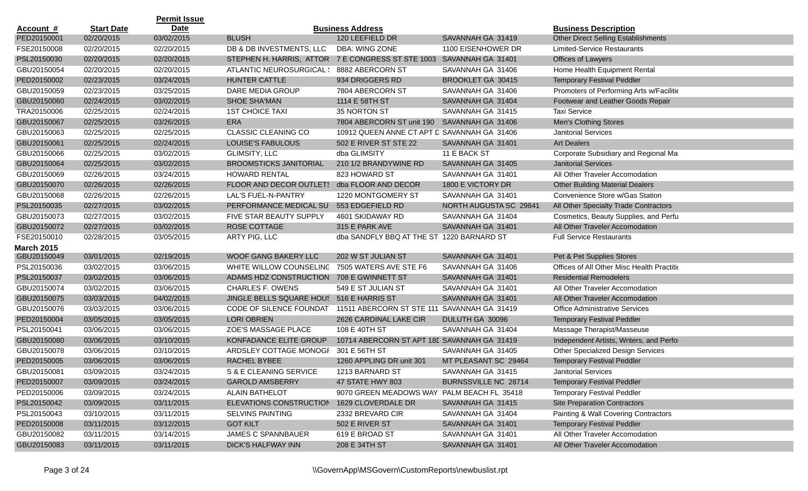|                   |                   | <b>Permit Issue</b> |                                                                     |                                             |                        |                                            |
|-------------------|-------------------|---------------------|---------------------------------------------------------------------|---------------------------------------------|------------------------|--------------------------------------------|
| <u>Account #</u>  | <b>Start Date</b> | <b>Date</b>         |                                                                     | <b>Business Address</b>                     |                        | <b>Business Description</b>                |
| PED20150001       | 02/20/2015        | 03/02/2015          | <b>BLUSH</b>                                                        | 120 LEEFIELD DR                             | SAVANNAH GA 31419      | <b>Other Direct Selling Establishments</b> |
| FSE20150008       | 02/20/2015        | 02/20/2015          | DB & DB INVESTMENTS, LLC                                            | DBA: WING ZONE                              | 1100 EISENHOWER DR     | <b>Limited-Service Restaurants</b>         |
| PSL20150030       | 02/20/2015        | 02/20/2015          | STEPHEN H. HARRIS, ATTOR 7 E CONGRESS ST STE 1003 SAVANNAH GA 31401 |                                             |                        | Offices of Lawyers                         |
| GBU20150054       | 02/20/2015        | 02/20/2015          | ATLANTIC NEUROSURGICAL \                                            | 8882 ABERCORN ST                            | SAVANNAH GA 31406      | Home Health Equipment Rental               |
| PED20150002       | 02/23/2015        | 03/24/2015          | HUNTER CATTLE                                                       | 934 DRIGGERS RD                             | BROOKLET GA 30415      | <b>Temporary Festival Peddler</b>          |
| GBU20150059       | 02/23/2015        | 03/25/2015          | DARE MEDIA GROUP                                                    | 7804 ABERCORN ST                            | SAVANNAH GA 31406      | Promoters of Performing Arts w/Facilitie   |
| GBU20150060       | 02/24/2015        | 03/02/2015          | <b>SHOE SHA'MAN</b>                                                 | 1114 E 58TH ST                              | SAVANNAH GA 31404      | Footwear and Leather Goods Repair          |
| TRA20150006       | 02/25/2015        | 02/24/2015          | <b>1ST CHOICE TAXI</b>                                              | 35 NORTON ST                                | SAVANNAH GA 31415      | <b>Taxi Service</b>                        |
| GBU20150067       | 02/25/2015        | 03/26/2015          | ERA                                                                 | 7804 ABERCORN ST unit 190                   | SAVANNAH GA 31406      | Men's Clothing Stores                      |
| GBU20150063       | 02/25/2015        | 02/25/2015          | <b>CLASSIC CLEANING CO</b>                                          | 10912 QUEEN ANNE CT APT D SAVANNAH GA 31406 |                        | <b>Janitorial Services</b>                 |
| GBU20150061       | 02/25/2015        | 02/24/2015          | LOUISE'S FABULOUS                                                   | 502 E RIVER ST STE 22                       | SAVANNAH GA 31401      | <b>Art Dealers</b>                         |
| GBU20150066       | 02/25/2015        | 03/02/2015          | <b>GLIMSITY, LLC</b>                                                | dba GLIMSITY                                | 11 E BACK ST           | Corporate Subsidiary and Regional Mar      |
| GBU20150064       | 02/25/2015        | 03/02/2015          | <b>BROOMSTICKS JANITORIAL</b>                                       | 210 1/2 BRANDYWINE RD                       | SAVANNAH GA 31405      | <b>Janitorial Services</b>                 |
| GBU20150069       | 02/26/2015        | 03/24/2015          | <b>HOWARD RENTAL</b>                                                | 823 HOWARD ST                               | SAVANNAH GA 31401      | All Other Traveler Accomodation            |
| GBU20150070       | 02/26/2015        | 02/26/2015          | FLOOR AND DECOR OUTLETS                                             | dba FLOOR AND DECOR                         | 1800 E VICTORY DR      | <b>Other Building Material Dealers</b>     |
| GBU20150068       | 02/26/2015        | 02/26/2015          | LAL'S FUEL-N-PANTRY                                                 | 1220 MONTGOMERY ST                          | SAVANNAH GA 31401      | Convenience Store w/Gas Station            |
| PSL20150035       | 02/27/2015        | 03/02/2015          | PERFORMANCE MEDICAL SU                                              | 553 EDGEFIELD RD                            | NORTH AUGUSTA SC 29841 | All Other Specialty Trade Contractors      |
| GBU20150073       | 02/27/2015        | 03/02/2015          | FIVE STAR BEAUTY SUPPLY                                             | 4601 SKIDAWAY RD                            | SAVANNAH GA 31404      | Cosmetics, Beauty Supplies, and Perfu      |
| GBU20150072       | 02/27/2015        | 03/02/2015          | ROSE COTTAGE                                                        | 315 E PARK AVE                              | SAVANNAH GA 31401      | All Other Traveler Accomodation            |
| FSE20150010       | 02/28/2015        | 03/05/2015          | ARTY PIG, LLC                                                       | dba SANDFLY BBQ AT THE STI 1220 BARNARD ST  |                        | <b>Full Service Restaurants</b>            |
| <b>March 2015</b> |                   |                     |                                                                     |                                             |                        |                                            |
| GBU20150049       | 03/01/2015        | 02/19/2015          | <b>WOOF GANG BAKERY LLC</b>                                         | 202 W ST JULIAN ST                          | SAVANNAH GA 31401      | Pet & Pet Supplies Stores                  |
| PSL20150036       | 03/02/2015        | 03/06/2015          | WHITE WILLOW COUNSELING                                             | 7505 WATERS AVE STE F6                      | SAVANNAH GA 31406      | Offices of All Other Misc Health Practitio |
| PSL20150037       | 03/02/2015        | 03/06/2015          | ADAMS HDZ CONSTRUCTION                                              | 708 E GWINNETT ST                           | SAVANNAH GA 31401      | <b>Residential Remodelers</b>              |
| GBU20150074       | 03/02/2015        | 03/06/2015          | <b>CHARLES F. OWENS</b>                                             | 549 E ST JULIAN ST                          | SAVANNAH GA 31401      | All Other Traveler Accomodation            |
| GBU20150075       | 03/03/2015        | 04/02/2015          | JINGLE BELLS SQUARE HOU: 516 E HARRIS ST                            |                                             | SAVANNAH GA 31401      | All Other Traveler Accomodation            |
| GBU20150076       | 03/03/2015        | 03/06/2015          | CODE OF SILENCE FOUNDAT                                             | 11511 ABERCORN ST STE 111 SAVANNAH GA 31419 |                        | <b>Office Administrative Services</b>      |
| PED20150004       | 03/05/2015        | 03/05/2015          | <b>LORI OBRIEN</b>                                                  | 2626 CARDINAL LAKE CIR                      | DULUTH GA 30096        | <b>Temporary Festival Peddler</b>          |
| PSL20150041       | 03/06/2015        | 03/06/2015          | ZOE'S MASSAGE PLACE                                                 | 108 E 40TH ST                               | SAVANNAH GA 31404      | Massage Therapist/Masseuse                 |
| GBU20150080       | 03/06/2015        | 03/10/2015          | KONFADANCE ELITE GROUP                                              | 10714 ABERCORN ST APT 18E SAVANNAH GA 31419 |                        | Independent Artists, Writers, and Perfor   |
| GBU20150078       | 03/06/2015        | 03/10/2015          | ARDSLEY COTTAGE MONOGF                                              | 301 E 56TH ST                               | SAVANNAH GA 31405      | <b>Other Specialized Design Services</b>   |
| PED20150005       | 03/06/2015        | 03/06/2015          | RACHEL BYBEE                                                        | 1260 APPLING DR unit 301                    | MT PLEASANT SC 29464   | <b>Temporary Festival Peddler</b>          |
| GBU20150081       | 03/09/2015        | 03/24/2015          | S & E CLEANING SERVICE                                              | 1213 BARNARD ST                             | SAVANNAH GA 31415      | Janitorial Services                        |
| PED20150007       | 03/09/2015        | 03/24/2015          | <b>GAROLD AMSBERRY</b>                                              | 47 STATE HWY 803                            | BURNSSVILLE NC 28714   | <b>Temporary Festival Peddler</b>          |
| PED20150006       | 03/09/2015        | 03/24/2015          | <b>ALAIN BATHELOT</b>                                               | 9070 GREEN MEADOWS WAY PALM BEACH FL 35418  |                        | <b>Temporary Festival Peddler</b>          |
| PSL20150042       | 03/09/2015        | 03/11/2015          | ELEVATIONS CONSTRUCTION                                             | 1629 CLOVERDALE DR                          | SAVANNAH GA 31415      | <b>Site Preparation Contractors</b>        |
| PSL20150043       | 03/10/2015        | 03/11/2015          | SELVINS PAINTING                                                    | 2332 BREVARD CIR                            | SAVANNAH GA 31404      | Painting & Wall Covering Contractors       |
| PED20150008       | 03/11/2015        | 03/12/2015          | <b>GOT KILT</b>                                                     | 502 E RIVER ST                              | SAVANNAH GA 31401      | <b>Temporary Festival Peddler</b>          |
| GBU20150082       | 03/11/2015        | 03/14/2015          | JAMES C SPANNBAUER                                                  | 619 E BROAD ST                              | SAVANNAH GA 31401      | All Other Traveler Accomodation            |
| GBU20150083       | 03/11/2015        | 03/11/2015          | <b>DICK'S HALFWAY INN</b>                                           | 208 E 34TH ST                               | SAVANNAH GA 31401      | All Other Traveler Accomodation            |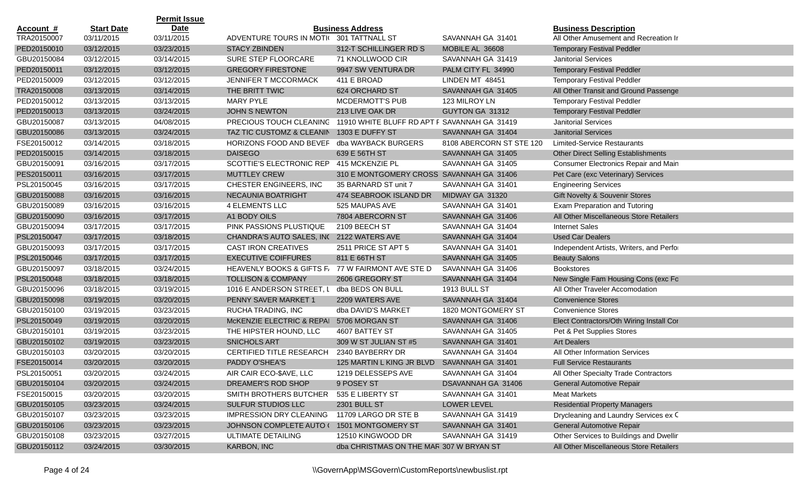|                  |                   | <b>Permit Issue</b> |                                           |                                              |                          |                                            |
|------------------|-------------------|---------------------|-------------------------------------------|----------------------------------------------|--------------------------|--------------------------------------------|
| <u>Account #</u> | <b>Start Date</b> | Date                |                                           | <b>Business Address</b>                      |                          | <b>Business Description</b>                |
| TRA20150007      | 03/11/2015        | 03/11/2015          | ADVENTURE TOURS IN MOTI( 301 TATTNALL ST  |                                              | SAVANNAH GA 31401        | All Other Amusement and Recreation Ir      |
| PED20150010      | 03/12/2015        | 03/23/2015          | <b>STACY ZBINDEN</b>                      | 312-T SCHILLINGER RD S                       | MOBILE AL 36608          | <b>Temporary Festival Peddler</b>          |
| GBU20150084      | 03/12/2015        | 03/14/2015          | SURE STEP FLOORCARE                       | 71 KNOLLWOOD CIR                             | SAVANNAH GA 31419        | <b>Janitorial Services</b>                 |
| PED20150011      | 03/12/2015        | 03/12/2015          | <b>GREGORY FIRESTONE</b>                  | 9947 SW VENTURA DR                           | PALM CITY FL 34990       | <b>Temporary Festival Peddler</b>          |
| PED20150009      | 03/12/2015        | 03/12/2015          | <b>JENNIFER T MCCORMACK</b>               | 411 E BROAD                                  | LINDEN MT 48451          | <b>Temporary Festival Peddler</b>          |
| TRA20150008      | 03/13/2015        | 03/14/2015          | THE BRITT TWIC                            | 624 ORCHARD ST                               | SAVANNAH GA 31405        | All Other Transit and Ground Passenge      |
| PED20150012      | 03/13/2015        | 03/13/2015          | <b>MARY PYLE</b>                          | <b>MCDERMOTT'S PUB</b>                       | 123 MILROY LN            | <b>Temporary Festival Peddler</b>          |
| PED20150013      | 03/13/2015        | 03/24/2015          | <b>JOHN S NEWTON</b>                      | 213 LIVE OAK DR                              | GUYTON GA 31312          | <b>Temporary Festival Peddler</b>          |
| GBU20150087      | 03/13/2015        | 04/08/2015          | PRECIOUS TOUCH CLEANING                   | 11910 WHITE BLUFF RD APT F SAVANNAH GA 31419 |                          | <b>Janitorial Services</b>                 |
| GBU20150086      | 03/13/2015        | 03/24/2015          | TAZ TIC CUSTOMZ & CLEANIN                 | 1303 E DUFFY ST                              | SAVANNAH GA 31404        | <b>Janitorial Services</b>                 |
| FSE20150012      | 03/14/2015        | 03/18/2015          | HORIZONS FOOD AND BEVEF                   | dba WAYBACK BURGERS                          | 8108 ABERCORN ST STE 120 | <b>Limited-Service Restaurants</b>         |
| PED20150015      | 03/14/2015        | 03/18/2015          | <b>DAISEGO</b>                            | 639 E 56TH ST                                | SAVANNAH GA 31405        | <b>Other Direct Selling Establishments</b> |
| GBU20150091      | 03/16/2015        | 03/17/2015          | SCOTTIE'S ELECTRONIC REP 415 MCKENZIE PL  |                                              | SAVANNAH GA 31405        | Consumer Electronics Repair and Main       |
| PES20150011      | 03/16/2015        | 03/17/2015          | <b>MUTTLEY CREW</b>                       | 310 E MONTGOMERY CROSS SAVANNAH GA 31406     |                          | Pet Care (exc Veterinary) Services         |
| PSL20150045      | 03/16/2015        | 03/17/2015          | CHESTER ENGINEERS, INC                    | 35 BARNARD ST unit 7                         | SAVANNAH GA 31401        | <b>Engineering Services</b>                |
| GBU20150088      | 03/16/2015        | 03/16/2015          | NECAUNIA BOATRIGHT                        | 474 SEABROOK ISLAND DR                       | MIDWAY GA 31320          | Gift Novelty & Souvenir Stores             |
| GBU20150089      | 03/16/2015        | 03/16/2015          | <b>4 ELEMENTS LLC</b>                     | 525 MAUPAS AVE                               | SAVANNAH GA 31401        | <b>Exam Preparation and Tutoring</b>       |
| GBU20150090      | 03/16/2015        | 03/17/2015          | A1 BODY OILS                              | 7804 ABERCORN ST                             | SAVANNAH GA 31406        | All Other Miscellaneous Store Retailers    |
| GBU20150094      | 03/17/2015        | 03/17/2015          | PINK PASSIONS PLUSTIQUE                   | 2109 BEECH ST                                | SAVANNAH GA 31404        | <b>Internet Sales</b>                      |
| PSL20150047      | 03/17/2015        | 03/18/2015          | CHANDRA'S AUTO SALES, INC 2122 WATERS AVE |                                              | SAVANNAH GA 31404        | <b>Used Car Dealers</b>                    |
| GBU20150093      | 03/17/2015        | 03/17/2015          | <b>CAST IRON CREATIVES</b>                | 2511 PRICE ST APT 5                          | SAVANNAH GA 31401        | Independent Artists, Writers, and Perfor   |
| PSL20150046      | 03/17/2015        | 03/17/2015          | <b>EXECUTIVE COIFFURES</b>                | 811 E 66TH ST                                | SAVANNAH GA 31405        | <b>Beauty Salons</b>                       |
| GBU20150097      | 03/18/2015        | 03/24/2015          | <b>HEAVENLY BOOKS &amp; GIFTS F</b>       | 77 W FAIRMONT AVE STE D                      | SAVANNAH GA 31406        | <b>Bookstores</b>                          |
| PSL20150048      | 03/18/2015        | 03/18/2015          | <b>TOLLISON &amp; COMPANY</b>             | 2606 GREGORY ST                              | SAVANNAH GA 31404        | New Single Fam Housing Cons (exc Fo        |
| GBU20150096      | 03/18/2015        | 03/19/2015          | 1016 E ANDERSON STREET, L                 | dba BEDS ON BULL                             | <b>1913 BULL ST</b>      | All Other Traveler Accomodation            |
| GBU20150098      | 03/19/2015        | 03/20/2015          | PENNY SAVER MARKET 1                      | 2209 WATERS AVE                              | SAVANNAH GA 31404        | <b>Convenience Stores</b>                  |
| GBU20150100      | 03/19/2015        | 03/23/2015          | RUCHA TRADING, INC                        | dba DAVID'S MARKET                           | 1820 MONTGOMERY ST       | <b>Convenience Stores</b>                  |
| PSL20150049      | 03/19/2015        | 03/20/2015          | McKENZIE ELECTRIC & REPAI                 | 5706 MORGAN ST                               | SAVANNAH GA 31406        | Elect Contractors/Oth Wiring Install Cor   |
| GBU20150101      | 03/19/2015        | 03/23/2015          | THE HIPSTER HOUND, LLC                    | 4607 BATTEY ST                               | SAVANNAH GA 31405        | Pet & Pet Supplies Stores                  |
| GBU20150102      | 03/19/2015        | 03/23/2015          | SNICHOLS ART                              | 309 W ST JULIAN ST #5                        | SAVANNAH GA 31401        | <b>Art Dealers</b>                         |
| GBU20150103      | 03/20/2015        | 03/20/2015          | <b>CERTIFIED TITLE RESEARCH</b>           | 2340 BAYBERRY DR                             | SAVANNAH GA 31404        | All Other Information Services             |
| FSE20150014      | 03/20/2015        | 03/20/2015          | PADDY O'SHEA'S                            | 125 MARTIN L KING JR BLVD                    | SAVANNAH GA 31401        | <b>Full Service Restaurants</b>            |
| PSL20150051      | 03/20/2015        | 03/24/2015          | AIR CAIR ECO-\$AVE, LLC                   | 1219 DELESSEPS AVE                           | SAVANNAH GA 31404        | All Other Specialty Trade Contractors      |
| GBU20150104      | 03/20/2015        | 03/24/2015          | DREAMER'S ROD SHOP                        | 9 POSEY ST                                   | DSAVANNAH GA 31406       | General Automotive Repair                  |
| FSE20150015      | 03/20/2015        | 03/20/2015          | SMITH BROTHERS BUTCHER                    | 535 E LIBERTY ST                             | SAVANNAH GA 31401        | <b>Meat Markets</b>                        |
| GBU20150105      | 03/23/2015        | 03/24/2015          | SULFUR STUDIOS LLC                        | <b>2301 BULL ST</b>                          | LOWER LEVEL              | <b>Residential Property Managers</b>       |
| GBU20150107      | 03/23/2015        | 03/23/2015          | <b>IMPRESSION DRY CLEANING</b>            | 11709 LARGO DR STE B                         | SAVANNAH GA 31419        | Drycleaning and Laundry Services ex C      |
| GBU20150106      | 03/23/2015        | 03/23/2015          | <b>JOHNSON COMPLETE AUTO (</b>            | 1501 MONTGOMERY ST                           | SAVANNAH GA 31401        | General Automotive Repair                  |
| GBU20150108      | 03/23/2015        | 03/27/2015          | ULTIMATE DETAILING                        | 12510 KINGWOOD DR                            | SAVANNAH GA 31419        | Other Services to Buildings and Dwellir    |
| GBU20150112      | 03/24/2015        | 03/30/2015          | KARBON, INC                               | dba CHRISTMAS ON THE MAR 307 W BRYAN ST      |                          | All Other Miscellaneous Store Retailers    |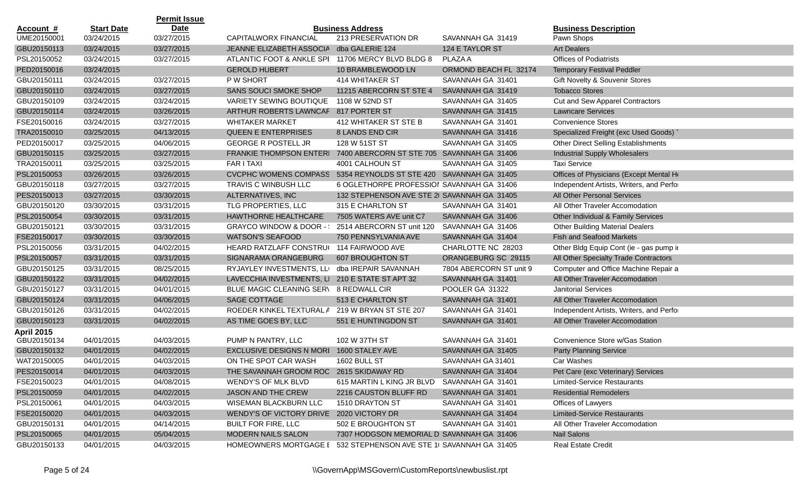|                   |                   | <b>Permit Issue</b> |                                                                   |                                             |                         |                                          |
|-------------------|-------------------|---------------------|-------------------------------------------------------------------|---------------------------------------------|-------------------------|------------------------------------------|
| Account #         | <b>Start Date</b> | <b>Date</b>         |                                                                   | <b>Business Address</b>                     |                         | <b>Business Description</b>              |
| UME20150001       | 03/24/2015        | 03/27/2015          | CAPITALWORX FINANCIAL                                             | 213 PRESERVATION DR                         | SAVANNAH GA 31419       | Pawn Shops                               |
| GBU20150113       | 03/24/2015        | 03/27/2015          | JEANNE ELIZABETH ASSOCIA                                          | dba GALERIE 124                             | 124 E TAYLOR ST         | <b>Art Dealers</b>                       |
| PSL20150052       | 03/24/2015        | 03/27/2015          | ATLANTIC FOOT & ANKLE SPI 11706 MERCY BLVD BLDG 8                 |                                             | PLAZA A                 | <b>Offices of Podiatrists</b>            |
| PED20150016       | 03/24/2015        |                     | <b>GEROLD HUBERT</b>                                              | 10 BRAMBLEWOOD LN                           | ORMOND BEACH FL 32174   | <b>Temporary Festival Peddler</b>        |
| GBU20150111       | 03/24/2015        | 03/27/2015          | P W SHORT                                                         | 414 WHITAKER ST                             | SAVANNAH GA 31401       | Gift Novelty & Souvenir Stores           |
| GBU20150110       | 03/24/2015        | 03/27/2015          | SANS SOUCI SMOKE SHOP                                             | 11215 ABERCORN ST STE 4                     | SAVANNAH GA 31419       | <b>Tobacco Stores</b>                    |
| GBU20150109       | 03/24/2015        | 03/24/2015          | VARIETY SEWING BOUTIQUE                                           | 1108 W 52ND ST                              | SAVANNAH GA 31405       | Cut and Sew Apparel Contractors          |
| GBU20150114       | 03/24/2015        | 03/26/2015          | ARTHUR ROBERTS LAWNCAF                                            | 817 PORTER ST                               | SAVANNAH GA 31415       | <b>Lawncare Services</b>                 |
| FSE20150016       | 03/24/2015        | 03/27/2015          | <b>WHITAKER MARKET</b>                                            | 412 WHITAKER ST STE B                       | SAVANNAH GA 31401       | <b>Convenience Stores</b>                |
| TRA20150010       | 03/25/2015        | 04/13/2015          | <b>QUEEN E ENTERPRISES</b>                                        | 8 LANDS END CIR                             | SAVANNAH GA 31416       | Specialized Freight (exc Used Goods)     |
| PED20150017       | 03/25/2015        | 04/06/2015          | <b>GEORGE R POSTELL JR</b>                                        | 128 W 51ST ST                               | SAVANNAH GA 31405       | Other Direct Selling Establishments      |
| GBU20150115       | 03/25/2015        | 03/27/2015          | FRANKIE THOMPSON ENTERI                                           | 7400 ABERCORN ST STE 705 SAVANNAH GA 31406  |                         | <b>Industrial Supply Wholesalers</b>     |
| TRA20150011       | 03/25/2015        | 03/25/2015          | <b>FAR I TAXI</b>                                                 | 4001 CALHOUN ST                             | SAVANNAH GA 31405       | <b>Taxi Service</b>                      |
| PSL20150053       | 03/26/2015        | 03/26/2015          | CVCPHC WOMENS COMPASS 5354 REYNOLDS ST STE 420 SAVANNAH GA 31405  |                                             |                         | Offices of Physicians (Except Mental He  |
| GBU20150118       | 03/27/2015        | 03/27/2015          | <b>TRAVIS C WINBUSH LLC</b>                                       | 6 OGLETHORPE PROFESSIOI SAVANNAH GA 31406   |                         | Independent Artists, Writers, and Perfor |
| PES20150013       | 03/27/2015        | 03/30/2015          | ALTERNATIVES, INC                                                 | 132 STEPHENSON AVE STE 2( SAVANNAH GA 31405 |                         | All Other Personal Services              |
| GBU20150120       | 03/30/2015        | 03/31/2015          | TLG PROPERTIES, LLC                                               | 315 E CHARLTON ST                           | SAVANNAH GA 31401       | All Other Traveler Accomodation          |
| PSL20150054       | 03/30/2015        | 03/31/2015          | HAWTHORNE HEALTHCARE                                              | 7505 WATERS AVE unit C7                     | SAVANNAH GA 31406       | Other Individual & Family Services       |
| GBU20150121       | 03/30/2015        | 03/31/2015          | GRAYCO WINDOW & DOOR -                                            | 2514 ABERCORN ST unit 120                   | SAVANNAH GA 31406       | <b>Other Building Material Dealers</b>   |
| FSE20150017       | 03/30/2015        | 03/30/2015          | <b>WATSON'S SEAFOOD</b>                                           | 750 PENNSYLVANIA AVE                        | SAVANNAH GA 31404       | <b>Fish and Seafood Markets</b>          |
| PSL20150056       | 03/31/2015        | 04/02/2015          | HEARD RATZLAFF CONSTRU(                                           | 114 FAIRWOOD AVE                            | CHARLOTTE NC 28203      | Other Bldg Equip Cont (ie - gas pump in  |
| PSL20150057       | 03/31/2015        | 03/31/2015          | SIGNARAMA ORANGEBURG                                              | <b>607 BROUGHTON ST</b>                     | ORANGEBURG SC 29115     | All Other Specialty Trade Contractors    |
| GBU20150125       | 03/31/2015        | 08/25/2015          | RYJAYLEY INVESTMENTS, LLI                                         | dba IREPAIR SAVANNAH                        | 7804 ABERCORN ST unit 9 | Computer and Office Machine Repair a     |
| GBU20150122       | 03/31/2015        | 04/02/2015          | LAVECCHIA INVESTMENTS, LI                                         | 210 E STATE ST APT 32                       | SAVANNAH GA 31401       | All Other Traveler Accomodation          |
| GBU20150127       | 03/31/2015        | 04/01/2015          | BLUE MAGIC CLEANING SER\                                          | 8 REDWALL CIR                               | POOLER GA 31322         | <b>Janitorial Services</b>               |
| GBU20150124       | 03/31/2015        | 04/06/2015          | <b>SAGE COTTAGE</b>                                               | 513 E CHARLTON ST                           | SAVANNAH GA 31401       | All Other Traveler Accomodation          |
| GBU20150126       | 03/31/2015        | 04/02/2015          | ROEDER KINKEL TEXTURAL A                                          | 219 W BRYAN ST STE 207                      | SAVANNAH GA 31401       | Independent Artists, Writers, and Perfor |
| GBU20150123       | 03/31/2015        | 04/02/2015          | AS TIME GOES BY, LLC                                              | 551 E HUNTINGDON ST                         | SAVANNAH GA 31401       | All Other Traveler Accomodation          |
| <b>April 2015</b> |                   |                     |                                                                   |                                             |                         |                                          |
| GBU20150134       | 04/01/2015        | 04/03/2015          | PUMP N PANTRY, LLC                                                | 102 W 37TH ST                               | SAVANNAH GA 31401       | Convenience Store w/Gas Station          |
| GBU20150132       | 04/01/2015        | 04/02/2015          | <b>EXCLUSIVE DESIGNS N MORI</b>                                   | 1600 STALEY AVE                             | SAVANNAH GA 31405       | <b>Party Planning Service</b>            |
| WAT20150005       | 04/01/2015        | 04/03/2015          | ON THE SPOT CAR WASH                                              | 1602 BULL ST                                | SAVANNAH GA 31401       | Car Washes                               |
| PES20150014       | 04/01/2015        | 04/03/2015          | THE SAVANNAH GROOM ROC 2615 SKIDAWAY RD                           |                                             | SAVANNAH GA 31404       | Pet Care (exc Veterinary) Services       |
| FSE20150023       | 04/01/2015        | 04/08/2015          | WENDY'S OF MLK BLVD                                               | 615 MARTIN L KING JR BLVD SAVANNAH GA 31401 |                         | <b>Limited-Service Restaurants</b>       |
| PSL20150059       | 04/01/2015        | 04/02/2015          | JASON AND THE CREW                                                | 2216 CAUSTON BLUFF RD                       | SAVANNAH GA 31401       | <b>Residential Remodelers</b>            |
| PSL20150061       | 04/01/2015        | 04/03/2015          | WISEMAN BLACKBURN LLC                                             | 1510 DRAYTON ST                             | SAVANNAH GA 31401       | Offices of Lawyers                       |
| FSE20150020       | 04/01/2015        | 04/03/2015          | WENDY'S OF VICTORY DRIVE 2020 VICTORY DR                          |                                             | SAVANNAH GA 31404       | <b>Limited-Service Restaurants</b>       |
| GBU20150131       | 04/01/2015        | 04/14/2015          | <b>BUILT FOR FIRE, LLC</b>                                        | 502 E BROUGHTON ST                          | SAVANNAH GA 31401       | All Other Traveler Accomodation          |
| PSL20150065       | 04/01/2015        | 05/04/2015          | MODERN NAILS SALON                                                | 7307 HODGSON MEMORIAL D SAVANNAH GA 31406   |                         | <b>Nail Salons</b>                       |
| GBU20150133       | 04/01/2015        | 04/03/2015          | HOMEOWNERS MORTGAGE E 532 STEPHENSON AVE STE 1( SAVANNAH GA 31405 |                                             |                         | <b>Real Estate Credit</b>                |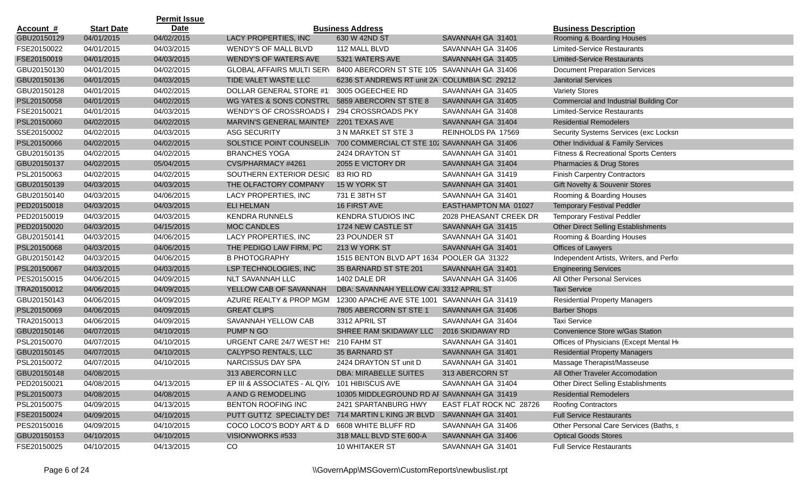|                  |                   | <b>Permit Issue</b> |                                                                      |                                              |                         |                                                  |
|------------------|-------------------|---------------------|----------------------------------------------------------------------|----------------------------------------------|-------------------------|--------------------------------------------------|
| <u>Account #</u> | <b>Start Date</b> | Date                |                                                                      | <b>Business Address</b>                      |                         | <b>Business Description</b>                      |
| GBU20150129      | 04/01/2015        | 04/02/2015          | LACY PROPERTIES, INC                                                 | 630 W 42ND ST                                | SAVANNAH GA 31401       | Rooming & Boarding Houses                        |
| FSE20150022      | 04/01/2015        | 04/03/2015          | WENDY'S OF MALL BLVD                                                 | 112 MALL BLVD                                | SAVANNAH GA 31406       | <b>Limited-Service Restaurants</b>               |
| FSE20150019      | 04/01/2015        | 04/03/2015          | <b>WENDY'S OF WATERS AVE</b>                                         | 5321 WATERS AVE                              | SAVANNAH GA 31405       | <b>Limited-Service Restaurants</b>               |
| GBU20150130      | 04/01/2015        | 04/02/2015          | <b>GLOBAL AFFAIRS MULTI SERV</b>                                     | 8400 ABERCORN ST STE 105 SAVANNAH GA 31406   |                         | <b>Document Preparation Services</b>             |
| GBU20150136      | 04/01/2015        | 04/03/2015          | TIDE VALET WASTE LLC                                                 | 6236 ST ANDREWS RT unit 2A COLUMBIA SC 29212 |                         | <b>Janitorial Services</b>                       |
| GBU20150128      | 04/01/2015        | 04/02/2015          | <b>DOLLAR GENERAL STORE #1:</b>                                      | 3005 OGEECHEE RD                             | SAVANNAH GA 31405       | <b>Variety Stores</b>                            |
| PSL20150058      | 04/01/2015        | 04/02/2015          | WG YATES & SONS CONSTRL                                              | 5859 ABERCORN ST STE 8                       | SAVANNAH GA 31405       | Commercial and Industrial Building Cor           |
| FSE20150021      | 04/01/2015        | 04/03/2015          | <b>WENDY'S OF CROSSROADS I</b>                                       | 294 CROSSROADS PKY                           | SAVANNAH GA 31408       | <b>Limited-Service Restaurants</b>               |
| PSL20150060      | 04/02/2015        | 04/02/2015          | MARVIN'S GENERAL MAINTEN                                             | 2201 TEXAS AVE                               | SAVANNAH GA 31404       | <b>Residential Remodelers</b>                    |
| SSE20150002      | 04/02/2015        | 04/03/2015          | <b>ASG SECURITY</b>                                                  | 3 N MARKET ST STE 3                          | REINHOLDS PA 17569      | Security Systems Services (exc Locksn            |
| PSL20150066      | 04/02/2015        | 04/02/2015          | SOLSTICE POINT COUNSELIN 700 COMMERCIAL CT STE 102 SAVANNAH GA 31406 |                                              |                         | Other Individual & Family Services               |
| GBU20150135      | 04/02/2015        | 04/02/2015          | <b>BRANCHES YOGA</b>                                                 | 2424 DRAYTON ST                              | SAVANNAH GA 31401       | <b>Fitness &amp; Recreational Sports Centers</b> |
| GBU20150137      | 04/02/2015        | 05/04/2015          | CVS/PHARMACY #4261                                                   | 2055 E VICTORY DR                            | SAVANNAH GA 31404       | Pharmacies & Drug Stores                         |
| PSL20150063      | 04/02/2015        | 04/02/2015          | SOUTHERN EXTERIOR DESIG 83 RIO RD                                    |                                              | SAVANNAH GA 31419       | <b>Finish Carpentry Contractors</b>              |
| GBU20150139      | 04/03/2015        | 04/03/2015          | THE OLFACTORY COMPANY                                                | 15 W YORK ST                                 | SAVANNAH GA 31401       | <b>Gift Novelty &amp; Souvenir Stores</b>        |
| GBU20150140      | 04/03/2015        | 04/06/2015          | LACY PROPERTIES, INC                                                 | 731 E 38TH ST                                | SAVANNAH GA 31401       | Rooming & Boarding Houses                        |
| PED20150018      | 04/03/2015        | 04/03/2015          | <b>ELI HELMAN</b>                                                    | 16 FIRST AVE                                 | EASTHAMPTON MA 01027    | <b>Temporary Festival Peddler</b>                |
| PED20150019      | 04/03/2015        | 04/03/2015          | <b>KENDRA RUNNELS</b>                                                | <b>KENDRA STUDIOS INC</b>                    | 2028 PHEASANT CREEK DR  | <b>Temporary Festival Peddler</b>                |
| PED20150020      | 04/03/2015        | 04/15/2015          | <b>MOC CANDLES</b>                                                   | 1724 NEW CASTLE ST                           | SAVANNAH GA 31415       | Other Direct Selling Establishments              |
| GBU20150141      | 04/03/2015        | 04/06/2015          | LACY PROPERTIES, INC                                                 | 23 POUNDER ST                                | SAVANNAH GA 31401       | Rooming & Boarding Houses                        |
| PSL20150068      | 04/03/2015        | 04/06/2015          | THE PEDIGO LAW FIRM, PC                                              | 213 W YORK ST                                | SAVANNAH GA 31401       | Offices of Lawyers                               |
| GBU20150142      | 04/03/2015        | 04/06/2015          | <b>B PHOTOGRAPHY</b>                                                 | 1515 BENTON BLVD APT 1634 POOLER GA 31322    |                         | Independent Artists, Writers, and Perfor         |
| PSL20150067      | 04/03/2015        | 04/03/2015          | LSP TECHNOLOGIES, INC                                                | 35 BARNARD ST STE 201                        | SAVANNAH GA 31401       | <b>Engineering Services</b>                      |
| PES20150015      | 04/06/2015        | 04/09/2015          | <b>NLT SAVANNAH LLC</b>                                              | 1402 DALE DR                                 | SAVANNAH GA 31406       | All Other Personal Services                      |
| TRA20150012      | 04/06/2015        | 04/09/2015          | YELLOW CAB OF SAVANNAH                                               | DBA: SAVANNAH YELLOW CAI 3312 APRIL ST       |                         | <b>Taxi Service</b>                              |
| GBU20150143      | 04/06/2015        | 04/09/2015          | AZURE REALTY & PROP MGM                                              | 12300 APACHE AVE STE 1001 SAVANNAH GA 31419  |                         | <b>Residential Property Managers</b>             |
| PSL20150069      | 04/06/2015        | 04/09/2015          | <b>GREAT CLIPS</b>                                                   | 7805 ABERCORN ST STE 1                       | SAVANNAH GA 31406       | <b>Barber Shops</b>                              |
| TRA20150013      | 04/06/2015        | 04/09/2015          | SAVANNAH YELLOW CAB                                                  | 3312 APRIL ST                                | SAVANNAH GA 31404       | <b>Taxi Service</b>                              |
| GBU20150146      | 04/07/2015        | 04/10/2015          | PUMP N GO                                                            | SHREE RAM SKIDAWAY LLC                       | 2016 SKIDAWAY RD        | Convenience Store w/Gas Station                  |
| PSL20150070      | 04/07/2015        | 04/10/2015          | URGENT CARE 24/7 WEST HIS 210 FAHM ST                                |                                              | SAVANNAH GA 31401       | Offices of Physicians (Except Mental He          |
| GBU20150145      | 04/07/2015        | 04/10/2015          | CALYPSO RENTALS, LLC                                                 | 35 BARNARD ST                                | SAVANNAH GA 31401       | <b>Residential Property Managers</b>             |
| PSL20150072      | 04/07/2015        | 04/10/2015          | NARCISSUS DAY SPA                                                    | 2424 DRAYTON ST unit D                       | SAVANNAH GA 31401       | Massage Therapist/Masseuse                       |
| GBU20150148      | 04/08/2015        |                     | 313 ABERCORN LLC                                                     | DBA: MIRABELLE SUITES                        | 313 ABERCORN ST         | All Other Traveler Accomodation                  |
| PED20150021      | 04/08/2015        | 04/13/2015          | EP III & ASSOCIATES - AL QIY, 101 HIBISCUS AVE                       |                                              | SAVANNAH GA 31404       | <b>Other Direct Selling Establishments</b>       |
| PSL20150073      | 04/08/2015        | 04/08/2015          | A AND G REMODELING                                                   | 10305 MIDDLEGROUND RD AF SAVANNAH GA 31419   |                         | <b>Residential Remodelers</b>                    |
| PSL20150075      | 04/09/2015        | 04/13/2015          | BENTON ROOFING INC                                                   | 2421 SPARTANBURG HWY                         | EAST FLAT ROCK NC 28726 | <b>Roofing Contractors</b>                       |
| FSE20150024      | 04/09/2015        | 04/10/2015          | PUTT GUTTZ SPECIALTY DE: 714 MARTIN L KING JR BLVD                   |                                              | SAVANNAH GA 31401       | <b>Full Service Restaurants</b>                  |
| PES20150016      | 04/09/2015        | 04/10/2015          | COCO LOCO'S BODY ART & D                                             | 6608 WHITE BLUFF RD                          | SAVANNAH GA 31406       | Other Personal Care Services (Baths, s           |
| GBU20150153      | 04/10/2015        | 04/10/2015          | VISIONWORKS #533                                                     | 318 MALL BLVD STE 600-A                      | SAVANNAH GA 31406       | <b>Optical Goods Stores</b>                      |
| FSE20150025      | 04/10/2015        | 04/13/2015          | CO                                                                   | 10 WHITAKER ST                               | SAVANNAH GA 31401       | <b>Full Service Restaurants</b>                  |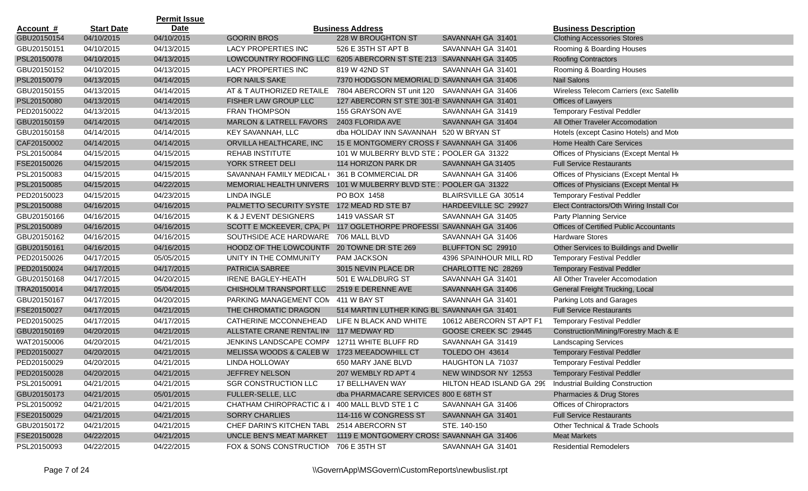|                  |                   | <b>Permit Issue</b> |                                                |                                             |                                                            |                                                |
|------------------|-------------------|---------------------|------------------------------------------------|---------------------------------------------|------------------------------------------------------------|------------------------------------------------|
| <u>Account #</u> | <b>Start Date</b> | <b>Date</b>         |                                                | <b>Business Address</b>                     |                                                            | <b>Business Description</b>                    |
| GBU20150154      | 04/10/2015        | 04/10/2015          | <b>GOORIN BROS</b>                             | 228 W BROUGHTON ST                          | SAVANNAH GA 31401                                          | <b>Clothing Accessories Stores</b>             |
| GBU20150151      | 04/10/2015        | 04/13/2015          | LACY PROPERTIES INC                            | 526 E 35TH ST APT B                         | SAVANNAH GA 31401                                          | Rooming & Boarding Houses                      |
| PSL20150078      | 04/10/2015        | 04/13/2015          | LOWCOUNTRY ROOFING LLC                         | 6205 ABERCORN ST STE 213 SAVANNAH GA 31405  |                                                            | <b>Roofing Contractors</b>                     |
| GBU20150152      | 04/10/2015        | 04/13/2015          | LACY PROPERTIES INC                            | 819 W 42ND ST                               | SAVANNAH GA 31401                                          | Rooming & Boarding Houses                      |
| PSL20150079      | 04/13/2015        | 04/14/2015          | FOR NAILS SAKE                                 | 7370 HODGSON MEMORIAL D SAVANNAH GA 31406   |                                                            | <b>Nail Salons</b>                             |
| GBU20150155      | 04/13/2015        | 04/14/2015          | AT & T AUTHORIZED RETAILE                      | 7804 ABERCORN ST unit 120 SAVANNAH GA 31406 |                                                            | Wireless Telecom Carriers (exc Satellite       |
| PSL20150080      | 04/13/2015        | 04/14/2015          | FISHER LAW GROUP LLC                           | 127 ABERCORN ST STE 301-B SAVANNAH GA 31401 |                                                            | Offices of Lawyers                             |
| PED20150022      | 04/13/2015        | 04/13/2015          | <b>FRAN THOMPSON</b>                           | 155 GRAYSON AVE                             | SAVANNAH GA 31419                                          | <b>Temporary Festival Peddler</b>              |
| GBU20150159      | 04/14/2015        | 04/14/2015          | <b>MARLON &amp; LATRELL FAVORS</b>             | 2403 FLORIDA AVE                            | SAVANNAH GA 31404                                          | All Other Traveler Accomodation                |
| GBU20150158      | 04/14/2015        | 04/14/2015          | <b>KEY SAVANNAH, LLC</b>                       | dba HOLIDAY INN SAVANNAH 520 W BRYAN ST     |                                                            | Hotels (except Casino Hotels) and Mote         |
| CAF20150002      | 04/14/2015        | 04/14/2015          | ORVILLA HEALTHCARE, INC                        | 15 E MONTGOMERY CROSS F SAVANNAH GA 31406   |                                                            | Home Health Care Services                      |
| PSL20150084      | 04/15/2015        | 04/15/2015          | <b>REHAB INSTITUTE</b>                         | 101 W MULBERRY BLVD STE: POOLER GA 31322    |                                                            | Offices of Physicians (Except Mental He        |
| FSE20150026      | 04/15/2015        | 04/15/2015          | YORK STREET DELI                               | 114 HORIZON PARK DR                         | SAVANNAH GA 31405                                          | <b>Full Service Restaurants</b>                |
| PSL20150083      | 04/15/2015        | 04/15/2015          | SAVANNAH FAMILY MEDICAL (                      | 361 B COMMERCIAL DR                         | SAVANNAH GA 31406                                          | Offices of Physicians (Except Mental He        |
| PSL20150085      | 04/15/2015        | 04/22/2015          | <b>MEMORIAL HEALTH UNIVERS</b>                 | 101 W MULBERRY BLVD STE POOLER GA 31322     |                                                            | Offices of Physicians (Except Mental He        |
| PED20150023      | 04/15/2015        | 04/23/2015          | <b>LINDA INGLE</b>                             | PO BOX 1458                                 | BLAIRSVILLE GA 30514                                       | <b>Temporary Festival Peddler</b>              |
| PSL20150088      | 04/16/2015        | 04/16/2015          | PALMETTO SECURITY SYSTE 172 MEAD RD STE B7     |                                             | HARDEEVILLE SC 29927                                       | Elect Contractors/Oth Wiring Install Cor       |
| GBU20150166      | 04/16/2015        | 04/16/2015          | K & J EVENT DESIGNERS                          | 1419 VASSAR ST                              | SAVANNAH GA 31405                                          | <b>Party Planning Service</b>                  |
| PSL20150089      | 04/16/2015        | 04/16/2015          | SCOTT E MCKEEVER, CPA, PI                      | 117 OGLETHORPE PROFESSI SAVANNAH GA 31406   |                                                            | <b>Offices of Certified Public Accountants</b> |
| GBU20150162      | 04/16/2015        | 04/16/2015          | SOUTHSIDE ACE HARDWARE                         | 706 MALL BLVD                               | SAVANNAH GA 31406                                          | <b>Hardware Stores</b>                         |
| GBU20150161      | 04/16/2015        | 04/16/2015          | HOODZ OF THE LOWCOUNTR                         | 20 TOWNE DR STE 269                         | BLUFFTON SC 29910                                          | Other Services to Buildings and Dwellir        |
| PED20150026      | 04/17/2015        | 05/05/2015          | UNITY IN THE COMMUNITY                         | PAM JACKSON                                 | 4396 SPAINHOUR MILL RD                                     | <b>Temporary Festival Peddler</b>              |
| PED20150024      | 04/17/2015        | 04/17/2015          | PATRICIA SABREE                                | 3015 NEVIN PLACE DR                         | CHARLOTTE NC 28269                                         | <b>Temporary Festival Peddler</b>              |
| GBU20150168      | 04/17/2015        | 04/20/2015          | <b>IRENE BAGLEY-HEATH</b>                      | 501 E WALDBURG ST                           | SAVANNAH GA 31401                                          | All Other Traveler Accomodation                |
| TRA20150014      | 04/17/2015        | 05/04/2015          | CHISHOLM TRANSPORT LLC                         | 2519 E DERENNE AVE                          | SAVANNAH GA 31406                                          | General Freight Trucking, Local                |
| GBU20150167      | 04/17/2015        | 04/20/2015          | PARKING MANAGEMENT CON 411 W BAY ST            |                                             | SAVANNAH GA 31401                                          | Parking Lots and Garages                       |
| FSE20150027      | 04/17/2015        | 04/21/2015          | THE CHROMATIC DRAGON                           | 514 MARTIN LUTHER KING BL SAVANNAH GA 31401 |                                                            | <b>Full Service Restaurants</b>                |
| PED20150025      | 04/17/2015        | 04/17/2015          | CATHERINE MCCONNEHEAD                          | LIFE N BLACK AND WHITE                      | 10612 ABERCORN ST APT F1                                   | <b>Temporary Festival Peddler</b>              |
| GBU20150169      | 04/20/2015        | 04/21/2015          | ALLSTATE CRANE RENTAL IN                       | 117 MEDWAY RD                               | GOOSE CREEK SC 29445                                       | Construction/Mining/Forestry Mach & E          |
| WAT20150006      | 04/20/2015        | 04/21/2015          | JENKINS LANDSCAPE COMPA                        | 12711 WHITE BLUFF RD                        | SAVANNAH GA 31419                                          | <b>Landscaping Services</b>                    |
| PED20150027      | 04/20/2015        | 04/21/2015          | MELISSA WOODS & CALEB W                        | 1723 MEEADOWHILL CT                         | TOLEDO OH 43614                                            | <b>Temporary Festival Peddler</b>              |
| PED20150029      | 04/20/2015        | 04/21/2015          | LINDA HOLLOWAY                                 | 650 MARY JANE BLVD                          | HAUGHTON LA 71037                                          | <b>Temporary Festival Peddler</b>              |
| PED20150028      | 04/20/2015        | 04/21/2015          | JEFFREY NELSON                                 | 207 WEMBLY RD APT 4                         | NEW WINDSOR NY 12553 Temporary Festival Peddler            |                                                |
| PSL20150091      | 04/21/2015        | 04/21/2015          | <b>SGR CONSTRUCTION LLC</b>                    | 17 BELLHAVEN WAY                            | HILTON HEAD ISLAND GA 299 Industrial Building Construction |                                                |
| GBU20150173      | 04/21/2015        | 05/01/2015          | FULLER-SELLE, LLC                              | dba PHARMACARE SERVICES 800 E 68TH ST       |                                                            | Pharmacies & Drug Stores                       |
| PSL20150092      | 04/21/2015        | 04/21/2015          | CHATHAM CHIROPRACTIC & I 400 MALL BLVD STE 1 C |                                             | SAVANNAH GA 31406                                          | Offices of Chiropractors                       |
| FSE20150029      | 04/21/2015        | 04/21/2015          | <b>SORRY CHARLIES</b>                          | 114-116 W CONGRESS ST                       | SAVANNAH GA 31401                                          | <b>Full Service Restaurants</b>                |
| GBU20150172      | 04/21/2015        | 04/21/2015          | CHEF DARIN'S KITCHEN TABL 2514 ABERCORN ST     |                                             | STE. 140-150                                               | Other Technical & Trade Schools                |
| FSE20150028      | 04/22/2015        | 04/21/2015          | UNCLE BEN'S MEAT MARKET                        | 1119 E MONTGOMERY CROSS SAVANNAH GA 31406   |                                                            | <b>Meat Markets</b>                            |
| PSL20150093      | 04/22/2015        | 04/22/2015          | FOX & SONS CONSTRUCTION 706 E 35TH ST          |                                             | SAVANNAH GA 31401                                          | <b>Residential Remodelers</b>                  |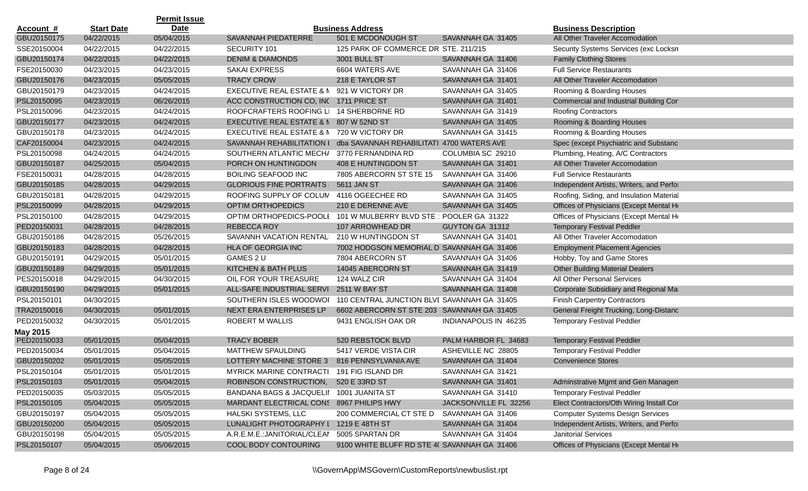|                  |                   | <b>Permit Issue</b> |                                            |                                                                   |                              |                                          |
|------------------|-------------------|---------------------|--------------------------------------------|-------------------------------------------------------------------|------------------------------|------------------------------------------|
| <b>Account #</b> | <b>Start Date</b> | <b>Date</b>         |                                            | <b>Business Address</b>                                           |                              | <b>Business Description</b>              |
| GBU20150175      | 04/22/2015        | 05/04/2015          | SAVANNAH PIEDATERRE                        | 501 E MCDONOUGH ST                                                | SAVANNAH GA 31405            | All Other Traveler Accomodation          |
| SSE20150004      | 04/22/2015        | 04/22/2015          | SECURITY 101                               | 125 PARK OF COMMERCE DR STE. 211/215                              |                              | Security Systems Services (exc Locksn)   |
| GBU20150174      | 04/22/2015        | 04/22/2015          | <b>DENIM &amp; DIAMONDS</b>                | 3001 BULL ST                                                      | SAVANNAH GA 31406            | <b>Family Clothing Stores</b>            |
| FSE20150030      | 04/23/2015        | 04/23/2015          | SAKAI EXPRESS                              | 6604 WATERS AVE                                                   | SAVANNAH GA 31406            | <b>Full Service Restaurants</b>          |
| GBU20150176      | 04/23/2015        | 05/05/2015          | <b>TRACY CROW</b>                          | 218 E TAYLOR ST                                                   | SAVANNAH GA 31401            | All Other Traveler Accomodation          |
| GBU20150179      | 04/23/2015        | 04/24/2015          | EXECUTIVE REAL ESTATE & N 921 W VICTORY DR |                                                                   | SAVANNAH GA 31405            | Rooming & Boarding Houses                |
| PSL20150095      | 04/23/2015        | 06/26/2015          | ACC CONSTRUCTION CO, INC 1711 PRICE ST     |                                                                   | SAVANNAH GA 31401            | Commercial and Industrial Building Cor   |
| PSL20150096      | 04/23/2015        | 04/24/2015          | ROOFCRAFTERS ROOFING LI 14 SHERBORNE RD    |                                                                   | SAVANNAH GA 31419            | Roofing Contractors                      |
| GBU20150177      | 04/23/2015        | 04/24/2015          | EXECUTIVE REAL ESTATE & N 807 W 52ND ST    |                                                                   | SAVANNAH GA 31405            | Rooming & Boarding Houses                |
| GBU20150178      | 04/23/2015        | 04/24/2015          | EXECUTIVE REAL ESTATE & N                  | 720 W VICTORY DR                                                  | SAVANNAH GA 31415            | Rooming & Boarding Houses                |
| CAF20150004      | 04/23/2015        | 04/24/2015          | SAVANNAH REHABILITATION I                  | dba SAVANNAH REHABILITATI 4700 WATERS AVE                         |                              | Spec (except Psychiatric and Substanc    |
| PSL20150098      | 04/24/2015        | 04/24/2015          | SOUTHERN ATLANTIC MECH/ 3770 FERNANDINA RD |                                                                   | COLUMBIA SC 29210            | Plumbing, Heating, A/C Contractors       |
| GBU20150187      | 04/25/2015        | 05/04/2015          | PORCH ON HUNTINGDON                        | 408 E HUNTINGDON ST                                               | SAVANNAH GA 31401            | All Other Traveler Accomodation          |
| FSE20150031      | 04/28/2015        | 04/28/2015          | <b>BOILING SEAFOOD INC</b>                 | 7805 ABERCORN ST STE 15                                           | SAVANNAH GA 31406            | <b>Full Service Restaurants</b>          |
| GBU20150185      | 04/28/2015        | 04/29/2015          | <b>GLORIOUS FINE PORTRAITS</b>             | 5611 JAN ST                                                       | SAVANNAH GA 31406            | Independent Artists, Writers, and Perfor |
| GBU20150181      | 04/28/2015        | 04/29/2015          | ROOFING SUPPLY OF COLUM                    | 4116 OGEECHEE RD                                                  | SAVANNAH GA 31405            | Roofing, Siding, and Insulation Material |
| PSL20150099      | 04/28/2015        | 04/29/2015          | <b>OPTIM ORTHOPEDICS</b>                   | 210 E DERENNE AVE                                                 | SAVANNAH GA 31405            | Offices of Physicians (Except Mental He  |
| PSL20150100      | 04/28/2015        | 04/29/2015          |                                            | OPTIM ORTHOPEDICS-POOLI 101 W MULBERRY BLVD STE ' POOLER GA 31322 |                              | Offices of Physicians (Except Mental He  |
| PED20150031      | 04/28/2015        | 04/28/2015          | <b>REBECCA ROY</b>                         | 107 ARROWHEAD DR                                                  | GUYTON GA 31312              | <b>Temporary Festival Peddler</b>        |
| GBU20150186      | 04/28/2015        | 05/26/2015          | SAVANNH VACATION RENTAL                    | 210 W HUNTINGDON ST                                               | SAVANNAH GA 31401            | All Other Traveler Accomodation          |
| GBU20150183      | 04/28/2015        | 04/28/2015          | HLA OF GEORGIA INC                         | 7002 HODGSON MEMORIAL D SAVANNAH GA 31406                         |                              | <b>Employment Placement Agencies</b>     |
| GBU20150191      | 04/29/2015        | 05/01/2015          | GAMES 2 U                                  | 7804 ABERCORN ST                                                  | SAVANNAH GA 31406            | Hobby, Toy and Game Stores               |
| GBU20150189      | 04/29/2015        | 05/01/2015          | KITCHEN & BATH PLUS                        | 14045 ABERCORN ST                                                 | SAVANNAH GA 31419            | <b>Other Building Material Dealers</b>   |
| PES20150018      | 04/29/2015        | 04/30/2015          | OIL FOR YOUR TREASURE                      | 124 WALZ CIR                                                      | SAVANNAH GA 31404            | All Other Personal Services              |
| GBU20150190      | 04/29/2015        | 05/01/2015          | ALL-SAFE INDUSTRIAL SERVI                  | 2511 W BAY ST                                                     | SAVANNAH GA 31408            | Corporate Subsidiary and Regional Mar    |
| PSL20150101      | 04/30/2015        |                     | SOUTHERN ISLES WOODWOI                     | 110 CENTRAL JUNCTION BLVI SAVANNAH GA 31405                       |                              | <b>Finish Carpentry Contractors</b>      |
| TRA20150016      | 04/30/2015        | 05/01/2015          | NEXT ERA ENTERPRISES LP                    | 6602 ABERCORN ST STE 203 SAVANNAH GA 31405                        |                              | General Freight Trucking, Long-Distanc   |
| PED20150032      | 04/30/2015        | 05/01/2015          | ROBERT M WALLIS                            | 9431 ENGLISH OAK DR                                               | <b>INDIANAPOLIS IN 46235</b> | <b>Temporary Festival Peddler</b>        |
| May 2015         |                   |                     |                                            |                                                                   |                              |                                          |
| PED20150033      | 05/01/2015        | 05/04/2015          | <b>TRACY BOBER</b>                         | 520 REBSTOCK BLVD                                                 | PALM HARBOR FL 34683         | <b>Temporary Festival Peddler</b>        |
| PED20150034      | 05/01/2015        | 05/04/2015          | <b>MATTHEW SPAULDING</b>                   | 5417 VERDE VISTA CIR                                              | ASHEVILLE NC 28805           | <b>Temporary Festival Peddler</b>        |
| GBU20150202      | 05/01/2015        | 05/05/2015          | LOTTERY MACHINE STORE 3                    | 816 PENNSYLVANIA AVE                                              | SAVANNAH GA 31404            | <b>Convenience Stores</b>                |
| PSL20150104      | 05/01/2015        | 05/01/2015          | MYRICK MARINE CONTRACTI 191 FIG ISLAND DR  |                                                                   | SAVANNAH GA 31421            |                                          |
| PSL20150103      | 05/01/2015        | 05/04/2015          | ROBINSON CONSTRUCTION,                     | 520 E 33RD ST                                                     | SAVANNAH GA 31401            | Adminstrative Mgmt and Gen Managen       |
| PED20150035      | 05/03/2015        | 05/05/2015          | BANDANA BAGS & JACQUELII 1001 JUANITA ST   |                                                                   | SAVANNAH GA 31410            | <b>Temporary Festival Peddler</b>        |
| PSL20150105      | 05/04/2015        | 05/05/2015          | MARDANT ELECTRICAL CONS 8967 PHILIPS HWY   |                                                                   | JACKSONVILLE FL 32256        | Elect Contractors/Oth Wiring Install Cor |
| GBU20150197      | 05/04/2015        | 05/05/2015          | HALSKI SYSTEMS, LLC                        | 200 COMMERCIAL CT STE D                                           | SAVANNAH GA 31406            | <b>Computer Systems Design Services</b>  |
| GBU20150200      | 05/04/2015        | 05/05/2015          | LUNALIGHT PHOTOGRAPHY I 1219 E 48TH ST     |                                                                   | SAVANNAH GA 31404            | Independent Artists, Writers, and Perfor |
| GBU20150198      | 05/04/2015        | 05/05/2015          | A.R.E.M.E.: JANITORIAL/CLEAN               | 5005 SPARTAN DR                                                   | SAVANNAH GA 31404            | <b>Janitorial Services</b>               |
| PSL20150107      | 05/04/2015        | 05/06/2015          | COOL BODY CONTOURING                       | 9100 WHITE BLUFF RD STE 4( SAVANNAH GA 31406                      |                              | Offices of Physicians (Except Mental He  |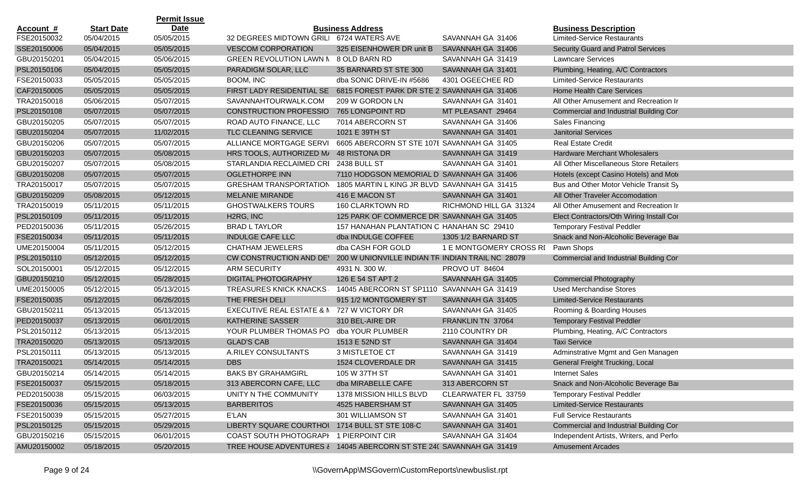|                  |                   | <b>Permit Issue</b> |                                                                     |                                                  |                         |                                          |
|------------------|-------------------|---------------------|---------------------------------------------------------------------|--------------------------------------------------|-------------------------|------------------------------------------|
| <u>Account #</u> | <b>Start Date</b> | <b>Date</b>         |                                                                     | <b>Business Address</b>                          |                         | <b>Business Description</b>              |
| FSE20150032      | 05/04/2015        | 05/05/2015          | 32 DEGREES MIDTOWN GRILI 6724 WATERS AVE                            |                                                  | SAVANNAH GA 31406       | <b>Limited-Service Restaurants</b>       |
| SSE20150006      | 05/04/2015        | 05/05/2015          | <b>VESCOM CORPORATION</b>                                           | 325 EISENHOWER DR unit B                         | SAVANNAH GA 31406       | Security Guard and Patrol Services       |
| GBU20150201      | 05/04/2015        | 05/06/2015          | <b>GREEN REVOLUTION LAWN N</b>                                      | 8 OLD BARN RD                                    | SAVANNAH GA 31419       | <b>Lawncare Services</b>                 |
| PSL20150106      | 05/04/2015        | 05/05/2015          | PARADIGM SOLAR, LLC                                                 | 35 BARNARD ST STE 300                            | SAVANNAH GA 31401       | Plumbing, Heating, A/C Contractors       |
| FSE20150033      | 05/05/2015        | 05/05/2015          | BOOM, INC                                                           | dba SONIC DRIVE-IN #5686                         | 4301 OGEECHEE RD        | <b>Limited-Service Restaurants</b>       |
| CAF20150005      | 05/05/2015        | 05/05/2015          | FIRST LADY RESIDENTIAL SE                                           | 6815 FOREST PARK DR STE 2 SAVANNAH GA 31406      |                         | Home Health Care Services                |
| TRA20150018      | 05/06/2015        | 05/07/2015          | SAVANNAHTOURWALK.COM                                                | 209 W GORDON LN                                  | SAVANNAH GA 31401       | All Other Amusement and Recreation Ir    |
| PSL20150108      | 05/07/2015        | 05/07/2015          | <b>CONSTRUCTION PROFESSIO</b>                                       | 765 LONGPOINT RD                                 | MT PLEASANT 29464       | Commercial and Industrial Building Cor   |
| GBU20150205      | 05/07/2015        | 05/07/2015          | ROAD AUTO FINANCE, LLC                                              | 7014 ABERCORN ST                                 | SAVANNAH GA 31406       | Sales Financing                          |
| GBU20150204      | 05/07/2015        | 11/02/2015          | TLC CLEANING SERVICE                                                | 1021 E 39TH ST                                   | SAVANNAH GA 31401       | <b>Janitorial Services</b>               |
| GBU20150206      | 05/07/2015        | 05/07/2015          | ALLIANCE MORTGAGE SERVI                                             | 6605 ABERCORN ST STE 107E SAVANNAH GA 31405      |                         | <b>Real Estate Credit</b>                |
| GBU20150203      | 05/07/2015        | 05/08/2015          | HRS TOOLS, AUTHORIZED M/                                            | 48 RISTONA DR                                    | SAVANNAH GA 31419       | <b>Hardware Merchant Wholesalers</b>     |
| GBU20150207      | 05/07/2015        | 05/08/2015          | STARLANDIA RECLAIMED CRI 2438 BULL ST                               |                                                  | SAVANNAH GA 31401       | All Other Miscellaneous Store Retailers  |
| GBU20150208      | 05/07/2015        | 05/07/2015          | <b>OGLETHORPE INN</b>                                               | 7110 HODGSON MEMORIAL D SAVANNAH GA 31406        |                         | Hotels (except Casino Hotels) and Mote   |
| TRA20150017      | 05/07/2015        | 05/07/2015          | <b>GRESHAM TRANSPORTATION</b>                                       | 1805 MARTIN L KING JR BLVD SAVANNAH GA 31415     |                         | Bus and Other Motor Vehicle Transit Sy   |
| GBU20150209      | 05/08/2015        | 05/12/2015          | <b>MELANIE MIRANDE</b>                                              | 416 E MACON ST                                   | SAVANNAH GA 31401       | All Other Traveler Accomodation          |
| TRA20150019      | 05/11/2015        | 05/11/2015          | <b>GHOSTWALKERS TOURS</b>                                           | 160 CLARKTOWN RD                                 | RICHMOND HILL GA 31324  | All Other Amusement and Recreation Ir    |
| PSL20150109      | 05/11/2015        | 05/11/2015          | H <sub>2</sub> RG, INC                                              | 125 PARK OF COMMERCE DR SAVANNAH GA 31405        |                         | Elect Contractors/Oth Wiring Install Cor |
| PED20150036      | 05/11/2015        | 05/26/2015          | <b>BRAD L TAYLOR</b>                                                | 157 HANAHAN PLANTATION C HANAHAN SC 29410        |                         | <b>Temporary Festival Peddler</b>        |
| FSE20150034      | 05/11/2015        | 05/11/2015          | <b>INDULGE CAFE LLC</b>                                             | dba INDULGE COFFEE                               | 1305 1/2 BARNARD ST     | Snack and Non-Alcoholic Beverage Bar     |
| UME20150004      | 05/11/2015        | 05/12/2015          | <b>CHATHAM JEWELERS</b>                                             | dba CASH FOR GOLD                                | 1 E MONTGOMERY CROSS RI | Pawn Shops                               |
| PSL20150110      | 05/12/2015        | 05/12/2015          | CW CONSTRUCTION AND DEY                                             | 200 W UNIONVILLE INDIAN TR INDIAN TRAIL NC 28079 |                         | Commercial and Industrial Building Cor   |
| SOL20150001      | 05/12/2015        | 05/12/2015          | <b>ARM SECURITY</b>                                                 | 4931 N. 300 W.                                   | <b>PROVO UT 84604</b>   |                                          |
| GBU20150210      | 05/12/2015        | 05/28/2015          | <b>DIGITAL PHOTOGRAPHY</b>                                          | 126 E 54 ST APT 2                                | SAVANNAH GA 31405       | <b>Commercial Photography</b>            |
| UME20150005      | 05/12/2015        | 05/13/2015          | <b>TREASURES KNICK KNACKS</b>                                       | 14045 ABERCORN ST SP1110 SAVANNAH GA 31419       |                         | <b>Used Merchandise Stores</b>           |
| FSE20150035      | 05/12/2015        | 06/26/2015          | THE FRESH DELI                                                      | 915 1/2 MONTGOMERY ST                            | SAVANNAH GA 31405       | <b>Limited-Service Restaurants</b>       |
| GBU20150211      | 05/13/2015        | 05/13/2015          | EXECUTIVE REAL ESTATE & N                                           | 727 W VICTORY DR                                 | SAVANNAH GA 31405       | Rooming & Boarding Houses                |
| PED20150037      | 05/13/2015        | 06/01/2015          | KATHERINE SASSER                                                    | 310 BEL-AIRE DR                                  | FRANKLIN TN 37064       | <b>Temporary Festival Peddler</b>        |
| PSL20150112      | 05/13/2015        | 05/13/2015          | YOUR PLUMBER THOMAS PO                                              | dba YOUR PLUMBER                                 | 2110 COUNTRY DR         | Plumbing, Heating, A/C Contractors       |
| TRA20150020      | 05/13/2015        | 05/13/2015          | <b>GLAD'S CAB</b>                                                   | 1513 E 52ND ST                                   | SAVANNAH GA 31404       | <b>Taxi Service</b>                      |
| PSL20150111      | 05/13/2015        | 05/13/2015          | A.RILEY CONSULTANTS                                                 | 3 MISTLETOE CT                                   | SAVANNAH GA 31419       | Adminstrative Mgmt and Gen Managen       |
| TRA20150021      | 05/14/2015        | 05/14/2015          | <b>DBS</b>                                                          | 1524 CLOVERDALE DR                               | SAVANNAH GA 31415       | General Freight Trucking, Local          |
| GBU20150214      | 05/14/2015        | 05/14/2015          | <b>BAKS BY GRAHAMGIRL</b>                                           | 105 W 37TH ST                                    | SAVANNAH GA 31401       | <b>Internet Sales</b>                    |
| FSE20150037      | 05/15/2015        | 05/18/2015          | 313 ABERCORN CAFE, LLC                                              | dba MIRABELLE CAFE                               | 313 ABERCORN ST         | Snack and Non-Alcoholic Beverage Bar     |
| PED20150038      | 05/15/2015        | 06/03/2015          | UNITY N THE COMMUNITY                                               | 1378 MISSION HILLS BLVD                          | CLEARWATER FL 33759     | <b>Temporary Festival Peddler</b>        |
| FSE20150036      | 05/15/2015        | 05/13/2015          | <b>BARBERITOS</b>                                                   | 4525 HABERSHAM ST                                | SAVANNAH GA 31405       | <b>Limited-Service Restaurants</b>       |
| FSE20150039      | 05/15/2015        | 05/27/2015          | E'LAN                                                               | 301 WILLIAMSON ST                                | SAVANNAH GA 31401       | <b>Full Service Restaurants</b>          |
| PSL20150125      | 05/15/2015        | 05/29/2015          | LIBERTY SQUARE COURTHOL 1714 BULL ST STE 108-C                      |                                                  | SAVANNAH GA 31401       | Commercial and Industrial Building Cor   |
| GBU20150216      | 05/15/2015        | 06/01/2015          | COAST SOUTH PHOTOGRAPI 1 PIERPOINT CIR                              |                                                  | SAVANNAH GA 31404       | Independent Artists, Writers, and Perfor |
| AMU20150002      | 05/18/2015        | 05/20/2015          | TREE HOUSE ADVENTURES & 14045 ABERCORN ST STE 24( SAVANNAH GA 31419 |                                                  |                         | <b>Amusement Arcades</b>                 |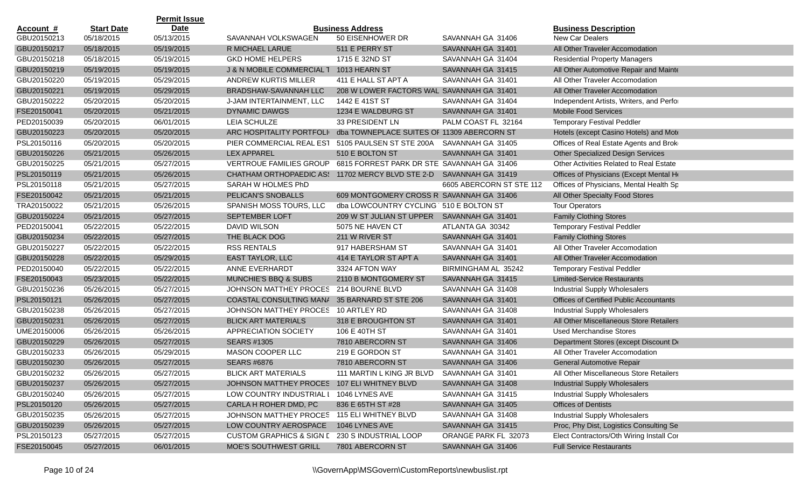|                  |                   | <b>Permit Issue</b> |                                               |                                             |                          |                                                |
|------------------|-------------------|---------------------|-----------------------------------------------|---------------------------------------------|--------------------------|------------------------------------------------|
| <u>Account #</u> | <b>Start Date</b> | Date                |                                               | <b>Business Address</b>                     |                          | <b>Business Description</b>                    |
| GBU20150213      | 05/18/2015        | 05/13/2015          | SAVANNAH VOLKSWAGEN                           | 50 EISENHOWER DR                            | SAVANNAH GA 31406        | New Car Dealers                                |
| GBU20150217      | 05/18/2015        | 05/19/2015          | R MICHAEL LARUE                               | 511 E PERRY ST                              | SAVANNAH GA 31401        | All Other Traveler Accomodation                |
| GBU20150218      | 05/18/2015        | 05/19/2015          | <b>GKD HOME HELPERS</b>                       | 1715 E 32ND ST                              | SAVANNAH GA 31404        | <b>Residential Property Managers</b>           |
| GBU20150219      | 05/19/2015        | 05/19/2015          | J & N MOBILE COMMERCIAL T                     | 1013 HEARN ST                               | SAVANNAH GA 31415        | All Other Automotive Repair and Mainte         |
| GBU20150220      | 05/19/2015        | 05/29/2015          | ANDREW KURTIS MILLER                          | 411 E HALL ST APT A                         | SAVANNAH GA 31401        | All Other Traveler Accomodation                |
| GBU20150221      | 05/19/2015        | 05/29/2015          | BRADSHAW-SAVANNAH LLC                         | 208 W LOWER FACTORS WAL SAVANNAH GA 31401   |                          | All Other Traveler Accomodation                |
| GBU20150222      | 05/20/2015        | 05/20/2015          | J-JAM INTERTAINMENT, LLC                      | 1442 E 41ST ST                              | SAVANNAH GA 31404        | Independent Artists, Writers, and Perfor       |
| FSE20150041      | 05/20/2015        | 05/21/2015          | <b>DYNAMIC DAWGS</b>                          | 1234 E WALDBURG ST                          | SAVANNAH GA 31401        | <b>Mobile Food Services</b>                    |
| PED20150039      | 05/20/2015        | 06/01/2015          | <b>LEIA SCHULZE</b>                           | 33 PRESIDENT LN                             | PALM COAST FL 32164      | <b>Temporary Festival Peddler</b>              |
| GBU20150223      | 05/20/2015        | 05/20/2015          | ARC HOSPITALITY PORTFOLI                      | dba TOWNEPLACE SUITES OF 11309 ABERCORN ST  |                          | Hotels (except Casino Hotels) and Mote         |
| PSL20150116      | 05/20/2015        | 05/20/2015          | PIER COMMERCIAL REAL EST                      | 5105 PAULSEN ST STE 200A SAVANNAH GA 31405  |                          | Offices of Real Estate Agents and Brok         |
| GBU20150226      | 05/21/2015        | 05/26/2015          | <b>LEX APPAREL</b>                            | 510 E BOLTON ST                             | SAVANNAH GA 31401        | <b>Other Specialized Design Services</b>       |
| GBU20150225      | 05/21/2015        | 05/27/2015          | <b>VERTROUE FAMILIES GROUP</b>                | 6815 FORREST PARK DR STE SAVANNAH GA 31406  |                          | Other Activities Related to Real Estate        |
| PSL20150119      | 05/21/2015        | 05/26/2015          | <b>CHATHAM ORTHOPAEDIC ASS</b>                | 11702 MERCY BLVD STE 2-D SAVANNAH GA 31419  |                          | Offices of Physicians (Except Mental He        |
| PSL20150118      | 05/21/2015        | 05/27/2015          | SARAH W HOLMES PhD                            |                                             | 6605 ABERCORN ST STE 112 | Offices of Physicians, Mental Health Sp        |
| FSE20150042      | 05/21/2015        | 05/21/2015          | PELICAN'S SNOBALLS                            | 609 MONTGOMERY CROSS R SAVANNAH GA 31406    |                          | All Other Specialty Food Stores                |
| TRA20150022      | 05/21/2015        | 05/26/2015          | SPANISH MOSS TOURS, LLC                       | dba LOWCOUNTRY CYCLING 510 E BOLTON ST      |                          | <b>Tour Operators</b>                          |
| GBU20150224      | 05/21/2015        | 05/27/2015          | <b>SEPTEMBER LOFT</b>                         | 209 W ST JULIAN ST UPPER SAVANNAH GA 31401  |                          | <b>Family Clothing Stores</b>                  |
| PED20150041      | 05/22/2015        | 05/22/2015          | <b>DAVID WILSON</b>                           | 5075 NE HAVEN CT                            | ATLANTA GA 30342         | <b>Temporary Festival Peddler</b>              |
| GBU20150234      | 05/22/2015        | 05/27/2015          | THE BLACK DOG                                 | 211 W RIVER ST                              | SAVANNAH GA 31401        | <b>Family Clothing Stores</b>                  |
| GBU20150227      | 05/22/2015        | 05/22/2015          | <b>RSS RENTALS</b>                            | 917 HABERSHAM ST                            | SAVANNAH GA 31401        | All Other Traveler Accomodation                |
| GBU20150228      | 05/22/2015        | 05/29/2015          | <b>EAST TAYLOR, LLC</b>                       | 414 E TAYLOR ST APT A                       | SAVANNAH GA 31401        | All Other Traveler Accomodation                |
| PED20150040      | 05/22/2015        | 05/22/2015          | ANNE EVERHARDT                                | 3324 AFTON WAY                              | BIRMINGHAM AL 35242      | <b>Temporary Festival Peddler</b>              |
| FSE20150043      | 05/23/2015        | 05/22/2015          | MUNCHIE'S BBQ & SUBS                          | 2110 B MONTGOMERY ST                        | SAVANNAH GA 31415        | <b>Limited-Service Restaurants</b>             |
| GBU20150236      | 05/26/2015        | 05/27/2015          | JOHNSON MATTHEY PROCES                        | 214 BOURNE BLVD                             | SAVANNAH GA 31408        | <b>Industrial Supply Wholesalers</b>           |
| PSL20150121      | 05/26/2015        | 05/27/2015          | COASTAL CONSULTING MAN/ 35 BARNARD ST STE 206 |                                             | SAVANNAH GA 31401        | <b>Offices of Certified Public Accountants</b> |
| GBU20150238      | 05/26/2015        | 05/27/2015          | JOHNSON MATTHEY PROCES 10 ARTLEY RD           |                                             | SAVANNAH GA 31408        | <b>Industrial Supply Wholesalers</b>           |
| GBU20150231      | 05/26/2015        | 05/27/2015          | <b>BLICK ART MATERIALS</b>                    | 318 E BROUGHTON ST                          | SAVANNAH GA 31401        | All Other Miscellaneous Store Retailers        |
| UME20150006      | 05/26/2015        | 05/26/2015          | APPRECIATION SOCIETY                          | 106 E 40TH ST                               | SAVANNAH GA 31401        | <b>Used Merchandise Stores</b>                 |
| GBU20150229      | 05/26/2015        | 05/27/2015          | <b>SEARS #1305</b>                            | 7810 ABERCORN ST                            | SAVANNAH GA 31406        | Department Stores (except Discount De          |
| GBU20150233      | 05/26/2015        | 05/29/2015          | MASON COOPER LLC                              | 219 E GORDON ST                             | SAVANNAH GA 31401        | All Other Traveler Accomodation                |
| GBU20150230      | 05/26/2015        | 05/27/2015          | <b>SEARS #6876</b>                            | 7810 ABERCORN ST                            | SAVANNAH GA 31406        | General Automotive Repair                      |
| GBU20150232      | 05/26/2015        | 05/27/2015          | <b>BLICK ART MATERIALS</b>                    | 111 MARTIN L KING JR BLVD SAVANNAH GA 31401 |                          | All Other Miscellaneous Store Retailers        |
| GBU20150237      | 05/26/2015        | 05/27/2015          | JOHNSON MATTHEY PROCES 107 ELI WHITNEY BLVD   |                                             | SAVANNAH GA 31408        | <b>Industrial Supply Wholesalers</b>           |
| GBU20150240      | 05/26/2015        | 05/27/2015          | LOW COUNTRY INDUSTRIAL I                      | 1046 LYNES AVE                              | SAVANNAH GA 31415        | <b>Industrial Supply Wholesalers</b>           |
| PSL20150120      | 05/26/2015        | 05/27/2015          | CARLA H ROHER DMD, PC                         | 836 E 65TH ST #28                           | SAVANNAH GA 31405        | <b>Offices of Dentists</b>                     |
| GBU20150235      | 05/26/2015        | 05/27/2015          | JOHNSON MATTHEY PROCES 115 ELI WHITNEY BLVD   |                                             | SAVANNAH GA 31408        | <b>Industrial Supply Wholesalers</b>           |
| GBU20150239      | 05/26/2015        | 05/27/2015          | LOW COUNTRY AEROSPACE                         | 1046 LYNES AVE                              | SAVANNAH GA 31415        | Proc, Phy Dist, Logistics Consulting Se        |
| PSL20150123      | 05/27/2015        | 05/27/2015          | <b>CUSTOM GRAPHICS &amp; SIGN L</b>           | 230 S INDUSTRIAL LOOP                       | ORANGE PARK FL 32073     | Elect Contractors/Oth Wiring Install Cor       |
| FSE20150045      | 05/27/2015        | 06/01/2015          | MOE'S SOUTHWEST GRILL                         | 7801 ABERCORN ST                            | SAVANNAH GA 31406        | <b>Full Service Restaurants</b>                |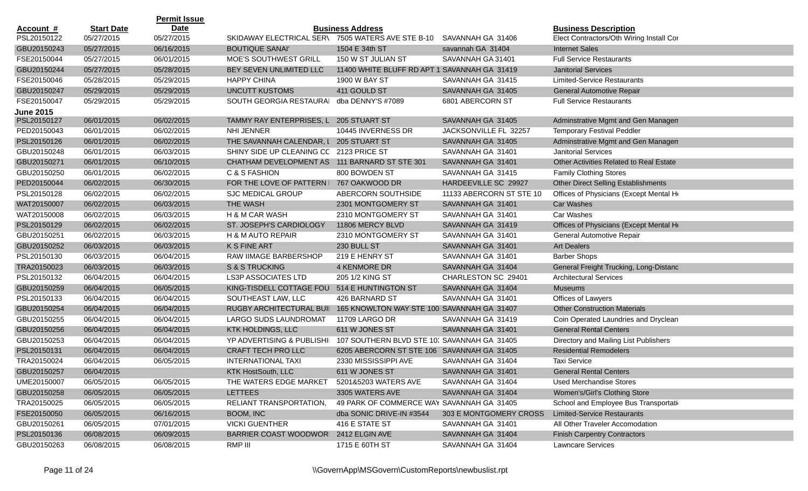|                  |                   | <b>Permit Issue</b> |                                                   |                                              |                          |                                                |
|------------------|-------------------|---------------------|---------------------------------------------------|----------------------------------------------|--------------------------|------------------------------------------------|
| <u>Account #</u> | <b>Start Date</b> | <b>Date</b>         |                                                   | <b>Business Address</b>                      |                          | <b>Business Description</b>                    |
| PSL20150122      | 05/27/2015        | 05/27/2015          | SKIDAWAY ELECTRICAL SER\ 7505 WATERS AVE STE B-10 |                                              | SAVANNAH GA 31406        | Elect Contractors/Oth Wiring Install Cor       |
| GBU20150243      | 05/27/2015        | 06/16/2015          | <b>BOUTIQUE SANAI'</b>                            | 1504 E 34th ST                               | savannah GA 31404        | <b>Internet Sales</b>                          |
| FSE20150044      | 05/27/2015        | 06/01/2015          | MOE'S SOUTHWEST GRILL                             | 150 W ST JULIAN ST                           | SAVANNAH GA 31401        | <b>Full Service Restaurants</b>                |
| GBU20150244      | 05/27/2015        | 05/28/2015          | BEY SEVEN UNLIMITED LLC                           | 11400 WHITE BLUFF RD APT 1 SAVANNAH GA 31419 |                          | <b>Janitorial Services</b>                     |
| FSE20150046      | 05/28/2015        | 05/29/2015          | <b>HAPPY CHINA</b>                                | 1900 W BAY ST                                | SAVANNAH GA 31415        | <b>Limited-Service Restaurants</b>             |
| GBU20150247      | 05/29/2015        | 05/29/2015          | UNCUTT KUSTOMS                                    | 411 GOULD ST                                 | SAVANNAH GA 31405        | General Automotive Repair                      |
| FSE20150047      | 05/29/2015        | 05/29/2015          | SOUTH GEORGIA RESTAURAI                           | dba DENNY'S #7089                            | 6801 ABERCORN ST         | <b>Full Service Restaurants</b>                |
| <b>June 2015</b> |                   |                     |                                                   |                                              |                          |                                                |
| PSL20150127      | 06/01/2015        | 06/02/2015          | TAMMY RAY ENTERPRISES, L 205 STUART ST            |                                              | SAVANNAH GA 31405        | Adminstrative Mgmt and Gen Managen             |
| PED20150043      | 06/01/2015        | 06/02/2015          | NHI JENNER                                        | 10445 INVERNESS DR                           | JACKSONVILLE FL 32257    | <b>Temporary Festival Peddler</b>              |
| PSL20150126      | 06/01/2015        | 06/02/2015          | THE SAVANNAH CALENDAR, I                          | 205 STUART ST                                | SAVANNAH GA 31405        | Adminstrative Mgmt and Gen Managen             |
| GBU20150248      | 06/01/2015        | 06/03/2015          | SHINY SIDE UP CLEANING CC 2123 PRICE ST           |                                              | SAVANNAH GA 31401        | <b>Janitorial Services</b>                     |
| GBU20150271      | 06/01/2015        | 06/10/2015          | CHATHAM DEVELOPMENT AS 111 BARNARD ST STE 301     |                                              | SAVANNAH GA 31401        | <b>Other Activities Related to Real Estate</b> |
| GBU20150250      | 06/01/2015        | 06/02/2015          | C & S FASHION                                     | 800 BOWDEN ST                                | SAVANNAH GA 31415        | <b>Family Clothing Stores</b>                  |
| PED20150044      | 06/02/2015        | 06/30/2015          | FOR THE LOVE OF PATTERN I                         | 767 OAKWOOD DR                               | HARDEEVILLE SC 29927     | <b>Other Direct Selling Establishments</b>     |
| PSL20150128      | 06/02/2015        | 06/02/2015          | <b>SJC MEDICAL GROUP</b>                          | ABERCORN SOUTHSIDE                           | 11133 ABERCORN ST STE 10 | Offices of Physicians (Except Mental He        |
| WAT20150007      | 06/02/2015        | 06/03/2015          | THE WASH                                          | 2301 MONTGOMERY ST                           | SAVANNAH GA 31401        | Car Washes                                     |
| WAT20150008      | 06/02/2015        | 06/03/2015          | <b>H &amp; M CAR WASH</b>                         | 2310 MONTGOMERY ST                           | SAVANNAH GA 31401        | Car Washes                                     |
| PSL20150129      | 06/02/2015        | 06/02/2015          | ST. JOSEPH'S CARDIOLOGY                           | 11806 MERCY BLVD                             | SAVANNAH GA 31419        | Offices of Physicians (Except Mental He        |
| GBU20150251      | 06/02/2015        | 06/03/2015          | H & M AUTO REPAIR                                 | 2310 MONTGOMERY ST                           | SAVANNAH GA 31401        | General Automotive Repair                      |
| GBU20150252      | 06/03/2015        | 06/03/2015          | K S FINE ART                                      | 230 BULL ST                                  | SAVANNAH GA 31401        | <b>Art Dealers</b>                             |
| PSL20150130      | 06/03/2015        | 06/04/2015          | RAW IIMAGE BARBERSHOP                             | 219 E HENRY ST                               | SAVANNAH GA 31401        | <b>Barber Shops</b>                            |
| TRA20150023      | 06/03/2015        | 06/03/2015          | S & S TRUCKING                                    | 4 KENMORE DR                                 | SAVANNAH GA 31404        | General Freight Trucking, Long-Distanc         |
| PSL20150132      | 06/04/2015        | 06/04/2015          | <b>LS3P ASSOCIATES LTD</b>                        | 205 1/2 KING ST                              | CHARLESTON SC 29401      | <b>Architectural Services</b>                  |
| GBU20150259      | 06/04/2015        | 06/05/2015          | KING-TISDELL COTTAGE FOU                          | 514 E HUNTINGTON ST                          | SAVANNAH GA 31404        | <b>Museums</b>                                 |
| PSL20150133      | 06/04/2015        | 06/04/2015          | SOUTHEAST LAW, LLC                                | 426 BARNARD ST                               | SAVANNAH GA 31401        | Offices of Lawyers                             |
| GBU20150254      | 06/04/2015        | 06/04/2015          | RUGBY ARCHITECTURAL BUII                          | 165 KNOWLTON WAY STE 100 SAVANNAH GA 31407   |                          | <b>Other Construction Materials</b>            |
| GBU20150255      | 06/04/2015        | 06/04/2015          | LARGO SUDS LAUNDROMAT                             | 11709 LARGO DR                               | SAVANNAH GA 31419        | Coin Operated Laundries and Dryclean           |
| GBU20150256      | 06/04/2015        | 06/04/2015          | <b>KTK HOLDINGS, LLC</b>                          | 611 W JONES ST                               | SAVANNAH GA 31401        | <b>General Rental Centers</b>                  |
| GBU20150253      | 06/04/2015        | 06/04/2015          | YP ADVERTISING & PUBLISHII                        | 107 SOUTHERN BLVD STE 10. SAVANNAH GA 31405  |                          | Directory and Mailing List Publishers          |
| PSL20150131      | 06/04/2015        | 06/04/2015          | CRAFT TECH PRO LLC                                | 6205 ABERCORN ST STE 106 SAVANNAH GA 31405   |                          | <b>Residential Remodelers</b>                  |
| TRA20150024      | 06/04/2015        | 06/05/2015          | <b>INTERNATIONAL TAXI</b>                         | 2330 MISSISSIPPI AVE                         | SAVANNAH GA 31404        | <b>Taxi Service</b>                            |
| GBU20150257      | 06/04/2015        |                     | KTK HostSouth, LLC                                | 611 W JONES ST                               | SAVANNAH GA 31401        | <b>General Rental Centers</b>                  |
| UME20150007      | 06/05/2015        | 06/05/2015          | THE WATERS EDGE MARKET                            | 5201&5203 WATERS AVE                         | SAVANNAH GA 31404        | <b>Used Merchandise Stores</b>                 |
| GBU20150258      | 06/05/2015        | 06/05/2015          | LETTEES                                           | 3305 WATERS AVE                              | SAVANNAH GA 31404        | Women's/Girl's Clothing Store                  |
| TRA20150025      | 06/05/2015        | 06/05/2015          | RELIANT TRANSPORTATION,                           | 49 PARK OF COMMERCE WAY SAVANNAH GA 31405    |                          | School and Employee Bus Transportation         |
| FSE20150050      | 06/05/2015        | 06/16/2015          | BOOM, INC                                         | dba SONIC DRIVE-IN #3544                     | 303 E MONTGOMERY CROSS   | <b>Limited-Service Restaurants</b>             |
| GBU20150261      | 06/05/2015        | 07/01/2015          | <b>VICKI GUENTHER</b>                             | 416 E STATE ST                               | SAVANNAH GA 31401        | All Other Traveler Accomodation                |
| PSL20150136      | 06/08/2015        | 06/09/2015          | BARRIER COAST WOODWOR 2412 ELGIN AVE              |                                              | SAVANNAH GA 31404        | <b>Finish Carpentry Contractors</b>            |
| GBU20150263      | 06/08/2015        | 06/08/2015          | RMP III                                           | 1715 E 60TH ST                               | SAVANNAH GA 31404        | <b>Lawncare Services</b>                       |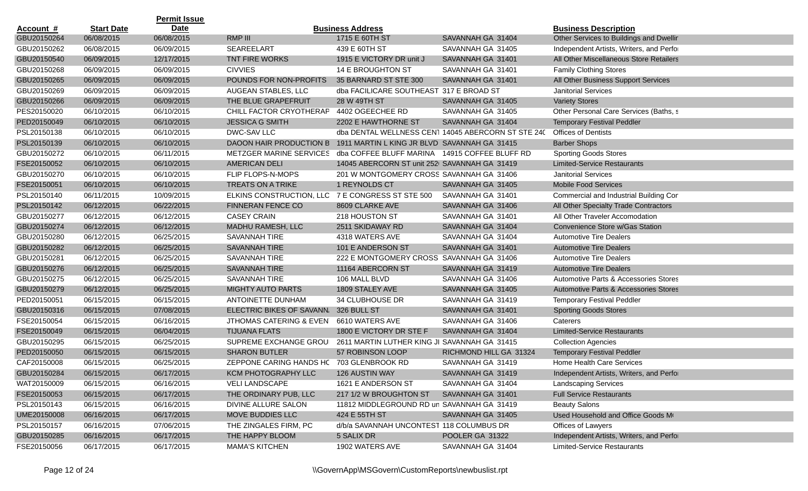|                  |                   | <b>Permit Issue</b> |                                          |                                               |                                                    |                                          |
|------------------|-------------------|---------------------|------------------------------------------|-----------------------------------------------|----------------------------------------------------|------------------------------------------|
| <u>Account #</u> | <b>Start Date</b> | <b>Date</b>         |                                          | <b>Business Address</b>                       |                                                    | <b>Business Description</b>              |
| GBU20150264      | 06/08/2015        | 06/08/2015          | RMP III                                  | 1715 E 60TH ST                                | SAVANNAH GA 31404                                  | Other Services to Buildings and Dwellir  |
| GBU20150262      | 06/08/2015        | 06/09/2015          | SEAREELART                               | 439 E 60TH ST                                 | SAVANNAH GA 31405                                  | Independent Artists, Writers, and Perfor |
| GBU20150540      | 06/09/2015        | 12/17/2015          | <b>TNT FIRE WORKS</b>                    | 1915 E VICTORY DR unit J                      | SAVANNAH GA 31401                                  | All Other Miscellaneous Store Retailers  |
| GBU20150268      | 06/09/2015        | 06/09/2015          | <b>CIVVIES</b>                           | 14 E BROUGHTON ST                             | SAVANNAH GA 31401                                  | <b>Family Clothing Stores</b>            |
| GBU20150265      | 06/09/2015        | 06/09/2015          | POUNDS FOR NON-PROFITS                   | 35 BARNARD ST STE 300                         | SAVANNAH GA 31401                                  | All Other Business Support Services      |
| GBU20150269      | 06/09/2015        | 06/09/2015          | AUGEAN STABLES, LLC                      | dba FACILICARE SOUTHEAST 317 E BROAD ST       |                                                    | <b>Janitorial Services</b>               |
| GBU20150266      | 06/09/2015        | 06/09/2015          | THE BLUE GRAPEFRUIT                      | 28 W 49TH ST                                  | SAVANNAH GA 31405                                  | <b>Variety Stores</b>                    |
| PES20150020      | 06/10/2015        | 06/10/2015          | CHILL FACTOR CRYOTHERAP                  | 4402 OGEECHEE RD                              | SAVANNAH GA 31405                                  | Other Personal Care Services (Baths, s   |
| PED20150049      | 06/10/2015        | 06/10/2015          | <b>JESSICA G SMITH</b>                   | 2202 E HAWTHORNE ST                           | SAVANNAH GA 31404                                  | <b>Temporary Festival Peddler</b>        |
| PSL20150138      | 06/10/2015        | 06/10/2015          | DWC-SAV LLC                              |                                               | dba DENTAL WELLNESS CEN1 14045 ABERCORN ST STE 240 | <b>Offices of Dentists</b>               |
| PSL20150139      | 06/10/2015        | 06/10/2015          | DAOON HAIR PRODUCTION B                  | 1911 MARTIN L KING JR BLVD SAVANNAH GA 31415  |                                                    | <b>Barber Shops</b>                      |
| GBU20150272      | 06/10/2015        | 06/11/2015          | METZGER MARINE SERVICES                  | dba COFFEE BLUFF MARINA 14915 COFFEE BLUFF RD |                                                    | <b>Sporting Goods Stores</b>             |
| FSE20150052      | 06/10/2015        | 06/10/2015          | AMERICAN DELI                            | 14045 ABERCORN ST unit 252 SAVANNAH GA 31419  |                                                    | <b>Limited-Service Restaurants</b>       |
| GBU20150270      | 06/10/2015        | 06/10/2015          | FLIP FLOPS-N-MOPS                        | 201 W MONTGOMERY CROSS SAVANNAH GA 31406      |                                                    | <b>Janitorial Services</b>               |
| FSE20150051      | 06/10/2015        | 06/10/2015          | <b>TREATS ON A TRIKE</b>                 | 1 REYNOLDS CT                                 | SAVANNAH GA 31405                                  | <b>Mobile Food Services</b>              |
| PSL20150140      | 06/11/2015        | 10/09/2015          | ELKINS CONSTRUCTION, LLC                 | 7 E CONGRESS ST STE 500                       | SAVANNAH GA 31401                                  | Commercial and Industrial Building Cor   |
| PSL20150142      | 06/12/2015        | 06/22/2015          | <b>FINNERAN FENCE CO</b>                 | 8609 CLARKE AVE                               | SAVANNAH GA 31406                                  | All Other Specialty Trade Contractors    |
| GBU20150277      | 06/12/2015        | 06/12/2015          | <b>CASEY CRAIN</b>                       | 218 HOUSTON ST                                | SAVANNAH GA 31401                                  | All Other Traveler Accomodation          |
| GBU20150274      | 06/12/2015        | 06/12/2015          | MADHU RAMESH, LLC                        | 2511 SKIDAWAY RD                              | SAVANNAH GA 31404                                  | Convenience Store w/Gas Station          |
| GBU20150280      | 06/12/2015        | 06/25/2015          | <b>SAVANNAH TIRE</b>                     | 4318 WATERS AVE                               | SAVANNAH GA 31404                                  | <b>Automotive Tire Dealers</b>           |
| GBU20150282      | 06/12/2015        | 06/25/2015          | <b>SAVANNAH TIRE</b>                     | 101 E ANDERSON ST                             | SAVANNAH GA 31401                                  | <b>Automotive Tire Dealers</b>           |
| GBU20150281      | 06/12/2015        | 06/25/2015          | SAVANNAH TIRE                            | 222 E MONTGOMERY CROSS SAVANNAH GA 31406      |                                                    | <b>Automotive Tire Dealers</b>           |
| GBU20150276      | 06/12/2015        | 06/25/2015          | <b>SAVANNAH TIRE</b>                     | 11164 ABERCORN ST                             | SAVANNAH GA 31419                                  | <b>Automotive Tire Dealers</b>           |
| GBU20150275      | 06/12/2015        | 06/25/2015          | SAVANNAH TIRE                            | 106 MALL BLVD                                 | SAVANNAH GA 31406                                  | Automotive Parts & Accessories Stores    |
| GBU20150279      | 06/12/2015        | 06/25/2015          | <b>MIGHTY AUTO PARTS</b>                 | 1809 STALEY AVE                               | SAVANNAH GA 31405                                  | Automotive Parts & Accessories Stores    |
| PED20150051      | 06/15/2015        | 06/15/2015          | ANTOINETTE DUNHAM                        | 34 CLUBHOUSE DR                               | SAVANNAH GA 31419                                  | <b>Temporary Festival Peddler</b>        |
| GBU20150316      | 06/15/2015        | 07/08/2015          | ELECTRIC BIKES OF SAVANN.                | 326 BULL ST                                   | SAVANNAH GA 31401                                  | <b>Sporting Goods Stores</b>             |
| FSE20150054      | 06/15/2015        | 06/16/2015          | JTHOMAS CATERING & EVEN                  | 6610 WATERS AVE                               | SAVANNAH GA 31406                                  | Caterers                                 |
| FSE20150049      | 06/15/2015        | 06/04/2015          | <b>TIJUANA FLATS</b>                     | 1800 E VICTORY DR STE F                       | SAVANNAH GA 31404                                  | <b>Limited-Service Restaurants</b>       |
| GBU20150295      | 06/15/2015        | 06/25/2015          | SUPREME EXCHANGE GROU                    | 2611 MARTIN LUTHER KING JI SAVANNAH GA 31415  |                                                    | <b>Collection Agencies</b>               |
| PED20150050      | 06/15/2015        | 06/15/2015          | <b>SHARON BUTLER</b>                     | 57 ROBINSON LOOP                              | RICHMOND HILL GA 31324                             | <b>Temporary Festival Peddler</b>        |
| CAF20150008      | 06/15/2015        | 06/25/2015          | ZEPPONE CARING HANDS HC 703 GLENBROOK RD |                                               | SAVANNAH GA 31419                                  | Home Health Care Services                |
| GBU20150284      | 06/15/2015        | 06/17/2015          | KCM PHOTOGRAPHY LLC                      | 126 AUSTIN WAY                                | SAVANNAH GA 31419                                  | Independent Artists, Writers, and Perfor |
| WAT20150009      | 06/15/2015        | 06/16/2015          | <b>VELI LANDSCAPE</b>                    | 1621 E ANDERSON ST                            | SAVANNAH GA 31404                                  | <b>Landscaping Services</b>              |
| FSE20150053      | 06/15/2015        | 06/17/2015          | THE ORDINARY PUB, LLC                    | 217 1/2 W BROUGHTON ST                        | SAVANNAH GA 31401                                  | <b>Full Service Restaurants</b>          |
| PSL20150143      | 06/15/2015        | 06/16/2015          | DIVINE ALLURE SALON                      | 11812 MIDDLEGROUND RD un SAVANNAH GA 31419    |                                                    | <b>Beauty Salons</b>                     |
| UME20150008      | 06/16/2015        | 06/17/2015          | MOVE BUDDIES LLC                         | 424 E 55TH ST                                 | SAVANNAH GA 31405                                  | Used Household and Office Goods Mo       |
| PSL20150157      | 06/16/2015        | 07/06/2015          | THE ZINGALES FIRM, PC                    | d/b/a SAVANNAH UNCONTEST 118 COLUMBUS DR      |                                                    | Offices of Lawyers                       |
| GBU20150285      | 06/16/2015        | 06/17/2015          | THE HAPPY BLOOM                          | 5 SALIX DR                                    | POOLER GA 31322                                    | Independent Artists, Writers, and Perfor |
| FSE20150056      | 06/17/2015        | 06/17/2015          | <b>MAMA'S KITCHEN</b>                    | 1902 WATERS AVE                               | SAVANNAH GA 31404                                  | <b>Limited-Service Restaurants</b>       |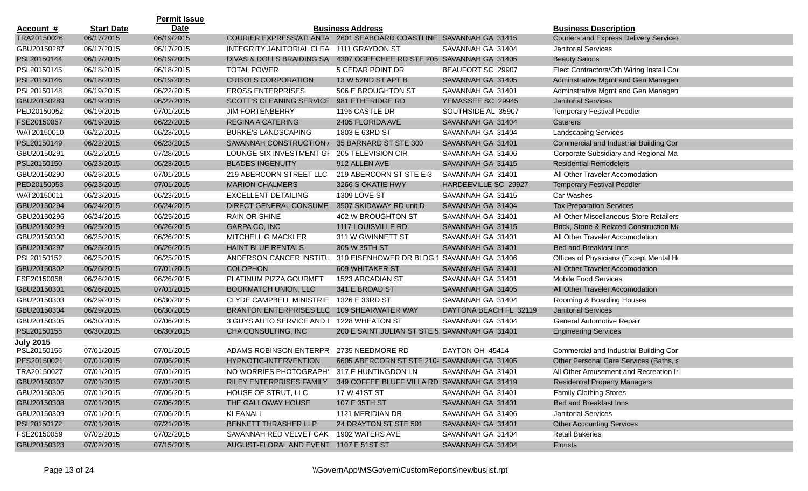|                  |                   | <b>Permit Issue</b> |                                                                      |                                               |                        |                                               |
|------------------|-------------------|---------------------|----------------------------------------------------------------------|-----------------------------------------------|------------------------|-----------------------------------------------|
| <b>Account #</b> | <b>Start Date</b> | <b>Date</b>         |                                                                      | <b>Business Address</b>                       |                        | <b>Business Description</b>                   |
| TRA20150026      | 06/17/2015        | 06/19/2015          | COURIER EXPRESS/ATLANTA 2601 SEABOARD COASTLINE SAVANNAH GA 31415    |                                               |                        | <b>Couriers and Express Delivery Services</b> |
| GBU20150287      | 06/17/2015        | 06/17/2015          | INTEGRITY JANITORIAL CLEA                                            | 1111 GRAYDON ST                               | SAVANNAH GA 31404      | <b>Janitorial Services</b>                    |
| PSL20150144      | 06/17/2015        | 06/19/2015          | DIVAS & DOLLS BRAIDING SA 4307 OGEECHEE RD STE 205 SAVANNAH GA 31405 |                                               |                        | <b>Beauty Salons</b>                          |
| PSL20150145      | 06/18/2015        | 06/18/2015          | <b>TOTAL POWER</b>                                                   | 5 CEDAR POINT DR                              | BEAUFORT SC 29907      | Elect Contractors/Oth Wiring Install Cor      |
| PSL20150146      | 06/18/2015        | 06/19/2015          | <b>CRISOLS CORPORATION</b>                                           | 13 W 52ND ST APT B                            | SAVANNAH GA 31405      | Adminstrative Mgmt and Gen Managen            |
| PSL20150148      | 06/19/2015        | 06/22/2015          | <b>EROSS ENTERPRISES</b>                                             | 506 E BROUGHTON ST                            | SAVANNAH GA 31401      | Adminstrative Mgmt and Gen Managen            |
| GBU20150289      | 06/19/2015        | 06/22/2015          | SCOTT'S CLEANING SERVICE 981 ETHERIDGE RD                            |                                               | YEMASSEE SC 29945      | <b>Janitorial Services</b>                    |
| PED20150052      | 06/19/2015        | 07/01/2015          | <b>JIM FORTENBERRY</b>                                               | 1196 CASTLE DR                                | SOUTHSIDE AL 35907     | <b>Temporary Festival Peddler</b>             |
| FSE20150057      | 06/19/2015        | 06/22/2015          | REGINA A CATERING                                                    | 2405 FLORIDA AVE                              | SAVANNAH GA 31404      | Caterers                                      |
| WAT20150010      | 06/22/2015        | 06/23/2015          | <b>BURKE'S LANDSCAPING</b>                                           | 1803 E 63RD ST                                | SAVANNAH GA 31404      | <b>Landscaping Services</b>                   |
| PSL20150149      | 06/22/2015        | 06/23/2015          | SAVANNAH CONSTRUCTION /                                              | 35 BARNARD ST STE 300                         | SAVANNAH GA 31401      | Commercial and Industrial Building Cor        |
| GBU20150291      | 06/22/2015        | 07/28/2015          | LOUNGE SIX INVESTMENT GF                                             | 205 TELEVISION CIR                            | SAVANNAH GA 31406      | Corporate Subsidiary and Regional Mar         |
| PSL20150150      | 06/23/2015        | 06/23/2015          | <b>BLADES INGENUITY</b>                                              | 912 ALLEN AVE                                 | SAVANNAH GA 31415      | <b>Residential Remodelers</b>                 |
| GBU20150290      | 06/23/2015        | 07/01/2015          | 219 ABERCORN STREET LLC                                              | 219 ABERCORN ST STE E-3                       | SAVANNAH GA 31401      | All Other Traveler Accomodation               |
| PED20150053      | 06/23/2015        | 07/01/2015          | <b>MARION CHALMERS</b>                                               | 3266 S OKATIE HWY                             | HARDEEVILLE SC 29927   | <b>Temporary Festival Peddler</b>             |
| WAT20150011      | 06/23/2015        | 06/23/2015          | <b>EXCELLENT DETAILING</b>                                           | 1309 LOVE ST                                  | SAVANNAH GA 31415      | Car Washes                                    |
| GBU20150294      | 06/24/2015        | 06/24/2015          | <b>DIRECT GENERAL CONSUME!</b>                                       | 3507 SKIDAWAY RD unit D                       | SAVANNAH GA 31404      | <b>Tax Preparation Services</b>               |
| GBU20150296      | 06/24/2015        | 06/25/2015          | <b>RAIN OR SHINE</b>                                                 | 402 W BROUGHTON ST                            | SAVANNAH GA 31401      | All Other Miscellaneous Store Retailers       |
| GBU20150299      | 06/25/2015        | 06/26/2015          | GARPA CO, INC                                                        | 1117 LOUISVILLE RD                            | SAVANNAH GA 31415      | Brick, Stone & Related Construction Ma        |
| GBU20150300      | 06/25/2015        | 06/26/2015          | MITCHELL G MACKLER                                                   | 311 W GWINNETT ST                             | SAVANNAH GA 31401      | All Other Traveler Accomodation               |
| GBU20150297      | 06/25/2015        | 06/26/2015          | <b>HAINT BLUE RENTALS</b>                                            | 305 W 35TH ST                                 | SAVANNAH GA 31401      | <b>Bed and Breakfast Inns</b>                 |
| PSL20150152      | 06/25/2015        | 06/25/2015          | ANDERSON CANCER INSTITU                                              | 310 EISENHOWER DR BLDG 1 SAVANNAH GA 31406    |                        | Offices of Physicians (Except Mental He       |
| GBU20150302      | 06/26/2015        | 07/01/2015          | <b>COLOPHON</b>                                                      | 609 WHITAKER ST                               | SAVANNAH GA 31401      | All Other Traveler Accomodation               |
| FSE20150058      | 06/26/2015        | 06/26/2015          | PLATINUM PIZZA GOURMET                                               | 1523 ARCADIAN ST                              | SAVANNAH GA 31401      | <b>Mobile Food Services</b>                   |
| GBU20150301      | 06/26/2015        | 07/01/2015          | <b>BOOKMATCH UNION, LLC</b>                                          | 341 E BROAD ST                                | SAVANNAH GA 31405      | All Other Traveler Accomodation               |
| GBU20150303      | 06/29/2015        | 06/30/2015          | <b>CLYDE CAMPBELL MINISTRIE</b>                                      | 1326 E 33RD ST                                | SAVANNAH GA 31404      | Rooming & Boarding Houses                     |
| GBU20150304      | 06/29/2015        | 06/30/2015          | <b>BRANTON ENTERPRISES LLC</b>                                       | 109 SHEARWATER WAY                            | DAYTONA BEACH FL 32119 | <b>Janitorial Services</b>                    |
| GBU20150305      | 06/30/2015        | 07/06/2015          | 3 GUYS AUTO SERVICE AND I                                            | 1228 WHEATON ST                               | SAVANNAH GA 31404      | General Automotive Repair                     |
| PSL20150155      | 06/30/2015        | 06/30/2015          | CHA CONSULTING, INC                                                  | 200 E SAINT JULIAN ST STE 5 SAVANNAH GA 31401 |                        | <b>Engineering Services</b>                   |
| <b>July 2015</b> |                   |                     |                                                                      |                                               |                        |                                               |
| PSL20150156      | 07/01/2015        | 07/01/2015          | ADAMS ROBINSON ENTERPR                                               | 2735 NEEDMORE RD                              | DAYTON OH 45414        | Commercial and Industrial Building Cor        |
| PES20150021      | 07/01/2015        | 07/06/2015          | HYPNOTIC-INTERVENTION                                                | 6605 ABERCORN ST STE 210- SAVANNAH GA 31405   |                        | Other Personal Care Services (Baths, s        |
| TRA20150027      | 07/01/2015        | 07/01/2015          | NO WORRIES PHOTOGRAPHY                                               | 317 E HUNTINGDON LN                           | SAVANNAH GA 31401      | All Other Amusement and Recreation Ir         |
| GBU20150307      | 07/01/2015        | 07/01/2015          | RILEY ENTERPRISES FAMILY                                             | 349 COFFEE BLUFF VILLA RD SAVANNAH GA 31419   |                        | <b>Residential Property Managers</b>          |
| GBU20150306      | 07/01/2015        | 07/06/2015          | HOUSE OF STRUT, LLC                                                  | 17 W 41ST ST                                  | SAVANNAH GA 31401      | <b>Family Clothing Stores</b>                 |
| GBU20150308      | 07/01/2015        | 07/06/2015          | THE GALLOWAY HOUSE                                                   | 107 E 35TH ST                                 | SAVANNAH GA 31401      | Bed and Breakfast Inns                        |
| GBU20150309      | 07/01/2015        | 07/06/2015          | <b>KLEANALL</b>                                                      | 1121 MERIDIAN DR                              | SAVANNAH GA 31406      | <b>Janitorial Services</b>                    |
| PSL20150172      | 07/01/2015        | 07/21/2015          | BENNETT THRASHER LLP                                                 | 24 DRAYTON ST STE 501                         | SAVANNAH GA 31401      | <b>Other Accounting Services</b>              |
| FSE20150059      | 07/02/2015        | 07/02/2015          | SAVANNAH RED VELVET CAK  1902 WATERS AVE                             |                                               | SAVANNAH GA 31404      | <b>Retail Bakeries</b>                        |
| GBU20150323      | 07/02/2015        | 07/15/2015          | AUGUST-FLORAL AND EVENT 1107 E 51ST ST                               |                                               | SAVANNAH GA 31404      | Florists                                      |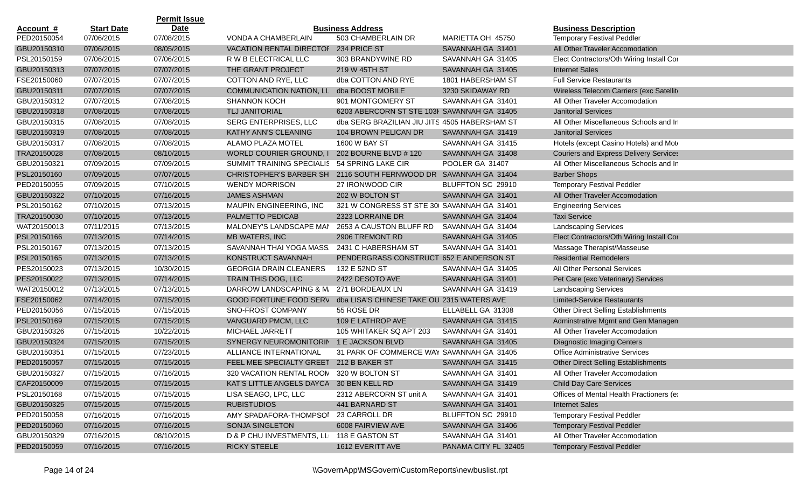|                  |                   | <b>Permit Issue</b> |                                                                  |                                               |                      |                                               |
|------------------|-------------------|---------------------|------------------------------------------------------------------|-----------------------------------------------|----------------------|-----------------------------------------------|
| <u>Account #</u> | <b>Start Date</b> | Date                |                                                                  | <b>Business Address</b>                       |                      | <b>Business Description</b>                   |
| PED20150054      | 07/06/2015        | 07/08/2015          | VONDA A CHAMBERLAIN                                              | 503 CHAMBERLAIN DR                            | MARIETTA OH 45750    | <b>Temporary Festival Peddler</b>             |
| GBU20150310      | 07/06/2015        | 08/05/2015          | <b>VACATION RENTAL DIRECTOF</b>                                  | 234 PRICE ST                                  | SAVANNAH GA 31401    | All Other Traveler Accomodation               |
| PSL20150159      | 07/06/2015        | 07/06/2015          | R W B ELECTRICAL LLC                                             | 303 BRANDYWINE RD                             | SAVANNAH GA 31405    | Elect Contractors/Oth Wiring Install Cor      |
| GBU20150313      | 07/07/2015        | 07/07/2015          | THE GRANT PROJECT                                                | 219 W 45TH ST                                 | SAVANNAH GA 31405    | <b>Internet Sales</b>                         |
| FSE20150060      | 07/07/2015        | 07/07/2015          | COTTON AND RYE, LLC                                              | dba COTTON AND RYE                            | 1801 HABERSHAM ST    | <b>Full Service Restaurants</b>               |
| GBU20150311      | 07/07/2015        | 07/07/2015          | COMMUNICATION NATION, LL                                         | dba BOOST MOBILE                              | 3230 SKIDAWAY RD     | Wireless Telecom Carriers (exc Satellite      |
| GBU20150312      | 07/07/2015        | 07/08/2015          | <b>SHANNON KOCH</b>                                              | 901 MONTGOMERY ST                             | SAVANNAH GA 31401    | All Other Traveler Accomodation               |
| GBU20150318      | 07/08/2015        | 07/08/2015          | TLJ JANITORIAL                                                   | 6203 ABERCORN ST STE 103H SAVANNAH GA 31405   |                      | <b>Janitorial Services</b>                    |
| GBU20150315      | 07/08/2015        | 07/08/2015          | SERG ENTERPRISES, LLC                                            | dba SERG BRAZILIAN JIU JITS 4505 HABERSHAM ST |                      | All Other Miscellaneous Schools and In        |
| GBU20150319      | 07/08/2015        | 07/08/2015          | KATHY ANN'S CLEANING                                             | 104 BROWN PELICAN DR                          | SAVANNAH GA 31419    | <b>Janitorial Services</b>                    |
| GBU20150317      | 07/08/2015        | 07/08/2015          | ALAMO PLAZA MOTEL                                                | 1600 W BAY ST                                 | SAVANNAH GA 31415    | Hotels (except Casino Hotels) and Mote        |
| TRA20150028      | 07/08/2015        | 08/10/2015          | <b>WORLD COURIER GROUND, I</b>                                   | 202 BOURNE BLVD # 120                         | SAVANNAH GA 31408    | <b>Couriers and Express Delivery Services</b> |
| GBU20150321      | 07/09/2015        | 07/09/2015          | SUMMIT TRAINING SPECIALIS 54 SPRING LAKE CIR                     |                                               | POOLER GA 31407      | All Other Miscellaneous Schools and In        |
| PSL20150160      | 07/09/2015        | 07/07/2015          | CHRISTOPHER'S BARBER SH 2116 SOUTH FERNWOOD DR SAVANNAH GA 31404 |                                               |                      | <b>Barber Shops</b>                           |
| PED20150055      | 07/09/2015        | 07/10/2015          | <b>WENDY MORRISON</b>                                            | 27 IRONWOOD CIR                               | BLUFFTON SC 29910    | <b>Temporary Festival Peddler</b>             |
| GBU20150322      | 07/10/2015        | 07/16/2015          | <b>JAMES ASHMAN</b>                                              | 202 W BOLTON ST                               | SAVANNAH GA 31401    | All Other Traveler Accomodation               |
| PSL20150162      | 07/10/2015        | 07/13/2015          | MAUPIN ENGINEERING, INC                                          | 321 W CONGRESS ST STE 30( SAVANNAH GA 31401   |                      | <b>Engineering Services</b>                   |
| TRA20150030      | 07/10/2015        | 07/13/2015          | PALMETTO PEDICAB                                                 | 2323 LORRAINE DR                              | SAVANNAH GA 31404    | <b>Taxi Service</b>                           |
| WAT20150013      | 07/11/2015        | 07/13/2015          | MALONEY'S LANDSCAPE MAN                                          | 2653 A CAUSTON BLUFF RD                       | SAVANNAH GA 31404    | <b>Landscaping Services</b>                   |
| PSL20150166      | 07/13/2015        | 07/14/2015          | MB WATERS, INC                                                   | 2906 TREMONT RD                               | SAVANNAH GA 31405    | Elect Contractors/Oth Wiring Install Cor      |
| PSL20150167      | 07/13/2015        | 07/13/2015          | SAVANNAH THAI YOGA MASS.                                         | 2431 C HABERSHAM ST                           | SAVANNAH GA 31401    | Massage Therapist/Masseuse                    |
| PSL20150165      | 07/13/2015        | 07/13/2015          | KONSTRUCT SAVANNAH                                               | PENDERGRASS CONSTRUCT 652 E ANDERSON ST       |                      | <b>Residential Remodelers</b>                 |
| PES20150023      | 07/13/2015        | 10/30/2015          | <b>GEORGIA DRAIN CLEANERS</b>                                    | 132 E 52ND ST                                 | SAVANNAH GA 31405    | All Other Personal Services                   |
| PES20150022      | 07/13/2015        | 07/14/2015          | TRAIN THIS DOG, LLC                                              | 2422 DESOTO AVE                               | SAVANNAH GA 31401    | Pet Care (exc Veterinary) Services            |
| WAT20150012      | 07/13/2015        | 07/13/2015          | DARROW LANDSCAPING & M.                                          | 271 BORDEAUX LN                               | SAVANNAH GA 31419    | <b>Landscaping Services</b>                   |
| FSE20150062      | 07/14/2015        | 07/15/2015          | <b>GOOD FORTUNE FOOD SERV</b>                                    | dba LISA'S CHINESE TAKE OU 2315 WATERS AVE    |                      | <b>Limited-Service Restaurants</b>            |
| PED20150056      | 07/15/2015        | 07/15/2015          | SNO-FROST COMPANY                                                | 55 ROSE DR                                    | ELLABELL GA 31308    | Other Direct Selling Establishments           |
| PSL20150169      | 07/15/2015        | 07/15/2015          | VANGUARD PMCM, LLC                                               | 109 E LATHROP AVE                             | SAVANNAH GA 31415    | Adminstrative Mgmt and Gen Managen            |
| GBU20150326      | 07/15/2015        | 10/22/2015          | <b>MICHAEL JARRETT</b>                                           | 105 WHITAKER SQ APT 203                       | SAVANNAH GA 31401    | All Other Traveler Accomodation               |
| GBU20150324      | 07/15/2015        | 07/15/2015          | SYNERGY NEUROMONITORIN 1 E JACKSON BLVD                          |                                               | SAVANNAH GA 31405    | <b>Diagnostic Imaging Centers</b>             |
| GBU20150351      | 07/15/2015        | 07/23/2015          | ALLIANCE INTERNATIONAL                                           | 31 PARK OF COMMERCE WAY SAVANNAH GA 31405     |                      | <b>Office Administrative Services</b>         |
| PED20150057      | 07/15/2015        | 07/15/2015          | FEEL MEE SPECIALTY GREET 212 B BAKER ST                          |                                               | SAVANNAH GA 31415    | <b>Other Direct Selling Establishments</b>    |
| GBU20150327      | 07/15/2015        | 07/16/2015          | 320 VACATION RENTAL ROON 320 W BOLTON ST                         |                                               | SAVANNAH GA 31401    | All Other Traveler Accomodation               |
| CAF20150009      | 07/15/2015        | 07/15/2015          | KAT'S LITTLE ANGELS DAYCA 30 BEN KELL RD                         |                                               | SAVANNAH GA 31419    | <b>Child Day Care Services</b>                |
| PSL20150168      | 07/15/2015        | 07/15/2015          | LISA SEAGO, LPC, LLC                                             | 2312 ABERCORN ST unit A                       | SAVANNAH GA 31401    | Offices of Mental Health Practioners (e)      |
| GBU20150325      | 07/15/2015        | 07/15/2015          | <b>RUBISTUDIOS</b>                                               | 441 BARNARD ST                                | SAVANNAH GA 31401    | <b>Internet Sales</b>                         |
| PED20150058      | 07/16/2015        | 07/16/2015          | AMY SPADAFORA-THOMPSOI                                           | 23 CARROLL DR                                 | BLUFFTON SC 29910    | <b>Temporary Festival Peddler</b>             |
| PED20150060      | 07/16/2015        | 07/16/2015          | SONJA SINGLETON                                                  | 6008 FAIRVIEW AVE                             | SAVANNAH GA 31406    | <b>Temporary Festival Peddler</b>             |
| GBU20150329      | 07/16/2015        | 08/10/2015          | D & P CHU INVESTMENTS, LL 118 E GASTON ST                        |                                               | SAVANNAH GA 31401    | All Other Traveler Accomodation               |
| PED20150059      | 07/16/2015        | 07/16/2015          | <b>RICKY STEELE</b>                                              | 1612 EVERITT AVE                              | PANAMA CITY FL 32405 | <b>Temporary Festival Peddler</b>             |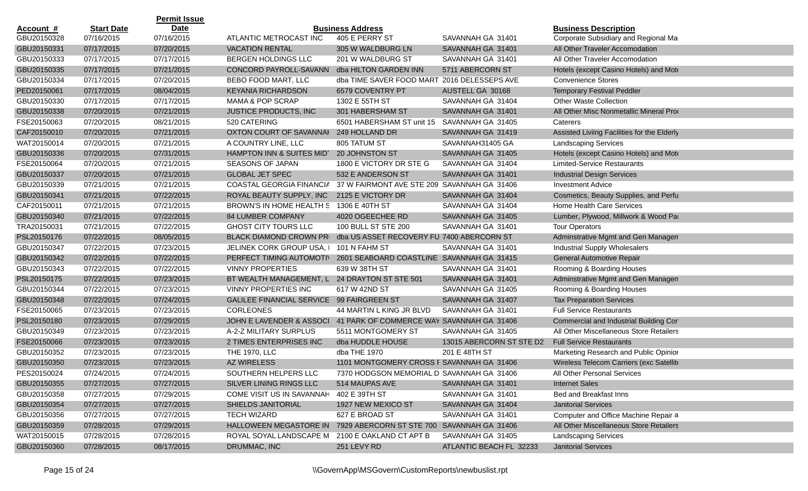|                  |                   | <b>Permit Issue</b> |                                                                   |                                             |                          |                                             |
|------------------|-------------------|---------------------|-------------------------------------------------------------------|---------------------------------------------|--------------------------|---------------------------------------------|
| <u>Account #</u> | <b>Start Date</b> | <b>Date</b>         |                                                                   | <b>Business Address</b>                     |                          | <b>Business Description</b>                 |
| GBU20150328      | 07/16/2015        | 07/16/2015          | ATLANTIC METROCAST INC                                            | 405 E PERRY ST                              | SAVANNAH GA 31401        | Corporate Subsidiary and Regional Mar       |
| GBU20150331      | 07/17/2015        | 07/20/2015          | <b>VACATION RENTAL</b>                                            | 305 W WALDBURG LN                           | SAVANNAH GA 31401        | All Other Traveler Accomodation             |
| GBU20150333      | 07/17/2015        | 07/17/2015          | BERGEN HOLDINGS LLC                                               | 201 W WALDBURG ST                           | SAVANNAH GA 31401        | All Other Traveler Accomodation             |
| GBU20150335      | 07/17/2015        | 07/21/2015          | CONCORD PAYROLL-SAVANN                                            | dba HILTON GARDEN INN                       | 5711 ABERCORN ST         | Hotels (except Casino Hotels) and Mote      |
| GBU20150334      | 07/17/2015        | 07/20/2015          | BEBO FOOD MART, LLC                                               | dba TIME SAVER FOOD MART 2016 DELESSEPS AVE |                          | <b>Convenience Stores</b>                   |
| PED20150061      | 07/17/2015        | 08/04/2015          | <b>KEYANIA RICHARDSON</b>                                         | 6579 COVENTRY PT                            | AUSTELL GA 30168         | <b>Temporary Festival Peddler</b>           |
| GBU20150330      | 07/17/2015        | 07/17/2015          | <b>MAMA &amp; POP SCRAP</b>                                       | 1302 E 55TH ST                              | SAVANNAH GA 31404        | <b>Other Waste Collection</b>               |
| GBU20150338      | 07/20/2015        | 07/21/2015          | <b>JUSTICE PRODUCTS, INC</b>                                      | 301 HABERSHAM ST                            | SAVANNAH GA 31401        | All Other Misc Nonmetallic Mineral Prod     |
| FSE20150063      | 07/20/2015        | 08/21/2015          | 520 CATERING                                                      | 6501 HABERSHAM ST unit 15                   | SAVANNAH GA 31405        | Caterers                                    |
| CAF20150010      | 07/20/2015        | 07/21/2015          | OXTON COURT OF SAVANNAI                                           | 249 HOLLAND DR                              | SAVANNAH GA 31419        | Assisted Liviing Facilities for the Elderly |
| WAT20150014      | 07/20/2015        | 07/21/2015          | A COUNTRY LINE, LLC                                               | 805 TATUM ST                                | SAVANNAH31405 GA         | <b>Landscaping Services</b>                 |
| GBU20150336      | 07/20/2015        | 07/31/2015          | HAMPTON INN & SUITES MIDT                                         | 20 JOHNSTON ST                              | SAVANNAH GA 31405        | Hotels (except Casino Hotels) and Mote      |
| FSE20150064      | 07/20/2015        | 07/21/2015          | <b>SEASONS OF JAPAN</b>                                           | 1800 E VICTORY DR STE G                     | SAVANNAH GA 31404        | Limited-Service Restaurants                 |
| GBU20150337      | 07/20/2015        | 07/21/2015          | <b>GLOBAL JET SPEC</b>                                            | 532 E ANDERSON ST                           | SAVANNAH GA 31401        | <b>Industrial Design Services</b>           |
| GBU20150339      | 07/21/2015        | 07/21/2015          | COASTAL GEORGIA FINANCIA                                          | 37 W FAIRMONT AVE STE 209 SAVANNAH GA 31406 |                          | <b>Investment Advice</b>                    |
| GBU20150341      | 07/21/2015        | 07/22/2015          | ROYAL BEAUTY SUPPLY, INC                                          | 2125 E VICTORY DR                           | SAVANNAH GA 31404        | Cosmetics, Beauty Supplies, and Perfu       |
| CAF20150011      | 07/21/2015        | 07/21/2015          | BROWN'S IN HOME HEALTH S                                          | 1306 E 40TH ST                              | SAVANNAH GA 31404        | Home Health Care Services                   |
| GBU20150340      | 07/21/2015        | 07/22/2015          | 84 LUMBER COMPANY                                                 | 4020 OGEECHEE RD                            | SAVANNAH GA 31405        | Lumber, Plywood, Millwork & Wood Par        |
| TRA20150031      | 07/21/2015        | 07/22/2015          | <b>GHOST CITY TOURS LLC</b>                                       | 100 BULL ST STE 200                         | SAVANNAH GA 31401        | <b>Tour Operators</b>                       |
| PSL20150176      | 07/22/2015        | 08/05/2015          | <b>BLACK DIAMOND CROWN PR</b>                                     | dba US ASSET RECOVERY FU 7400 ABERCORN ST   |                          | Adminstrative Mgmt and Gen Managen          |
| GBU20150347      | 07/22/2015        | 07/23/2015          | JELINEK CORK GROUP USA, I                                         | 101 N FAHM ST                               | SAVANNAH GA 31401        | <b>Industrial Supply Wholesalers</b>        |
| GBU20150342      | 07/22/2015        | 07/22/2015          | PERFECT TIMING AUTOMOTIV                                          | 2601 SEABOARD COASTLINE SAVANNAH GA 31415   |                          | <b>General Automotive Repair</b>            |
| GBU20150343      | 07/22/2015        | 07/22/2015          | <b>VINNY PROPERTIES</b>                                           | 639 W 38TH ST                               | SAVANNAH GA 31401        | Rooming & Boarding Houses                   |
| PSL20150175      | 07/22/2015        | 07/23/2015          | BT WEALTH MANAGEMENT, L 24 DRAYTON ST STE 501                     |                                             | SAVANNAH GA 31401        | Adminstrative Mgmt and Gen Managen          |
| GBU20150344      | 07/22/2015        | 07/23/2015          | <b>VINNY PROPERTIES INC</b>                                       | 617 W 42ND ST                               | SAVANNAH GA 31405        | Rooming & Boarding Houses                   |
| GBU20150348      | 07/22/2015        | 07/24/2015          | GALILEE FINANCIAL SERVICE 99 FAIRGREEN ST                         |                                             | SAVANNAH GA 31407        | <b>Tax Preparation Services</b>             |
| FSE20150065      | 07/23/2015        | 07/23/2015          | <b>CORLEONES</b>                                                  | 44 MARTIN L KING JR BLVD                    | SAVANNAH GA 31401        | <b>Full Service Restaurants</b>             |
| PSL20150180      | 07/23/2015        | 07/29/2015          | JOHN E LAVENDER & ASSOCI                                          | 41 PARK OF COMMERCE WAY SAVANNAH GA 31406   |                          | Commercial and Industrial Building Cor      |
| GBU20150349      | 07/23/2015        | 07/23/2015          | A-2-Z MILITARY SURPLUS                                            | 5511 MONTGOMERY ST                          | SAVANNAH GA 31405        | All Other Miscellaneous Store Retailers     |
| FSE20150066      | 07/23/2015        | 07/23/2015          | 2 TIMES ENTERPRISES INC                                           | dba HUDDLE HOUSE                            | 13015 ABERCORN ST STE D2 | <b>Full Service Restaurants</b>             |
| GBU20150352      | 07/23/2015        | 07/23/2015          | <b>THE 1970, LLC</b>                                              | dba THE 1970                                | 201 E 48TH ST            | Marketing Research and Public Opinior       |
| GBU20150350      | 07/23/2015        | 07/23/2015          | <b>AZ WIRELESS</b>                                                | 1101 MONTGOMERY CROSS F SAVANNAH GA 31406   |                          | Wireless Telecom Carriers (exc Satellite    |
| PES20150024      | 07/24/2015        | 07/24/2015          | SOUTHERN HELPERS LLC                                              | 7370 HODGSON MEMORIAL D SAVANNAH GA 31406   |                          | All Other Personal Services                 |
| GBU20150355      | 07/27/2015        | 07/27/2015          | SILVER LINING RINGS LLC                                           | 514 MAUPAS AVE                              | SAVANNAH GA 31401        | <b>Internet Sales</b>                       |
| GBU20150358      | 07/27/2015        | 07/29/2015          | COME VISIT US IN SAVANNAH                                         | 402 E 39TH ST                               | SAVANNAH GA 31401        | Bed and Breakfast Inns                      |
| GBU20150354      | 07/27/2015        | 07/27/2015          | SHIELDS JANITORIAL                                                | 1927 NEW MEXICO ST                          | SAVANNAH GA 31404        | <b>Janitorial Services</b>                  |
| GBU20150356      | 07/27/2015        | 07/27/2015          | <b>TECH WIZARD</b>                                                | 627 E BROAD ST                              | SAVANNAH GA 31401        | Computer and Office Machine Repair a        |
| GBU20150359      | 07/28/2015        | 07/29/2015          | HALLOWEEN MEGASTORE IN 7929 ABERCORN ST STE 700 SAVANNAH GA 31406 |                                             |                          | All Other Miscellaneous Store Retailers     |
| WAT20150015      | 07/28/2015        | 07/28/2015          | ROYAL SOYAL LANDSCAPE M 2100 E OAKLAND CT APT B                   |                                             | SAVANNAH GA 31405        | <b>Landscaping Services</b>                 |
| GBU20150360      | 07/28/2015        | 08/17/2015          | DRUMMAC, INC                                                      | 251 LEVY RD                                 | ATLANTIC BEACH FL 32233  | <b>Janitorial Services</b>                  |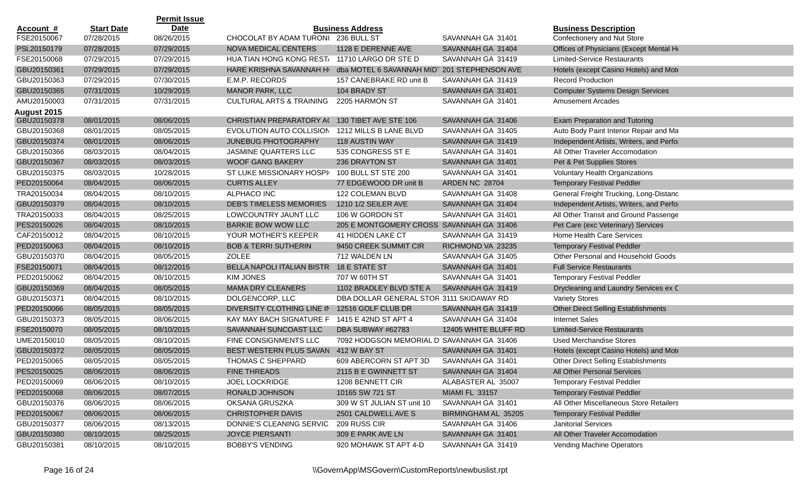|             |                   | <b>Permit Issue</b> |                                               |                                              |                       |                                            |
|-------------|-------------------|---------------------|-----------------------------------------------|----------------------------------------------|-----------------------|--------------------------------------------|
| Account #   | <b>Start Date</b> | Date                |                                               | <b>Business Address</b>                      |                       | <b>Business Description</b>                |
| FSE20150067 | 07/28/2015        | 08/26/2015          | CHOCOLAT BY ADAM TURONI                       | 236 BULL ST                                  | SAVANNAH GA 31401     | Confectionery and Nut Store                |
| PSL20150179 | 07/28/2015        | 07/29/2015          | <b>NOVA MEDICAL CENTERS</b>                   | 1128 E DERENNE AVE                           | SAVANNAH GA 31404     | Offices of Physicians (Except Mental He    |
| FSE20150068 | 07/29/2015        | 07/29/2015          | HUA TIAN HONG KONG REST/ 11710 LARGO DR STE D |                                              | SAVANNAH GA 31419     | <b>Limited-Service Restaurants</b>         |
| GBU20150361 | 07/29/2015        | 07/29/2015          | HARE KRISHNA SAVANNAH H                       | dba MOTEL 6 SAVANNAH MID1 201 STEPHENSON AVE |                       | Hotels (except Casino Hotels) and Mote     |
| GBU20150363 | 07/29/2015        | 07/30/2015          | E.M.P. RECORDS                                | 157 CANEBRAKE RD unit B                      | SAVANNAH GA 31419     | <b>Record Production</b>                   |
| GBU20150365 | 07/31/2015        | 10/29/2015          | <b>MANOR PARK, LLC</b>                        | 104 BRADY ST                                 | SAVANNAH GA 31401     | <b>Computer Systems Design Services</b>    |
| AMU20150003 | 07/31/2015        | 07/31/2015          | <b>CULTURAL ARTS &amp; TRAINING</b>           | 2205 HARMON ST                               | SAVANNAH GA 31401     | <b>Amusement Arcades</b>                   |
| August 2015 |                   |                     |                                               |                                              |                       |                                            |
| GBU20150378 | 08/01/2015        | 08/06/2015          | CHRISTIAN PREPARATORY AC                      | 130 TIBET AVE STE 106                        | SAVANNAH GA 31406     | Exam Preparation and Tutoring              |
| GBU20150368 | 08/01/2015        | 08/05/2015          | EVOLUTION AUTO COLLISION                      | 1212 MILLS B LANE BLVD                       | SAVANNAH GA 31405     | Auto Body Paint Interior Repair and Ma     |
| GBU20150374 | 08/01/2015        | 08/06/2015          | <b>JUNEBUG PHOTOGRAPHY</b>                    | <b>118 AUSTIN WAY</b>                        | SAVANNAH GA 31419     | Independent Artists, Writers, and Perfor   |
| GBU20150366 | 08/03/2015        | 08/04/2015          | <b>JASMINE QUARTERS LLC</b>                   | 535 CONGRESS ST E                            | SAVANNAH GA 31401     | All Other Traveler Accomodation            |
| GBU20150367 | 08/03/2015        | 08/03/2015          | <b>WOOF GANG BAKERY</b>                       | 236 DRAYTON ST                               | SAVANNAH GA 31401     | Pet & Pet Supplies Stores                  |
| GBU20150375 | 08/03/2015        | 10/28/2015          | ST LUKE MISSIONARY HOSPI                      | 100 BULL ST STE 200                          | SAVANNAH GA 31401     | Voluntary Health Organizations             |
| PED20150064 | 08/04/2015        | 08/06/2015          | <b>CURTIS ALLEY</b>                           | 77 EDGEWOOD DR unit B                        | <b>ARDEN NC 28704</b> | <b>Temporary Festival Peddler</b>          |
| TRA20150034 | 08/04/2015        | 08/10/2015          | <b>ALPHACO INC</b>                            | 122 COLEMAN BLVD                             | SAVANNAH GA 31408     | General Freight Trucking, Long-Distanc     |
| GBU20150379 | 08/04/2015        | 08/10/2015          | <b>DEB'S TIMELESS MEMORIES</b>                | 1210 1/2 SEILER AVE                          | SAVANNAH GA 31404     | Independent Artists, Writers, and Perfor   |
| TRA20150033 | 08/04/2015        | 08/25/2015          | LOWCOUNTRY JAUNT LLC                          | 106 W GORDON ST                              | SAVANNAH GA 31401     | All Other Transit and Ground Passenge      |
| PES20150026 | 08/04/2015        | 08/10/2015          | <b>BARKIE BOW WOW LLC</b>                     | 205 E MONTGOMERY CROSS SAVANNAH GA 31406     |                       | Pet Care (exc Veterinary) Services         |
| CAF20150012 | 08/04/2015        | 08/10/2015          | YOUR MOTHER'S KEEPER                          | 41 HIDDEN LAKE CT                            | SAVANNAH GA 31419     | Home Health Care Services                  |
| PED20150063 | 08/04/2015        | 08/10/2015          | <b>BOB &amp; TERRI SUTHERIN</b>               | 9450 CREEK SUMMIT CIR                        | RICHMOND VA 23235     | <b>Temporary Festival Peddler</b>          |
| GBU20150370 | 08/04/2015        | 08/05/2015          | <b>ZOLEE</b>                                  | 712 WALDEN LN                                | SAVANNAH GA 31405     | Other Personal and Household Goods         |
| FSE20150071 | 08/04/2015        | 08/12/2015          | BELLA NAPOLI ITALIAN BISTR                    | 18 E STATE ST                                | SAVANNAH GA 31401     | <b>Full Service Restaurants</b>            |
| PED20150062 | 08/04/2015        | 08/10/2015          | <b>KIM JONES</b>                              | 707 W 60TH ST                                | SAVANNAH GA 31401     | <b>Temporary Festival Peddler</b>          |
| GBU20150369 | 08/04/2015        | 08/05/2015          | <b>MAMA DRY CLEANERS</b>                      | 1102 BRADLEY BLVD STE A                      | SAVANNAH GA 31419     | Drycleaning and Laundry Services ex C      |
| GBU20150371 | 08/04/2015        | 08/10/2015          | DOLGENCORP, LLC                               | DBA DOLLAR GENERAL STOR 3111 SKIDAWAY RD     |                       | <b>Variety Stores</b>                      |
| PED20150066 | 08/05/2015        | 08/05/2015          | DIVERSITY CLOTHING LINE IN                    | 12516 GOLF CLUB DR                           | SAVANNAH GA 31419     | <b>Other Direct Selling Establishments</b> |
| GBU20150373 | 08/05/2015        | 08/06/2015          | KAY MAY BACH SIGNATURE F                      | 1415 E 42ND ST APT 4                         | SAVANNAH GA 31404     | <b>Internet Sales</b>                      |
| FSE20150070 | 08/05/2015        | 08/10/2015          | SAVANNAH SUNCOAST LLC                         | DBA SUBWAY #62783                            | 12405 WHITE BLUFF RD  | <b>Limited-Service Restaurants</b>         |
| UME20150010 | 08/05/2015        | 08/10/2015          | FINE CONSIGNMENTS LLC                         | 7092 HODGSON MEMORIAL D SAVANNAH GA 31406    |                       | <b>Used Merchandise Stores</b>             |
| GBU20150372 | 08/05/2015        | 08/05/2015          | BEST WESTERN PLUS SAVAN                       | 412 W BAY ST                                 | SAVANNAH GA 31401     | Hotels (except Casino Hotels) and Mote     |
| PED20150065 | 08/05/2015        | 08/05/2015          | THOMAS C SHEPPARD                             | 609 ABERCORN ST APT 3D                       | SAVANNAH GA 31401     | Other Direct Selling Establishments        |
| PES20150025 | 08/06/2015        | 08/06/2015          | <b>FINE THREADS</b>                           | 2115 B E GWINNETT ST                         | SAVANNAH GA 31404     | All Other Personal Services                |
| PED20150069 | 08/06/2015        | 08/10/2015          | JOEL LOCKRIDGE                                | 1208 BENNETT CIR                             | ALABASTER AL 35007    | <b>Temporary Festival Peddler</b>          |
| PED20150068 | 08/06/2015        | 08/07/2015          | RONALD JOHNSON                                | 10165 SW 721 ST                              | <b>MIAMI FL 33157</b> | <b>Temporary Festival Peddler</b>          |
| GBU20150376 | 08/06/2015        | 08/06/2015          | OKSANA GRUSZKA                                | 309 W ST JULIAN ST unit 10                   | SAVANNAH GA 31401     | All Other Miscellaneous Store Retailers    |
| PED20150067 | 08/06/2015        | 08/06/2015          | <b>CHRISTOPHER DAVIS</b>                      | 2501 CALDWELL AVE S                          | BIRMINGHAM AL 35205   | <b>Temporary Festival Peddler</b>          |
| GBU20150377 | 08/06/2015        | 08/13/2015          | DONNIE'S CLEANING SERVIC                      | 209 RUSS CIR                                 | SAVANNAH GA 31406     | Janitorial Services                        |
| GBU20150380 | 08/10/2015        | 08/25/2015          | <b>JOYCE PIERSANTI</b>                        | 309 E PARK AVE LN                            | SAVANNAH GA 31401     | All Other Traveler Accomodation            |
| GBU20150381 | 08/10/2015        | 08/10/2015          | <b>BOBBY'S VENDING</b>                        | 920 MOHAWK ST APT 4-D                        | SAVANNAH GA 31419     | Vending Machine Operators                  |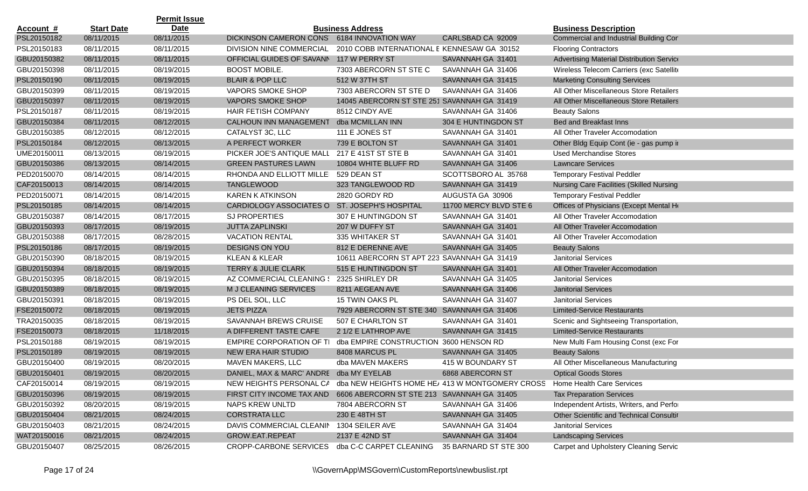|                  |                   | <b>Permit Issue</b> |                                            |                                             |                                                                         |                                                 |
|------------------|-------------------|---------------------|--------------------------------------------|---------------------------------------------|-------------------------------------------------------------------------|-------------------------------------------------|
| <u>Account #</u> | <b>Start Date</b> | <b>Date</b>         |                                            | <b>Business Address</b>                     |                                                                         | <b>Business Description</b>                     |
| PSL20150182      | 08/11/2015        | 08/11/2015          | DICKINSON CAMERON CONS 6184 INNOVATION WAY |                                             | CARLSBAD CA 92009                                                       | Commercial and Industrial Building Cor          |
| PSL20150183      | 08/11/2015        | 08/11/2015          | DIVISION NINE COMMERCIAL                   | 2010 COBB INTERNATIONAL E KENNESAW GA 30152 |                                                                         | <b>Flooring Contractors</b>                     |
| GBU20150382      | 08/11/2015        | 08/11/2015          | OFFICIAL GUIDES OF SAVANN                  | 117 W PERRY ST                              | SAVANNAH GA 31401                                                       | Advertising Material Distribution Service       |
| GBU20150398      | 08/11/2015        | 08/19/2015          | <b>BOOST MOBILE.</b>                       | 7303 ABERCORN ST STE C                      | SAVANNAH GA 31406                                                       | Wireless Telecom Carriers (exc Satellite        |
| PSL20150190      | 08/11/2015        | 08/19/2015          | <b>BLAIR &amp; POP LLC</b>                 | 512 W 37TH ST                               | SAVANNAH GA 31415                                                       | <b>Marketing Consulting Services</b>            |
| GBU20150399      | 08/11/2015        | 08/19/2015          | VAPORS SMOKE SHOP                          | 7303 ABERCORN ST STE D                      | SAVANNAH GA 31406                                                       | All Other Miscellaneous Store Retailers         |
| GBU20150397      | 08/11/2015        | 08/19/2015          | <b>VAPORS SMOKE SHOP</b>                   | 14045 ABERCORN ST STE 251 SAVANNAH GA 31419 |                                                                         | All Other Miscellaneous Store Retailers         |
| PSL20150187      | 08/11/2015        | 08/19/2015          | HAIR FETISH COMPANY                        | 8512 CINDY AVE                              | SAVANNAH GA 31406                                                       | <b>Beauty Salons</b>                            |
| GBU20150384      | 08/11/2015        | 08/12/2015          | <b>CALHOUN INN MANAGEMENT</b>              | dba MCMILLAN INN                            | 304 E HUNTINGDON ST                                                     | Bed and Breakfast Inns                          |
| GBU20150385      | 08/12/2015        | 08/12/2015          | CATALYST 3C, LLC                           | 111 E JONES ST                              | SAVANNAH GA 31401                                                       | All Other Traveler Accomodation                 |
| PSL20150184      | 08/12/2015        | 08/13/2015          | A PERFECT WORKER                           | 739 E BOLTON ST                             | SAVANNAH GA 31401                                                       | Other Bldg Equip Cont (ie - gas pump in         |
| UME20150011      | 08/13/2015        | 08/19/2015          | PICKER JOE'S ANTIQUE MALL                  | 217 E 41ST ST STE B                         | SAVANNAH GA 31401                                                       | <b>Used Merchandise Stores</b>                  |
| GBU20150386      | 08/13/2015        | 08/14/2015          | <b>GREEN PASTURES LAWN</b>                 | 10804 WHITE BLUFF RD                        | SAVANNAH GA 31406                                                       | <b>Lawncare Services</b>                        |
| PED20150070      | 08/14/2015        | 08/14/2015          | RHONDA AND ELLIOTT MILLEI                  | 529 DEAN ST                                 | SCOTTSBORO AL 35768                                                     | <b>Temporary Festival Peddler</b>               |
| CAF20150013      | 08/14/2015        | 08/14/2015          | <b>TANGLEWOOD</b>                          | 323 TANGLEWOOD RD                           | SAVANNAH GA 31419                                                       | <b>Nursing Care Facilities (Skilled Nursing</b> |
| PED20150071      | 08/14/2015        | 08/14/2015          | <b>KAREN K ATKINSON</b>                    | 2820 GORDY RD                               | AUGUSTA GA 30906                                                        | <b>Temporary Festival Peddler</b>               |
| PSL20150185      | 08/14/2015        | 08/14/2015          | CARDIOLOGY ASSOCIATES O                    | ST. JOSEPH'S HOSPITAL                       | 11700 MERCY BLVD STE 6                                                  | Offices of Physicians (Except Mental He         |
| GBU20150387      | 08/14/2015        | 08/17/2015          | <b>SJ PROPERTIES</b>                       | 307 E HUNTINGDON ST                         | SAVANNAH GA 31401                                                       | All Other Traveler Accomodation                 |
| GBU20150393      | 08/17/2015        | 08/19/2015          | <b>JUTTA ZAPLINSKI</b>                     | 207 W DUFFY ST                              | SAVANNAH GA 31401                                                       | All Other Traveler Accomodation                 |
| GBU20150388      | 08/17/2015        | 08/28/2015          | <b>VACATION RENTAL</b>                     | 335 WHITAKER ST                             | SAVANNAH GA 31401                                                       | All Other Traveler Accomodation                 |
| PSL20150186      | 08/17/2015        | 08/19/2015          | <b>DESIGNS ON YOU</b>                      | 812 E DERENNE AVE                           | SAVANNAH GA 31405                                                       | <b>Beauty Salons</b>                            |
| GBU20150390      | 08/18/2015        | 08/19/2015          | <b>KLEAN &amp; KLEAR</b>                   | 10611 ABERCORN ST APT 223 SAVANNAH GA 31419 |                                                                         | <b>Janitorial Services</b>                      |
| GBU20150394      | 08/18/2015        | 08/19/2015          | TERRY & JULIE CLARK                        | 515 E HUNTINGDON ST                         | SAVANNAH GA 31401                                                       | All Other Traveler Accomodation                 |
| GBU20150395      | 08/18/2015        | 08/19/2015          | AZ COMMERCIAL CLEANING {                   | 2325 SHIRLEY DR                             | SAVANNAH GA 31405                                                       | <b>Janitorial Services</b>                      |
| GBU20150389      | 08/18/2015        | 08/19/2015          | M J CLEANING SERVICES                      | 8211 AEGEAN AVE                             | SAVANNAH GA 31406                                                       | <b>Janitorial Services</b>                      |
| GBU20150391      | 08/18/2015        | 08/19/2015          | PS DEL SOL, LLC                            | 15 TWIN OAKS PL                             | SAVANNAH GA 31407                                                       | <b>Janitorial Services</b>                      |
| FSE20150072      | 08/18/2015        | 08/19/2015          | <b>JETS PIZZA</b>                          | 7929 ABERCORN ST STE 340 SAVANNAH GA 31406  |                                                                         | <b>Limited-Service Restaurants</b>              |
| TRA20150035      | 08/18/2015        | 08/19/2015          | SAVANNAH BREWS CRUISE                      | 507 E CHARLTON ST                           | SAVANNAH GA 31401                                                       | Scenic and Sightseeing Transportation,          |
| FSE20150073      | 08/18/2015        | 11/18/2015          | A DIFFERENT TASTE CAFE                     | 2 1/2 E LATHROP AVE                         | SAVANNAH GA 31415                                                       | <b>Limited-Service Restaurants</b>              |
| PSL20150188      | 08/19/2015        | 08/19/2015          | EMPIRE CORPORATION OF TI                   | dba EMPIRE CONSTRUCTION 3600 HENSON RD      |                                                                         | New Multi Fam Housing Const (exc For            |
| PSL20150189      | 08/19/2015        | 08/19/2015          | NEW ERA HAIR STUDIO                        | 8408 MARCUS PL                              | SAVANNAH GA 31405                                                       | <b>Beauty Salons</b>                            |
| GBU20150400      | 08/19/2015        | 08/20/2015          | MAVEN MAKERS, LLC                          | dba MAVEN MAKERS                            | 415 W BOUNDARY ST                                                       | All Other Miscellaneous Manufacturing           |
| GBU20150401      | 08/19/2015        | 08/20/2015          | DANIEL, MAX & MARC' ANDRE dba MY EYELAB    |                                             | 6868 ABERCORN ST                                                        | <b>Optical Goods Stores</b>                     |
| CAF20150014      | 08/19/2015        | 08/19/2015          |                                            |                                             | NEW HEIGHTS PERSONAL CA dba NEW HEIGHTS HOME HEI 413 W MONTGOMERY CROSS | Home Health Care Services                       |
| GBU20150396      | 08/19/2015        | 08/19/2015          | FIRST CITY INCOME TAX AND                  | 6606 ABERCORN ST STE 213 SAVANNAH GA 31405  |                                                                         | <b>Tax Preparation Services</b>                 |
| GBU20150392      | 08/20/2015        | 08/19/2015          | NAPS KREW UNLTD                            | 7804 ABERCORN ST                            | SAVANNAH GA 31406                                                       | Independent Artists, Writers, and Perfor        |
| GBU20150404      | 08/21/2015        | 08/24/2015          | <b>CORSTRATA LLC</b>                       | 230 E 48TH ST                               | SAVANNAH GA 31405                                                       | Other Scientific and Technical Consultir        |
| GBU20150403      | 08/21/2015        | 08/24/2015          | DAVIS COMMERCIAL CLEANIN                   | 1304 SEILER AVE                             | SAVANNAH GA 31404                                                       | <b>Janitorial Services</b>                      |
| WAT20150016      | 08/21/2015        | 08/24/2015          | GROW.EAT.REPEAT                            | 2137 E 42ND ST                              | SAVANNAH GA 31404                                                       | <b>Landscaping Services</b>                     |
| GBU20150407      | 08/25/2015        | 08/26/2015          | CROPP-CARBONE SERVICES                     | dba C-C CARPET CLEANING                     | 35 BARNARD ST STE 300                                                   | <b>Carpet and Upholstery Cleaning Servic</b>    |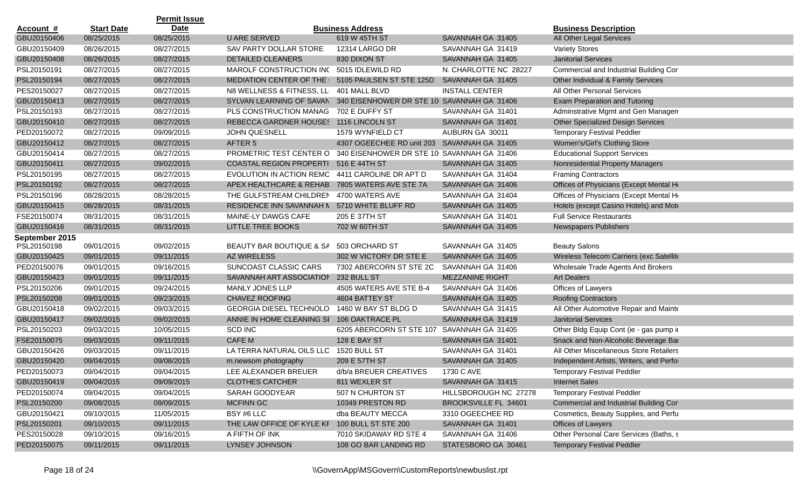|                  |                   | <b>Permit Issue</b> |                                               |                                            |                        |                                          |
|------------------|-------------------|---------------------|-----------------------------------------------|--------------------------------------------|------------------------|------------------------------------------|
| <u>Account #</u> | <b>Start Date</b> | Date                |                                               | <b>Business Address</b>                    |                        | <b>Business Description</b>              |
| GBU20150406      | 08/25/2015        | 08/25/2015          | <b>U ARE SERVED</b>                           | 619 W 45TH ST                              | SAVANNAH GA 31405      | All Other Legal Services                 |
| GBU20150409      | 08/26/2015        | 08/27/2015          | SAV PARTY DOLLAR STORE                        | 12314 LARGO DR                             | SAVANNAH GA 31419      | <b>Variety Stores</b>                    |
| GBU20150408      | 08/26/2015        | 08/27/2015          | <b>DETAILED CLEANERS</b>                      | 830 DIXON ST                               | SAVANNAH GA 31405      | <b>Janitorial Services</b>               |
| PSL20150191      | 08/27/2015        | 08/27/2015          | MAROLF CONSTRUCTION INC                       | 5015 IDLEWILD RD                           | N. CHARLOTTE NC 28227  | Commercial and Industrial Building Cor   |
| PSL20150194      | 08/27/2015        | 08/27/2015          | <b>MEDIATION CENTER OF THE I</b>              | 5105 PAULSEN ST STE 125D                   | SAVANNAH GA 31405      | Other Individual & Family Services       |
| PES20150027      | 08/27/2015        | 08/27/2015          | N8 WELLNESS & FITNESS, LL                     | 401 MALL BLVD                              | <b>INSTALL CENTER</b>  | <b>All Other Personal Services</b>       |
| GBU20150413      | 08/27/2015        | 08/27/2015          | SYLVAN LEARNING OF SAVAN                      | 340 EISENHOWER DR STE 10 SAVANNAH GA 31406 |                        | Exam Preparation and Tutoring            |
| PSL20150193      | 08/27/2015        | 08/27/2015          | PLS CONSTRUCTION MANAG                        | 702 E DUFFY ST                             | SAVANNAH GA 31401      | Adminstrative Mgmt and Gen Managen       |
| GBU20150410      | 08/27/2015        | 08/27/2015          | REBECCA GARDNER HOUSES 1116 LINCOLN ST        |                                            | SAVANNAH GA 31401      | <b>Other Specialized Design Services</b> |
| PED20150072      | 08/27/2015        | 09/09/2015          | <b>JOHN QUESNELL</b>                          | 1579 WYNFIELD CT                           | AUBURN GA 30011        | <b>Temporary Festival Peddler</b>        |
| GBU20150412      | 08/27/2015        | 08/27/2015          | AFTER 5                                       | 4307 OGEECHEE RD unit 203                  | SAVANNAH GA 31405      | Women's/Girl's Clothing Store            |
| GBU20150414      | 08/27/2015        | 08/27/2015          | PROMETRIC TEST CENTER O                       | 340 EISENHOWER DR STE 10 SAVANNAH GA 31406 |                        | <b>Educational Support Services</b>      |
| GBU20150411      | 08/27/2015        | 09/02/2015          | <b>COASTAL REGION PROPERTI</b>                | 516 E 44TH ST                              | SAVANNAH GA 31405      | Nonresidential Property Managers         |
| PSL20150195      | 08/27/2015        | 08/27/2015          | EVOLUTION IN ACTION REMC                      | 4411 CAROLINE DR APT D                     | SAVANNAH GA 31404      | <b>Framing Contractors</b>               |
| PSL20150192      | 08/27/2015        | 08/27/2015          | APEX HEALTHCARE & REHAB                       | 7805 WATERS AVE STE 7A                     | SAVANNAH GA 31406      | Offices of Physicians (Except Mental He  |
| PSL20150196      | 08/28/2015        | 08/28/2015          | THE GULFSTREAM CHILDREN                       | 4700 WATERS AVE                            | SAVANNAH GA 31404      | Offices of Physicians (Except Mental He  |
| GBU20150415      | 08/28/2015        | 08/31/2015          | RESIDENCE INN SAVANNAH N                      | 5710 WHITE BLUFF RD                        | SAVANNAH GA 31405      | Hotels (except Casino Hotels) and Mote   |
| FSE20150074      | 08/31/2015        | 08/31/2015          | MAINE-LY DAWGS CAFE                           | 205 E 37TH ST                              | SAVANNAH GA 31401      | <b>Full Service Restaurants</b>          |
| GBU20150416      | 08/31/2015        | 08/31/2015          | LITTLE TREE BOOKS                             | 702 W 60TH ST                              | SAVANNAH GA 31405      | Newspapers Publishers                    |
| September 2015   |                   |                     |                                               |                                            |                        |                                          |
| PSL20150198      | 09/01/2015        | 09/02/2015          | BEAUTY BAR BOUTIQUE & SA                      | 503 ORCHARD ST                             | SAVANNAH GA 31405      | <b>Beauty Salons</b>                     |
| GBU20150425      | 09/01/2015        | 09/11/2015          | AZ WIRELESS                                   | 302 W VICTORY DR STE E                     | SAVANNAH GA 31405      | Wireless Telecom Carriers (exc Satellite |
| PED20150076      | 09/01/2015        | 09/16/2015          | SUNCOAST CLASSIC CARS                         | 7302 ABERCORN ST STE 2C                    | SAVANNAH GA 31406      | Wholesale Trade Agents And Brokers       |
| GBU20150423      | 09/01/2015        | 09/11/2015          | SAVANNAH ART ASSOCIATION                      | 232 BULL ST                                | <b>MEZZANINE RIGHT</b> | <b>Art Dealers</b>                       |
| PSL20150206      | 09/01/2015        | 09/24/2015          | <b>MANLY JONES LLP</b>                        | 4505 WATERS AVE STE B-4                    | SAVANNAH GA 31406      | Offices of Lawyers                       |
| PSL20150208      | 09/01/2015        | 09/23/2015          | <b>CHAVEZ ROOFING</b>                         | 4604 BATTEY ST                             | SAVANNAH GA 31405      | <b>Roofing Contractors</b>               |
| GBU20150418      | 09/02/2015        | 09/03/2015          | <b>GEORGIA DIESEL TECHNOLO</b>                | 1460 W BAY ST BLDG D                       | SAVANNAH GA 31415      | All Other Automotive Repair and Mainte   |
| GBU20150417      | 09/02/2015        | 09/02/2015          | ANNIE IN HOME CLEANING SI 106 OAKTRACE PL     |                                            | SAVANNAH GA 31419      | <b>Janitorial Services</b>               |
| PSL20150203      | 09/03/2015        | 10/05/2015          | <b>SCD INC</b>                                | 6205 ABERCORN ST STE 107 SAVANNAH GA 31405 |                        | Other Bldg Equip Cont (ie - gas pump ir  |
| FSE20150075      | 09/03/2015        | 09/11/2015          | CAFE M                                        | 128 E BAY ST                               | SAVANNAH GA 31401      | Snack and Non-Alcoholic Beverage Bar     |
| GBU20150426      | 09/03/2015        | 09/11/2015          | LA TERRA NATURAL OILS LLC                     | 1520 BULL ST                               | SAVANNAH GA 31401      | All Other Miscellaneous Store Retailers  |
| GBU20150420      | 09/04/2015        | 09/08/2015          | m.newsom photography                          | 209 E 57TH ST                              | SAVANNAH GA 31405      | Independent Artists, Writers, and Perfor |
| PED20150073      | 09/04/2015        | 09/04/2015          | LEE ALEXANDER BREUER                          | d/b/a BREUER CREATIVES                     | 1730 C AVE             | <b>Temporary Festival Peddler</b>        |
| GBU20150419      | 09/04/2015        | 09/09/2015          | <b>CLOTHES CATCHER</b>                        | 811 WEXLER ST                              | SAVANNAH GA 31415      | <b>Internet Sales</b>                    |
| PED20150074      | 09/04/2015        | 09/04/2015          | SARAH GOODYEAR                                | 507 N CHURTON ST                           | HILLSBOROUGH NC 27278  | <b>Temporary Festival Peddler</b>        |
| PSL20150200      | 09/08/2015        | 09/09/2015          | <b>MCFINN GC</b>                              | 10349 PRESTON RD                           | BROOKSVILLE FL 34601   | Commercial and Industrial Building Cor   |
| GBU20150421      | 09/10/2015        | 11/05/2015          | BSY #6 LLC                                    | dba BEAUTY MECCA                           | 3310 OGEECHEE RD       | Cosmetics, Beauty Supplies, and Perfu    |
| PSL20150201      | 09/10/2015        | 09/11/2015          | THE LAW OFFICE OF KYLE KF 100 BULL ST STE 200 |                                            | SAVANNAH GA 31401      | Offices of Lawyers                       |
| PES20150028      | 09/10/2015        | 09/16/2015          | A FIFTH OF INK                                | 7010 SKIDAWAY RD STE 4                     | SAVANNAH GA 31406      | Other Personal Care Services (Baths, s   |
| PED20150075      | 09/11/2015        | 09/11/2015          | LYNSEY JOHNSON                                | 108 GO BAR LANDING RD                      | STATESBORO GA 30461    | <b>Temporary Festival Peddler</b>        |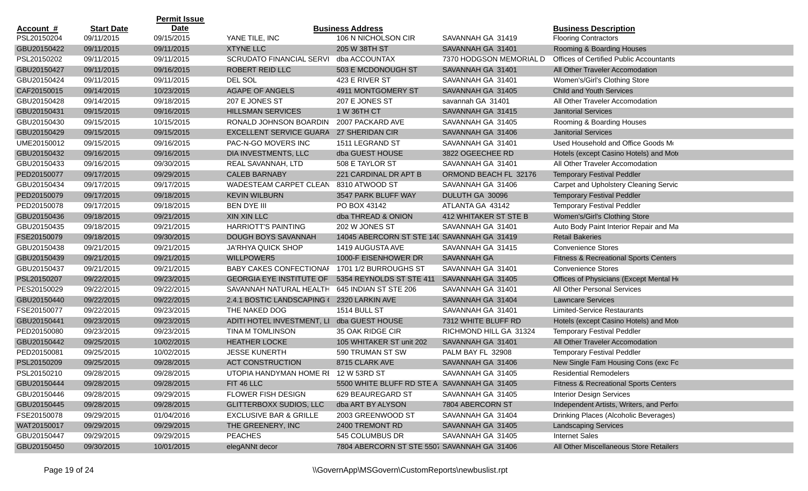|                  |                   | <b>Permit Issue</b> |                                               |                                             |                         |                                                  |
|------------------|-------------------|---------------------|-----------------------------------------------|---------------------------------------------|-------------------------|--------------------------------------------------|
| <b>Account #</b> | <b>Start Date</b> | <b>Date</b>         |                                               | <b>Business Address</b>                     |                         | <b>Business Description</b>                      |
| PSL20150204      | 09/11/2015        | 09/15/2015          | YANE TILE, INC                                | 106 N NICHOLSON CIR                         | SAVANNAH GA 31419       | <b>Flooring Contractors</b>                      |
| GBU20150422      | 09/11/2015        | 09/11/2015          | <b>XTYNE LLC</b>                              | 205 W 38TH ST                               | SAVANNAH GA 31401       | Rooming & Boarding Houses                        |
| PSL20150202      | 09/11/2015        | 09/11/2015          | <b>SCRUDATO FINANCIAL SERVI</b>               | dba ACCOUNTAX                               | 7370 HODGSON MEMORIAL D | <b>Offices of Certified Public Accountants</b>   |
| GBU20150427      | 09/11/2015        | 09/16/2015          | ROBERT REID LLC                               | 503 E MCDONOUGH ST                          | SAVANNAH GA 31401       | All Other Traveler Accomodation                  |
| GBU20150424      | 09/11/2015        | 09/11/2015          | DEL SOL                                       | 423 E RIVER ST                              | SAVANNAH GA 31401       | Women's/Girl's Clothing Store                    |
| CAF20150015      | 09/14/2015        | 10/23/2015          | <b>AGAPE OF ANGELS</b>                        | 4911 MONTGOMERY ST                          | SAVANNAH GA 31405       | <b>Child and Youth Services</b>                  |
| GBU20150428      | 09/14/2015        | 09/18/2015          | 207 E JONES ST                                | 207 E JONES ST                              | savannah GA 31401       | All Other Traveler Accomodation                  |
| GBU20150431      | 09/15/2015        | 09/16/2015          | <b>HILLSMAN SERVICES</b>                      | 1 W 36TH CT                                 | SAVANNAH GA 31415       | <b>Janitorial Services</b>                       |
| GBU20150430      | 09/15/2015        | 10/15/2015          | RONALD JOHNSON BOARDIN                        | 2007 PACKARD AVE                            | SAVANNAH GA 31405       | Rooming & Boarding Houses                        |
| GBU20150429      | 09/15/2015        | 09/15/2015          | EXCELLENT SERVICE GUARA                       | 27 SHERIDAN CIR                             | SAVANNAH GA 31406       | <b>Janitorial Services</b>                       |
| UME20150012      | 09/15/2015        | 09/16/2015          | PAC-N-GO MOVERS INC                           | 1511 LEGRAND ST                             | SAVANNAH GA 31401       | Used Household and Office Goods Mo               |
| GBU20150432      | 09/16/2015        | 09/16/2015          | DIA INVESTMENTS, LLC                          | dba GUEST HOUSE                             | 3822 OGEECHEE RD        | Hotels (except Casino Hotels) and Mote           |
| GBU20150433      | 09/16/2015        | 09/30/2015          | REAL SAVANNAH, LTD                            | 508 E TAYLOR ST                             | SAVANNAH GA 31401       | All Other Traveler Accomodation                  |
| PED20150077      | 09/17/2015        | 09/29/2015          | <b>CALEB BARNABY</b>                          | 221 CARDINAL DR APT B                       | ORMOND BEACH FL 32176   | <b>Temporary Festival Peddler</b>                |
| GBU20150434      | 09/17/2015        | 09/17/2015          | <b>WADESTEAM CARPET CLEAN</b>                 | 8310 ATWOOD ST                              | SAVANNAH GA 31406       | Carpet and Upholstery Cleaning Servic            |
| PED20150079      | 09/17/2015        | 09/18/2015          | <b>KEVIN WILBURN</b>                          | 3547 PARK BLUFF WAY                         | DULUTH GA 30096         | <b>Temporary Festival Peddler</b>                |
| PED20150078      | 09/17/2015        | 09/18/2015          | <b>BEN DYE III</b>                            | PO BOX 43142                                | ATLANTA GA 43142        | <b>Temporary Festival Peddler</b>                |
| GBU20150436      | 09/18/2015        | 09/21/2015          | XIN XIN LLC                                   | dba THREAD & ONION                          | 412 WHITAKER ST STE B   | Women's/Girl's Clothing Store                    |
| GBU20150435      | 09/18/2015        | 09/21/2015          | <b>HARRIOTT'S PAINTING</b>                    | 202 W JONES ST                              | SAVANNAH GA 31401       | Auto Body Paint Interior Repair and Ma           |
| FSE20150079      | 09/18/2015        | 09/30/2015          | DOUGH BOYS SAVANNAH                           | 14045 ABERCORN ST STE 140 SAVANNAH GA 31419 |                         | <b>Retail Bakeries</b>                           |
| GBU20150438      | 09/21/2015        | 09/21/2015          | JA'RHYA QUICK SHOP                            | 1419 AUGUSTA AVE                            | SAVANNAH GA 31415       | <b>Convenience Stores</b>                        |
| GBU20150439      | 09/21/2015        | 09/21/2015          | WILLPOWER5                                    | 1000-F EISENHOWER DR                        | <b>SAVANNAH GA</b>      | <b>Fitness &amp; Recreational Sports Centers</b> |
| GBU20150437      | 09/21/2015        | 09/21/2015          | BABY CAKES CONFECTIONAF 1701 1/2 BURROUGHS ST |                                             | SAVANNAH GA 31401       | <b>Convenience Stores</b>                        |
| PSL20150207      | 09/22/2015        | 09/23/2015          | <b>GEORGIA EYE INSTITUTE OF</b>               | 5354 REYNOLDS ST STE 411                    | SAVANNAH GA 31405       | Offices of Physicians (Except Mental He          |
| PES20150029      | 09/22/2015        | 09/22/2015          | SAVANNAH NATURAL HEALTH                       | 645 INDIAN ST STE 206                       | SAVANNAH GA 31401       | All Other Personal Services                      |
| GBU20150440      | 09/22/2015        | 09/22/2015          | 2.4.1 BOSTIC LANDSCAPING (                    | 2320 LARKIN AVE                             | SAVANNAH GA 31404       | <b>Lawncare Services</b>                         |
| FSE20150077      | 09/22/2015        | 09/23/2015          | THE NAKED DOG                                 | 1514 BULL ST                                | SAVANNAH GA 31401       | <b>Limited-Service Restaurants</b>               |
| GBU20150441      | 09/23/2015        | 09/23/2015          | ADITI HOTEL INVESTMENT, LI dba GUEST HOUSE    |                                             | 7312 WHITE BLUFF RD     | Hotels (except Casino Hotels) and Mote           |
| PED20150080      | 09/23/2015        | 09/23/2015          | <b>TINA M TOMLINSON</b>                       | 35 OAK RIDGE CIR                            | RICHMOND HILL GA 31324  | <b>Temporary Festival Peddler</b>                |
| GBU20150442      | 09/25/2015        | 10/02/2015          | <b>HEATHER LOCKE</b>                          | 105 WHITAKER ST unit 202                    | SAVANNAH GA 31401       | All Other Traveler Accomodation                  |
| PED20150081      | 09/25/2015        | 10/02/2015          | <b>JESSE KUNERTH</b>                          | 590 TRUMAN ST SW                            | PALM BAY FL 32908       | <b>Temporary Festival Peddler</b>                |
| PSL20150209      | 09/25/2015        | 09/28/2015          | <b>ACT CONSTRUCTION</b>                       | 8715 CLARK AVE                              | SAVANNAH GA 31406       | New Single Fam Housing Cons (exc Fo              |
| PSL20150210      | 09/28/2015        | 09/28/2015          | UTOPIA HANDYMAN HOME RI 12 W 53RD ST          |                                             | SAVANNAH GA 31405       | <b>Residential Remodelers</b>                    |
| GBU20150444      | 09/28/2015        | 09/28/2015          | FIT 46 LLC                                    | 5500 WHITE BLUFF RD STE A SAVANNAH GA 31405 |                         | <b>Fitness &amp; Recreational Sports Centers</b> |
| GBU20150446      | 09/28/2015        | 09/29/2015          | FLOWER FISH DESIGN                            | 629 BEAUREGARD ST                           | SAVANNAH GA 31405       | <b>Interior Design Services</b>                  |
| GBU20150445      | 09/28/2015        | 09/28/2015          | GLITTERBOXX SUDIOS, LLC                       | dba ART BY ALYSON                           | 7804 ABERCORN ST        | Independent Artists, Writers, and Perfor         |
| FSE20150078      | 09/29/2015        | 01/04/2016          | <b>EXCLUSIVE BAR &amp; GRILLE</b>             | 2003 GREENWOOD ST                           | SAVANNAH GA 31404       | Drinking Places (Alcoholic Beverages)            |
| WAT20150017      | 09/29/2015        | 09/29/2015          | THE GREENERY, INC                             | 2400 TREMONT RD                             | SAVANNAH GA 31405       | <b>Landscaping Services</b>                      |
| GBU20150447      | 09/29/2015        | 09/29/2015          | <b>PEACHES</b>                                | 545 COLUMBUS DR                             | SAVANNAH GA 31405       | <b>Internet Sales</b>                            |
|                  |                   |                     |                                               | 7804 ABERCORN ST STE 5507 SAVANNAH GA 31406 |                         | All Other Miscellaneous Store Retailers          |
| GBU20150450      | 09/30/2015        | 10/01/2015          | elegANNt decor                                |                                             |                         |                                                  |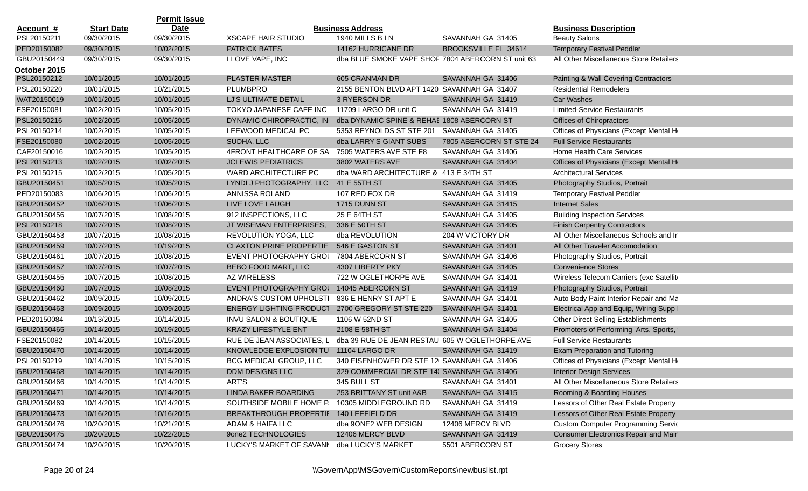|              |                   | <b>Permit Issue</b> |                                         |                                                   |                         |                                            |
|--------------|-------------------|---------------------|-----------------------------------------|---------------------------------------------------|-------------------------|--------------------------------------------|
| Account #    | <b>Start Date</b> | <b>Date</b>         |                                         | <b>Business Address</b>                           |                         | <b>Business Description</b>                |
| PSL20150211  | 09/30/2015        | 09/30/2015          | <b>XSCAPE HAIR STUDIO</b>               | 1940 MILLS B LN                                   | SAVANNAH GA 31405       | <b>Beauty Salons</b>                       |
| PED20150082  | 09/30/2015        | 10/02/2015          | <b>PATRICK BATES</b>                    | 14162 HURRICANE DR                                | BROOKSVILLE FL 34614    | <b>Temporary Festival Peddler</b>          |
| GBU20150449  | 09/30/2015        | 09/30/2015          | I LOVE VAPE, INC                        | dba BLUE SMOKE VAPE SHOF 7804 ABERCORN ST unit 63 |                         | All Other Miscellaneous Store Retailers    |
| October 2015 |                   |                     |                                         |                                                   |                         |                                            |
| PSL20150212  | 10/01/2015        | 10/01/2015          | <b>PLASTER MASTER</b>                   | 605 CRANMAN DR                                    | SAVANNAH GA 31406       | Painting & Wall Covering Contractors       |
| PSL20150220  | 10/01/2015        | 10/21/2015          | <b>PLUMBPRO</b>                         | 2155 BENTON BLVD APT 1420 SAVANNAH GA 31407       |                         | <b>Residential Remodelers</b>              |
| WAT20150019  | 10/01/2015        | 10/01/2015          | LJ'S ULTIMATE DETAIL                    | 3 RYERSON DR                                      | SAVANNAH GA 31419       | <b>Car Washes</b>                          |
| FSE20150081  | 10/02/2015        | 10/05/2015          | TOKYO JAPANESE CAFE INC                 | 11709 LARGO DR unit C                             | SAVANNAH GA 31419       | <b>Limited-Service Restaurants</b>         |
| PSL20150216  | 10/02/2015        | 10/05/2015          | DYNAMIC CHIROPRACTIC, IN                | dba DYNAMIC SPINE & REHAE 1808 ABERCORN ST        |                         | Offices of Chiropractors                   |
| PSL20150214  | 10/02/2015        | 10/05/2015          | LEEWOOD MEDICAL PC                      | 5353 REYNOLDS ST STE 201                          | SAVANNAH GA 31405       | Offices of Physicians (Except Mental He    |
| FSE20150080  | 10/02/2015        | 10/05/2015          | SUDHA, LLC                              | dba LARRY'S GIANT SUBS                            | 7805 ABERCORN ST STE 24 | <b>Full Service Restaurants</b>            |
| CAF20150016  | 10/02/2015        | 10/05/2015          | 4FRONT HEALTHCARE OF SA                 | 7505 WATERS AVE STE F8                            | SAVANNAH GA 31406       | Home Health Care Services                  |
| PSL20150213  | 10/02/2015        | 10/02/2015          | <b>JCLEWIS PEDIATRICS</b>               | 3802 WATERS AVE                                   | SAVANNAH GA 31404       | Offices of Physicians (Except Mental He    |
| PSL20150215  | 10/02/2015        | 10/05/2015          | WARD ARCHITECTURE PC                    | dba WARD ARCHITECTURE & 413 E 34TH ST             |                         | <b>Architectural Services</b>              |
| GBU20150451  | 10/05/2015        | 10/05/2015          | LYNDI J PHOTOGRAPHY, LLC 41 E 55TH ST   |                                                   | SAVANNAH GA 31405       | Photography Studios, Portrait              |
| PED20150083  | 10/06/2015        | 10/06/2015          | ANNISSA ROLAND                          | 107 RED FOX DR                                    | SAVANNAH GA 31419       | <b>Temporary Festival Peddler</b>          |
| GBU20150452  | 10/06/2015        | 10/06/2015          | LIVE LOVE LAUGH                         | 1715 DUNN ST                                      | SAVANNAH GA 31415       | <b>Internet Sales</b>                      |
| GBU20150456  | 10/07/2015        | 10/08/2015          | 912 INSPECTIONS, LLC                    | 25 E 64TH ST                                      | SAVANNAH GA 31405       | <b>Building Inspection Services</b>        |
| PSL20150218  | 10/07/2015        | 10/08/2015          | JT WISEMAN ENTERPRISES, I 336 E 50TH ST |                                                   | SAVANNAH GA 31405       | <b>Finish Carpentry Contractors</b>        |
| GBU20150453  | 10/07/2015        | 10/08/2015          | REVOLUTION YOGA, LLC                    | dba REVOLUTION                                    | 204 W VICTORY DR        | All Other Miscellaneous Schools and In     |
| GBU20150459  | 10/07/2015        | 10/19/2015          | <b>CLAXTON PRINE PROPERTIE:</b>         | 546 E GASTON ST                                   | SAVANNAH GA 31401       | All Other Traveler Accomodation            |
| GBU20150461  | 10/07/2015        | 10/08/2015          | EVENT PHOTOGRAPHY GROU                  | 7804 ABERCORN ST                                  | SAVANNAH GA 31406       | Photography Studios, Portrait              |
| GBU20150457  | 10/07/2015        | 10/07/2015          | BEBO FOOD MART, LLC                     | 4307 LIBERTY PKY                                  | SAVANNAH GA 31405       | <b>Convenience Stores</b>                  |
| GBU20150455  | 10/07/2015        | 10/08/2015          | AZ WIRELESS                             | 722 W OGLETHORPE AVE                              | SAVANNAH GA 31401       | Wireless Telecom Carriers (exc Satellite   |
| GBU20150460  | 10/07/2015        | 10/08/2015          | <b>EVENT PHOTOGRAPHY GROU</b>           | 14045 ABERCORN ST                                 | SAVANNAH GA 31419       | Photography Studios, Portrait              |
| GBU20150462  | 10/09/2015        | 10/09/2015          | ANDRA'S CUSTOM UPHOLSTI                 | 836 E HENRY ST APT E                              | SAVANNAH GA 31401       | Auto Body Paint Interior Repair and Ma     |
| GBU20150463  | 10/09/2015        | 10/09/2015          | <b>ENERGY LIGHTING PRODUCT</b>          | 2700 GREGORY ST STE 220                           | SAVANNAH GA 31401       | Electrical App and Equip, Wiring Supp I    |
| PED20150084  | 10/13/2015        | 10/14/2015          | <b>INVU SALON &amp; BOUTIQUE</b>        | 1106 W 52ND ST                                    | SAVANNAH GA 31405       | <b>Other Direct Selling Establishments</b> |
| GBU20150465  | 10/14/2015        | 10/19/2015          | <b>KRAZY LIFESTYLE ENT</b>              | 2108 E 58TH ST                                    | SAVANNAH GA 31404       | Promoters of Performing Arts, Sports,      |
| FSE20150082  | 10/14/2015        | 10/15/2015          | RUE DE JEAN ASSOCIATES, L               | dba 39 RUE DE JEAN RESTAU 605 W OGLETHORPE AVE    |                         | <b>Full Service Restaurants</b>            |
| GBU20150470  | 10/14/2015        | 10/14/2015          | KNOWLEDGE EXPLOSION TU                  | 11104 LARGO DR                                    | SAVANNAH GA 31419       | Exam Preparation and Tutoring              |
| PSL20150219  | 10/14/2015        | 10/15/2015          | BCG MEDICAL GROUP, LLC                  | 340 EISENHOWER DR STE 12 SAVANNAH GA 31406        |                         | Offices of Physicians (Except Mental He    |
| GBU20150468  | 10/14/2015        | 10/14/2015          | <b>DDM DESIGNS LLC</b>                  | 329 COMMERCIAL DR STE 14( SAVANNAH GA 31406       |                         | <b>Interior Design Services</b>            |
| GBU20150466  | 10/14/2015        | 10/14/2015          | ART'S                                   | 345 BULL ST                                       | SAVANNAH GA 31401       | All Other Miscellaneous Store Retailers    |
| GBU20150471  | 10/14/2015        | 10/14/2015          | LINDA BAKER BOARDING                    | 253 BRITTANY ST unit A&B                          | SAVANNAH GA 31415       | Rooming & Boarding Houses                  |
| GBU20150469  | 10/14/2015        | 10/14/2015          | SOUTHSIDE MOBILE HOME P.                | 10305 MIDDLEGROUND RD                             | SAVANNAH GA 31419       | Lessors of Other Real Estate Property      |
| GBU20150473  | 10/16/2015        | 10/16/2015          | BREAKTHROUGH PROPERTIE 140 LEEFIELD DR  |                                                   | SAVANNAH GA 31419       | Lessors of Other Real Estate Property      |
| GBU20150476  | 10/20/2015        | 10/21/2015          | ADAM & HAIFA LLC                        | dba 9ONE2 WEB DESIGN                              | 12406 MERCY BLVD        | <b>Custom Computer Programming Servic</b>  |
| GBU20150475  | 10/20/2015        | 10/22/2015          | 9one2 TECHNOLOGIES                      | 12406 MERCY BLVD                                  | SAVANNAH GA 31419       | Consumer Electronics Repair and Main       |
| GBU20150474  | 10/20/2015        | 10/20/2015          | LUCKY'S MARKET OF SAVANN                | dba LUCKY'S MARKET                                | 5501 ABERCORN ST        | <b>Grocery Stores</b>                      |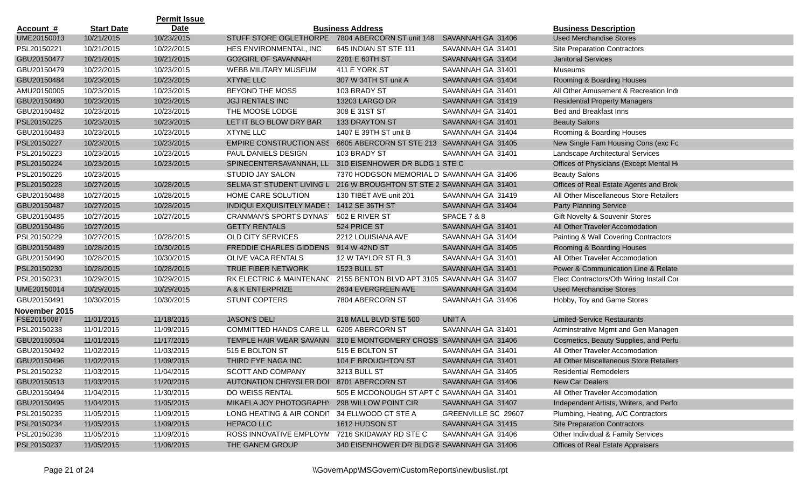|                  |                   | <b>Permit Issue</b> |                                                                      |                                            |                        |                                          |
|------------------|-------------------|---------------------|----------------------------------------------------------------------|--------------------------------------------|------------------------|------------------------------------------|
| <u>Account #</u> | <b>Start Date</b> | <b>Date</b>         |                                                                      | <b>Business Address</b>                    |                        | <b>Business Description</b>              |
| UME20150013      | 10/21/2015        | 10/23/2015          | STUFF STORE OGLETHORPE                                               | 7804 ABERCORN ST unit 148                  | SAVANNAH GA 31406      | <b>Used Merchandise Stores</b>           |
| PSL20150221      | 10/21/2015        | 10/22/2015          | HES ENVIRONMENTAL, INC                                               | 645 INDIAN ST STE 111                      | SAVANNAH GA 31401      | <b>Site Preparation Contractors</b>      |
| GBU20150477      | 10/21/2015        | 10/21/2015          | <b>GO2GIRL OF SAVANNAH</b>                                           | 2201 E 60TH ST                             | SAVANNAH GA 31404      | <b>Janitorial Services</b>               |
| GBU20150479      | 10/22/2015        | 10/23/2015          | WEBB MILITARY MUSEUM                                                 | 411 E YORK ST                              | SAVANNAH GA 31401      | Museums                                  |
| GBU20150484      | 10/23/2015        | 10/23/2015          | <b>XTYNE LLC</b>                                                     | 307 W 34TH ST unit A                       | SAVANNAH GA 31404      | Rooming & Boarding Houses                |
| AMU20150005      | 10/23/2015        | 10/23/2015          | BEYOND THE MOSS                                                      | 103 BRADY ST                               | SAVANNAH GA 31401      | All Other Amusement & Recreation Indu    |
| GBU20150480      | 10/23/2015        | 10/23/2015          | <b>JGJ RENTALS INC</b>                                               | 13203 LARGO DR                             | SAVANNAH GA 31419      | <b>Residential Property Managers</b>     |
| GBU20150482      | 10/23/2015        | 10/23/2015          | THE MOOSE LODGE                                                      | 308 E 31ST ST                              | SAVANNAH GA 31401      | <b>Bed and Breakfast Inns</b>            |
| PSL20150225      | 10/23/2015        | 10/23/2015          | LET IT BLO BLOW DRY BAR                                              | <b>133 DRAYTON ST</b>                      | SAVANNAH GA 31401      | <b>Beauty Salons</b>                     |
| GBU20150483      | 10/23/2015        | 10/23/2015          | <b>XTYNE LLC</b>                                                     | 1407 E 39TH ST unit B                      | SAVANNAH GA 31404      | Rooming & Boarding Houses                |
| PSL20150227      | 10/23/2015        | 10/23/2015          | EMPIRE CONSTRUCTION ASS 6605 ABERCORN ST STE 213 SAVANNAH GA 31405   |                                            |                        | New Single Fam Housing Cons (exc Fo      |
| PSL20150223      | 10/23/2015        | 10/23/2015          | PAUL DANIELS DESIGN                                                  | 103 BRADY ST                               | SAVANNAH GA 31401      | Landscape Architectural Services         |
| PSL20150224      | 10/23/2015        | 10/23/2015          | SPINECENTERSAVANNAH, LL 310 EISENHOWER DR BLDG 1 STE C               |                                            |                        | Offices of Physicians (Except Mental He  |
| PSL20150226      | 10/23/2015        |                     | STUDIO JAY SALON                                                     | 7370 HODGSON MEMORIAL D SAVANNAH GA 31406  |                        | <b>Beauty Salons</b>                     |
| PSL20150228      | 10/27/2015        | 10/28/2015          | SELMA ST STUDENT LIVING L 216 W BROUGHTON ST STE 2 SAVANNAH GA 31401 |                                            |                        | Offices of Real Estate Agents and Brok   |
| GBU20150488      | 10/27/2015        | 10/28/2015          | HOME CARE SOLUTION                                                   | 130 TIBET AVE unit 201                     | SAVANNAH GA 31419      | All Other Miscellaneous Store Retailers  |
| GBU20150487      | 10/27/2015        | 10/28/2015          | INDIQUI EXQUISITELY MADE : 1412 SE 36TH ST                           |                                            | SAVANNAH GA 31404      | <b>Party Planning Service</b>            |
| GBU20150485      | 10/27/2015        | 10/27/2015          | <b>CRANMAN'S SPORTS DYNAS</b>                                        | 502 E RIVER ST                             | <b>SPACE 7 &amp; 8</b> | Gift Novelty & Souvenir Stores           |
| GBU20150486      | 10/27/2015        |                     | <b>GETTY RENTALS</b>                                                 | 524 PRICE ST                               | SAVANNAH GA 31401      | All Other Traveler Accomodation          |
| PSL20150229      | 10/27/2015        | 10/28/2015          | OLD CITY SERVICES                                                    | 2212 LOUISIANA AVE                         | SAVANNAH GA 31404      | Painting & Wall Covering Contractors     |
| GBU20150489      | 10/28/2015        | 10/30/2015          | <b>FREDDIE CHARLES GIDDENS</b>                                       | 914 W 42ND ST                              | SAVANNAH GA 31405      | Rooming & Boarding Houses                |
| GBU20150490      | 10/28/2015        | 10/30/2015          | OLIVE VACA RENTALS                                                   | 12 W TAYLOR ST FL 3                        | SAVANNAH GA 31401      | All Other Traveler Accomodation          |
| PSL20150230      | 10/28/2015        | 10/28/2015          | TRUE FIBER NETWORK                                                   | 1523 BULL ST                               | SAVANNAH GA 31401      | Power & Communication Line & Relater     |
| PSL20150231      | 10/29/2015        | 10/29/2015          | RK ELECTRIC & MAINTENANC 2155 BENTON BLVD APT 3105 SAVANNAH GA 31407 |                                            |                        | Elect Contractors/Oth Wiring Install Cor |
| UME20150014      | 10/29/2015        | 10/29/2015          | A & K ENTERPRIZE                                                     | 2634 EVERGREEN AVE                         | SAVANNAH GA 31404      | <b>Used Merchandise Stores</b>           |
| GBU20150491      | 10/30/2015        | 10/30/2015          | <b>STUNT COPTERS</b>                                                 | 7804 ABERCORN ST                           | SAVANNAH GA 31406      | Hobby, Toy and Game Stores               |
| November 2015    |                   |                     |                                                                      |                                            |                        |                                          |
| FSE20150087      | 11/01/2015        | 11/18/2015          | <b>JASON'S DELI</b>                                                  | 318 MALL BLVD STE 500                      | <b>UNITA</b>           | <b>Limited-Service Restaurants</b>       |
| PSL20150238      | 11/01/2015        | 11/09/2015          | <b>COMMITTED HANDS CARE LL</b>                                       | 6205 ABERCORN ST                           | SAVANNAH GA 31401      | Adminstrative Mgmt and Gen Managen       |
| GBU20150504      | 11/01/2015        | 11/17/2015          | TEMPLE HAIR WEAR SAVANN                                              | 310 E MONTGOMERY CROSS SAVANNAH GA 31406   |                        | Cosmetics, Beauty Supplies, and Perfu    |
| GBU20150492      | 11/02/2015        | 11/03/2015          | 515 E BOLTON ST                                                      | 515 E BOLTON ST                            | SAVANNAH GA 31401      | All Other Traveler Accomodation          |
| GBU20150496      | 11/02/2015        | 11/09/2015          | THIRD EYE NAGA INC                                                   | 104 E BROUGHTON ST                         | SAVANNAH GA 31401      | All Other Miscellaneous Store Retailers  |
| PSL20150232      | 11/03/2015        | 11/04/2015          | <b>SCOTT AND COMPANY</b>                                             | 3213 BULL ST                               | SAVANNAH GA 31405      | <b>Residential Remodelers</b>            |
| GBU20150513      | 11/03/2015        | 11/20/2015          | AUTONATION CHRYSLER DOI 8701 ABERCORN ST                             |                                            | SAVANNAH GA 31406      | New Car Dealers                          |
| GBU20150494      | 11/04/2015        | 11/30/2015          | DO WEISS RENTAL                                                      | 505 E MCDONOUGH ST APT C SAVANNAH GA 31401 |                        | All Other Traveler Accomodation          |
| GBU20150495      | 11/04/2015        | 11/05/2015          | MIKAELA JOY PHOTOGRAPHY                                              | 298 WILLOW POINT CIR                       | SAVANNAH GA 31407      | Independent Artists, Writers, and Perfor |
| PSL20150235      | 11/05/2015        | 11/09/2015          | LONG HEATING & AIR CONDIT 34 ELLWOOD CT STE A                        |                                            | GREENVILLE SC 29607    | Plumbing, Heating, A/C Contractors       |
| PSL20150234      | 11/05/2015        | 11/09/2015          | <b>HEPACO LLC</b>                                                    | 1612 HUDSON ST                             | SAVANNAH GA 31415      | <b>Site Preparation Contractors</b>      |
| PSL20150236      | 11/05/2015        | 11/09/2015          | ROSS INNOVATIVE EMPLOYM 7216 SKIDAWAY RD STE C                       |                                            | SAVANNAH GA 31406      | Other Individual & Family Services       |
| PSL20150237      | 11/05/2015        | 11/06/2015          | THE GANEM GROUP                                                      | 340 EISENHOWER DR BLDG 8 SAVANNAH GA 31406 |                        | Offices of Real Estate Appraisers        |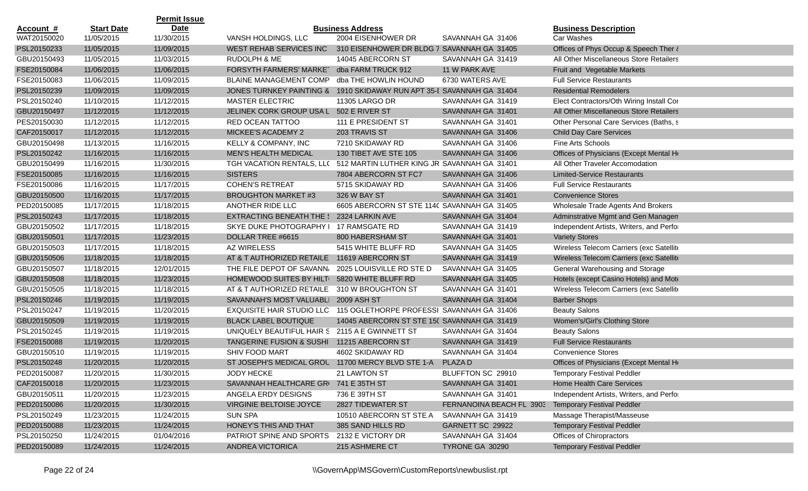|                  |                   | <b>Permit Issue</b> |                                                                       |                                             |                          |                                          |
|------------------|-------------------|---------------------|-----------------------------------------------------------------------|---------------------------------------------|--------------------------|------------------------------------------|
| <u>Account #</u> | <b>Start Date</b> | Date                |                                                                       | <b>Business Address</b>                     |                          | <b>Business Description</b>              |
| WAT20150020      | 11/05/2015        | 11/30/2015          | VANSH HOLDINGS, LLC                                                   | 2004 EISENHOWER DR                          | SAVANNAH GA 31406        | Car Washes                               |
| PSL20150233      | 11/05/2015        | 11/09/2015          | WEST REHAB SERVICES INC                                               | 310 EISENHOWER DR BLDG 7 SAVANNAH GA 31405  |                          | Offices of Phys Occup & Speech Ther &    |
| GBU20150493      | 11/05/2015        | 11/03/2015          | RUDOLPH & ME                                                          | 14045 ABERCORN ST                           | SAVANNAH GA 31419        | All Other Miscellaneous Store Retailers  |
| FSE20150084      | 11/06/2015        | 11/06/2015          | FORSYTH FARMERS' MARKET                                               | dba FARM TRUCK 912                          | 11 W PARK AVE            | Fruit and Vegetable Markets              |
| FSE20150083      | 11/06/2015        | 11/09/2015          | <b>BLAINE MANAGEMENT COMP</b>                                         | dba THE HOWLIN HOUND                        | 6730 WATERS AVE          | <b>Full Service Restaurants</b>          |
| PSL20150239      | 11/09/2015        | 11/09/2015          | JONES TURNKEY PAINTING & 1910 SKIDAWAY RUN APT 35-I SAVANNAH GA 31404 |                                             |                          | <b>Residential Remodelers</b>            |
| PSL20150240      | 11/10/2015        | 11/12/2015          | MASTER ELECTRIC                                                       | 11305 LARGO DR                              | SAVANNAH GA 31419        | Elect Contractors/Oth Wiring Install Cor |
| GBU20150497      | 11/12/2015        | 11/12/2015          | JELINEK CORK GROUP USA L 502 E RIVER ST                               |                                             | SAVANNAH GA 31401        | All Other Miscellaneous Store Retailers  |
| PES20150030      | 11/12/2015        | 11/12/2015          | RED OCEAN TATTOO                                                      | 111 E PRESIDENT ST                          | SAVANNAH GA 31401        | Other Personal Care Services (Baths, s   |
| CAF20150017      | 11/12/2015        | 11/12/2015          | MICKEE'S ACADEMY 2                                                    | 203 TRAVIS ST                               | SAVANNAH GA 31406        | <b>Child Day Care Services</b>           |
| GBU20150498      | 11/13/2015        | 11/16/2015          | KELLY & COMPANY, INC                                                  | 7210 SKIDAWAY RD                            | SAVANNAH GA 31406        | Fine Arts Schools                        |
| PSL20150242      | 11/16/2015        | 11/16/2015          | <b>MEN'S HEALTH MEDICAL</b>                                           | 130 TIBET AVE STE 105                       | SAVANNAH GA 31406        | Offices of Physicians (Except Mental He  |
| GBU20150499      | 11/16/2015        | 11/30/2015          | TGH VACATION RENTALS, LL( 512 MARTIN LUTHER KING JR SAVANNAH GA 31401 |                                             |                          | All Other Traveler Accomodation          |
| FSE20150085      | 11/16/2015        | 11/16/2015          | <b>SISTERS</b>                                                        | 7804 ABERCORN ST FC7                        | SAVANNAH GA 31406        | <b>Limited-Service Restaurants</b>       |
| FSE20150086      | 11/16/2015        | 11/17/2015          | <b>COHEN'S RETREAT</b>                                                | 5715 SKIDAWAY RD                            | SAVANNAH GA 31406        | <b>Full Service Restaurants</b>          |
| GBU20150500      | 11/16/2015        | 11/17/2015          | <b>BROUGHTON MARKET #3</b>                                            | 326 W BAY ST                                | SAVANNAH GA 31401        | <b>Convenience Stores</b>                |
| PED20150085      | 11/17/2015        | 11/18/2015          | ANOTHER RIDE LLC                                                      | 6605 ABERCORN ST STE 114C SAVANNAH GA 31405 |                          | Wholesale Trade Agents And Brokers       |
| PSL20150243      | 11/17/2015        | 11/18/2015          | <b>EXTRACTING BENEATH THE S</b>                                       | 2324 LARKIN AVE                             | SAVANNAH GA 31404        | Adminstrative Mgmt and Gen Managen       |
| GBU20150502      | 11/17/2015        | 11/18/2015          | SKYE DUKE PHOTOGRAPHY   17 RAMSGATE RD                                |                                             | SAVANNAH GA 31419        | Independent Artists, Writers, and Perfor |
| GBU20150501      | 11/17/2015        | 11/23/2015          | DOLLAR TREE #6615                                                     | 800 HABERSHAM ST                            | SAVANNAH GA 31401        | <b>Variety Stores</b>                    |
| GBU20150503      | 11/17/2015        | 11/18/2015          | AZ WIRELESS                                                           | 5415 WHITE BLUFF RD                         | SAVANNAH GA 31405        | Wireless Telecom Carriers (exc Satellite |
| GBU20150506      | 11/18/2015        | 11/18/2015          | AT & T AUTHORIZED RETAILE                                             | 11619 ABERCORN ST                           | SAVANNAH GA 31419        | Wireless Telecom Carriers (exc Satellite |
| GBU20150507      | 11/18/2015        | 12/01/2015          | THE FILE DEPOT OF SAVANN,                                             | 2025 LOUISVILLE RD STE D                    | SAVANNAH GA 31405        | General Warehousing and Storage          |
| GBU20150508      | 11/18/2015        | 11/23/2015          | HOMEWOOD SUITES BY HILT                                               | 5820 WHITE BLUFF RD                         | SAVANNAH GA 31405        | Hotels (except Casino Hotels) and Mote   |
| GBU20150505      | 11/18/2015        | 11/18/2015          | AT & T AUTHORIZED RETAILE                                             | 310 W BROUGHTON ST                          | SAVANNAH GA 31401        | Wireless Telecom Carriers (exc Satellite |
| PSL20150246      | 11/19/2015        | 11/19/2015          | SAVANNAH'S MOST VALUABLI 2009 ASH ST                                  |                                             | SAVANNAH GA 31404        | <b>Barber Shops</b>                      |
| PSL20150247      | 11/19/2015        | 11/20/2015          | <b>EXQUISITE HAIR STUDIO LLC</b>                                      | 115 OGLETHORPE PROFESSI SAVANNAH GA 31406   |                          | <b>Beauty Salons</b>                     |
| GBU20150509      | 11/19/2015        | 11/19/2015          | <b>BLACK LABEL BOUTIQUE</b>                                           | 14045 ABERCORN ST STE 150 SAVANNAH GA 31419 |                          | Women's/Girl's Clothing Store            |
| PSL20150245      | 11/19/2015        | 11/19/2015          | UNIQUELY BEAUTIFUL HAIR S 2115 A E GWINNETT ST                        |                                             | SAVANNAH GA 31404        | <b>Beauty Salons</b>                     |
| FSE20150088      | 11/19/2015        | 11/20/2015          | TANGERINE FUSION & SUSHI 11215 ABERCORN ST                            |                                             | SAVANNAH GA 31419        | <b>Full Service Restaurants</b>          |
| GBU20150510      | 11/19/2015        | 11/19/2015          | <b>SHIV FOOD MART</b>                                                 | 4602 SKIDAWAY RD                            | SAVANNAH GA 31404        | <b>Convenience Stores</b>                |
| PSL20150248      | 11/20/2015        | 11/20/2015          | ST JOSEPH'S MEDICAL GROU                                              | 11700 MERCY BLVD STE 1-A                    | PLAZA D                  | Offices of Physicians (Except Mental He  |
| PED20150087      | 11/20/2015        | 11/30/2015          | <b>JODY HECKE</b>                                                     | 21 LAWTON ST                                | BLUFFTON SC 29910        | <b>Temporary Festival Peddler</b>        |
| CAF20150018      | 11/20/2015        | 11/23/2015          | SAVANNAH HEALTHCARE GRI 741 E 35TH ST                                 |                                             | SAVANNAH GA 31401        | Home Health Care Services                |
| GBU20150511      | 11/20/2015        | 11/23/2015          | ANGELA ERDY DESIGNS                                                   | 736 E 39TH ST                               | SAVANNAH GA 31401        | Independent Artists, Writers, and Perfor |
| PED20150086      | 11/20/2015        | 11/30/2015          | VIRGINIE BELTOISE JOYCE                                               | 2827 TIDEWATER ST                           | FERNANOINA BEACH FL 3903 | <b>Temporary Festival Peddler</b>        |
| PSL20150249      | 11/23/2015        | 11/24/2015          | <b>SUN SPA</b>                                                        | 10510 ABERCORN ST STE A                     | SAVANNAH GA 31419        | Massage Therapist/Masseuse               |
| PED20150088      | 11/23/2015        | 11/24/2015          | HONEY'S THIS AND THAT                                                 | 385 SAND HILLS RD                           | GARNETT SC 29922         | <b>Temporary Festival Peddler</b>        |
| PSL20150250      | 11/24/2015        | 01/04/2016          | PATRIOT SPINE AND SPORTS                                              | 2132 E VICTORY DR                           | SAVANNAH GA 31404        | Offices of Chiropractors                 |
| PED20150089      | 11/24/2015        | 11/24/2015          | ANDREA VICTORICA                                                      | 215 ASHMERE CT                              | TYRONE GA 30290          | <b>Temporary Festival Peddler</b>        |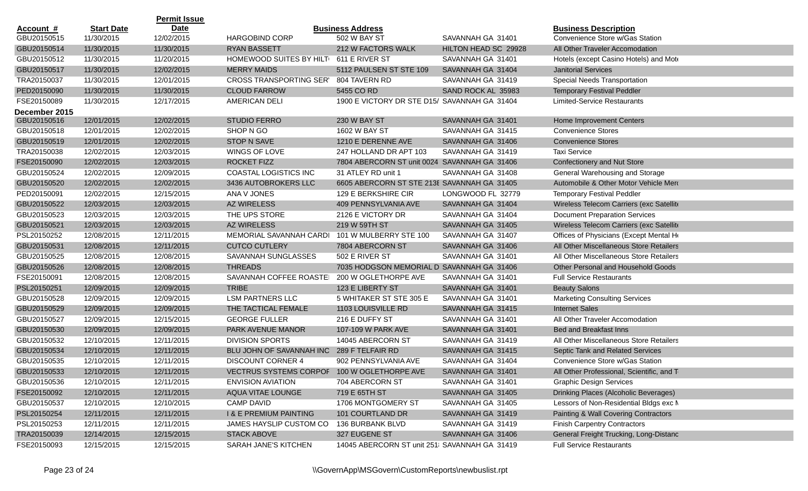|               |                   | <b>Permit Issue</b> |                                             |                                              |                      |                                           |
|---------------|-------------------|---------------------|---------------------------------------------|----------------------------------------------|----------------------|-------------------------------------------|
| Account #     | <b>Start Date</b> | <b>Date</b>         |                                             | <b>Business Address</b>                      |                      | <b>Business Description</b>               |
| GBU20150515   | 11/30/2015        | 12/02/2015          | <b>HARGOBIND CORP</b>                       | 502 W BAY ST                                 | SAVANNAH GA 31401    | Convenience Store w/Gas Station           |
| GBU20150514   | 11/30/2015        | 11/30/2015          | <b>RYAN BASSETT</b>                         | 212 W FACTORS WALK                           | HILTON HEAD SC 29928 | All Other Traveler Accomodation           |
| GBU20150512   | 11/30/2015        | 11/20/2015          | HOMEWOOD SUITES BY HILT 611 E RIVER ST      |                                              | SAVANNAH GA 31401    | Hotels (except Casino Hotels) and Mote    |
| GBU20150517   | 11/30/2015        | 12/02/2015          | <b>MERRY MAIDS</b>                          | 5112 PAULSEN ST STE 109                      | SAVANNAH GA 31404    | <b>Janitorial Services</b>                |
| TRA20150037   | 11/30/2015        | 12/01/2015          | <b>CROSS TRANSPORTING SER'</b>              | 804 TAVERN RD                                | SAVANNAH GA 31419    | <b>Special Needs Transportation</b>       |
| PED20150090   | 11/30/2015        | 11/30/2015          | <b>CLOUD FARROW</b>                         | 5455 CO RD                                   | SAND ROCK AL 35983   | <b>Temporary Festival Peddler</b>         |
| FSE20150089   | 11/30/2015        | 12/17/2015          | AMERICAN DELI                               | 1900 E VICTORY DR STE D15/ SAVANNAH GA 31404 |                      | <b>Limited-Service Restaurants</b>        |
| December 2015 |                   |                     |                                             |                                              |                      |                                           |
| GBU20150516   | 12/01/2015        | 12/02/2015          | <b>STUDIO FERRO</b>                         | 230 W BAY ST                                 | SAVANNAH GA 31401    | Home Improvement Centers                  |
| GBU20150518   | 12/01/2015        | 12/02/2015          | SHOP N GO                                   | 1602 W BAY ST                                | SAVANNAH GA 31415    | <b>Convenience Stores</b>                 |
| GBU20150519   | 12/01/2015        | 12/02/2015          | <b>STOP N SAVE</b>                          | 1210 E DERENNE AVE                           | SAVANNAH GA 31406    | <b>Convenience Stores</b>                 |
| TRA20150038   | 12/02/2015        | 12/03/2015          | WINGS OF LOVE                               | 247 HOLLAND DR APT 103                       | SAVANNAH GA 31419    | <b>Taxi Service</b>                       |
| FSE20150090   | 12/02/2015        | 12/03/2015          | <b>ROCKET FIZZ</b>                          | 7804 ABERCORN ST unit 0024 SAVANNAH GA 31406 |                      | Confectionery and Nut Store               |
| GBU20150524   | 12/02/2015        | 12/09/2015          | COASTAL LOGISTICS INC                       | 31 ATLEY RD unit 1                           | SAVANNAH GA 31408    | General Warehousing and Storage           |
| GBU20150520   | 12/02/2015        | 12/02/2015          | 3436 AUTOBROKERS LLC                        | 6605 ABERCORN ST STE 213E SAVANNAH GA 31405  |                      | Automobile & Other Motor Vehicle Mero     |
| PED20150091   | 12/02/2015        | 12/15/2015          | ANA V JONES                                 | 129 E BERKSHIRE CIR                          | LONGWOOD FL 32779    | <b>Temporary Festival Peddler</b>         |
| GBU20150522   | 12/03/2015        | 12/03/2015          | <b>AZ WIRELESS</b>                          | 409 PENNSYLVANIA AVE                         | SAVANNAH GA 31404    | Wireless Telecom Carriers (exc Satellite  |
| GBU20150523   | 12/03/2015        | 12/03/2015          | THE UPS STORE                               | 2126 E VICTORY DR                            | SAVANNAH GA 31404    | <b>Document Preparation Services</b>      |
| GBU20150521   | 12/03/2015        | 12/03/2015          | <b>AZ WIRELESS</b>                          | 219 W 59TH ST                                | SAVANNAH GA 31405    | Wireless Telecom Carriers (exc Satellite  |
| PSL20150252   | 12/08/2015        | 12/11/2015          | MEMORIAL SAVANNAH CARDI                     | 101 W MULBERRY STE 100                       | SAVANNAH GA 31407    | Offices of Physicians (Except Mental He   |
| GBU20150531   | 12/08/2015        | 12/11/2015          | <b>CUTCO CUTLERY</b>                        | 7804 ABERCORN ST                             | SAVANNAH GA 31406    | All Other Miscellaneous Store Retailers   |
| GBU20150525   | 12/08/2015        | 12/08/2015          | SAVANNAH SUNGLASSES                         | 502 E RIVER ST                               | SAVANNAH GA 31401    | All Other Miscellaneous Store Retailers   |
| GBU20150526   | 12/08/2015        | 12/08/2015          | <b>THREADS</b>                              | 7035 HODGSON MEMORIAL D SAVANNAH GA 31406    |                      | Other Personal and Household Goods        |
| FSE20150091   | 12/08/2015        | 12/08/2015          | SAVANNAH COFFEE ROASTEI                     | 200 W OGLETHORPE AVE                         | SAVANNAH GA 31401    | <b>Full Service Restaurants</b>           |
| PSL20150251   | 12/09/2015        | 12/09/2015          | <b>TRIBE</b>                                | 123 E LIBERTY ST                             | SAVANNAH GA 31401    | <b>Beauty Salons</b>                      |
| GBU20150528   | 12/09/2015        | 12/09/2015          | <b>LSM PARTNERS LLC</b>                     | 5 WHITAKER ST STE 305 E                      | SAVANNAH GA 31401    | <b>Marketing Consulting Services</b>      |
| GBU20150529   | 12/09/2015        | 12/09/2015          | THE TACTICAL FEMALE                         | 1103 LOUISVILLE RD                           | SAVANNAH GA 31415    | <b>Internet Sales</b>                     |
| GBU20150527   | 12/09/2015        | 12/15/2015          | <b>GEORGE FULLER</b>                        | 216 E DUFFY ST                               | SAVANNAH GA 31401    | All Other Traveler Accomodation           |
| GBU20150530   | 12/09/2015        | 12/09/2015          | PARK AVENUE MANOR                           | 107-109 W PARK AVE                           | SAVANNAH GA 31401    | <b>Bed and Breakfast Inns</b>             |
| GBU20150532   | 12/10/2015        | 12/11/2015          | <b>DIVISION SPORTS</b>                      | 14045 ABERCORN ST                            | SAVANNAH GA 31419    | All Other Miscellaneous Store Retailers   |
| GBU20150534   | 12/10/2015        | 12/11/2015          | BLU JOHN OF SAVANNAH INC                    | 289 F TELFAIR RD                             | SAVANNAH GA 31415    | Septic Tank and Related Services          |
| GBU20150535   | 12/10/2015        | 12/11/2015          | <b>DISCOUNT CORNER 4</b>                    | 902 PENNSYLVANIA AVE                         | SAVANNAH GA 31404    | Convenience Store w/Gas Station           |
| GBU20150533   | 12/10/2015        | 12/11/2015          | VECTRUS SYSTEMS CORPOF 100 W OGLETHORPE AVE |                                              | SAVANNAH GA 31401    | All Other Professional, Scientific, and T |
| GBU20150536   | 12/10/2015        | 12/11/2015          | <b>ENVISION AVIATION</b>                    | 704 ABERCORN ST                              | SAVANNAH GA 31401    | <b>Graphic Design Services</b>            |
| FSE20150092   | 12/10/2015        | 12/11/2015          | AQUA VITAE LOUNGE                           | 719 E 65TH ST                                | SAVANNAH GA 31405    | Drinking Places (Alcoholic Beverages)     |
| GBU20150537   | 12/10/2015        | 12/10/2015          | <b>CAMP DAVID</b>                           | 1706 MONTGOMERY ST                           | SAVANNAH GA 31405    | Lessors of Non-Residential Bldgs exc M    |
| PSL20150254   | 12/11/2015        | 12/11/2015          | <b>I &amp; E PREMIUM PAINTING</b>           | 101 COURTLAND DR                             | SAVANNAH GA 31419    | Painting & Wall Covering Contractors      |
| PSL20150253   | 12/11/2015        | 12/11/2015          | JAMES HAYSLIP CUSTOM CO                     | 136 BURBANK BLVD                             | SAVANNAH GA 31419    | <b>Finish Carpentry Contractors</b>       |
| TRA20150039   | 12/14/2015        | 12/15/2015          | <b>STACK ABOVE</b>                          | 327 EUGENE ST                                | SAVANNAH GA 31406    | General Freight Trucking, Long-Distanc    |
| FSE20150093   | 12/15/2015        | 12/15/2015          | SARAH JANE'S KITCHEN                        | 14045 ABERCORN ST unit 251 SAVANNAH GA 31419 |                      | <b>Full Service Restaurants</b>           |